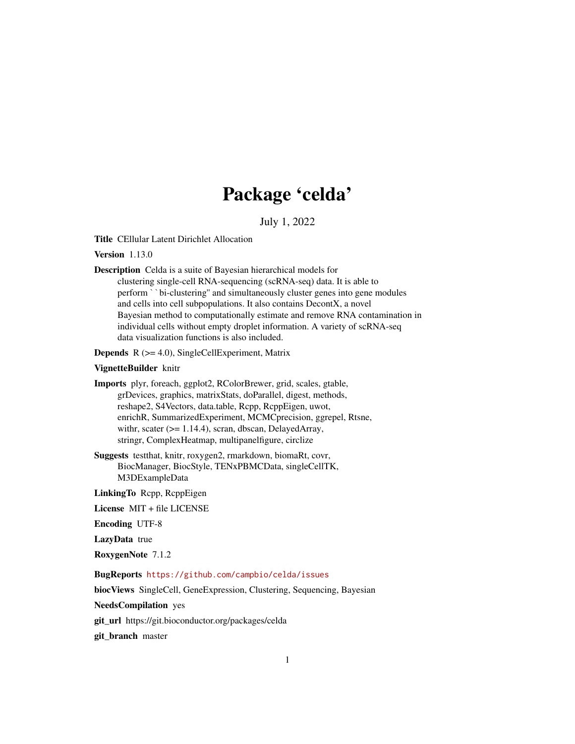# Package 'celda'

July 1, 2022

<span id="page-0-0"></span>Title CEllular Latent Dirichlet Allocation

Version 1.13.0

Description Celda is a suite of Bayesian hierarchical models for clustering single-cell RNA-sequencing (scRNA-seq) data. It is able to perform ``bi-clustering'' and simultaneously cluster genes into gene modules and cells into cell subpopulations. It also contains DecontX, a novel Bayesian method to computationally estimate and remove RNA contamination in individual cells without empty droplet information. A variety of scRNA-seq data visualization functions is also included.

**Depends**  $R$  ( $>= 4.0$ ), SingleCellExperiment, Matrix

#### VignetteBuilder knitr

Imports plyr, foreach, ggplot2, RColorBrewer, grid, scales, gtable, grDevices, graphics, matrixStats, doParallel, digest, methods, reshape2, S4Vectors, data.table, Rcpp, RcppEigen, uwot, enrichR, SummarizedExperiment, MCMCprecision, ggrepel, Rtsne, withr, scater ( $>= 1.14.4$ ), scran, dbscan, DelayedArray, stringr, ComplexHeatmap, multipanelfigure, circlize

Suggests testthat, knitr, roxygen2, rmarkdown, biomaRt, covr, BiocManager, BiocStyle, TENxPBMCData, singleCellTK, M3DExampleData

LinkingTo Rcpp, RcppEigen

License MIT + file LICENSE

Encoding UTF-8

LazyData true

RoxygenNote 7.1.2

BugReports <https://github.com/campbio/celda/issues>

biocViews SingleCell, GeneExpression, Clustering, Sequencing, Bayesian

NeedsCompilation yes

git\_url https://git.bioconductor.org/packages/celda

git\_branch master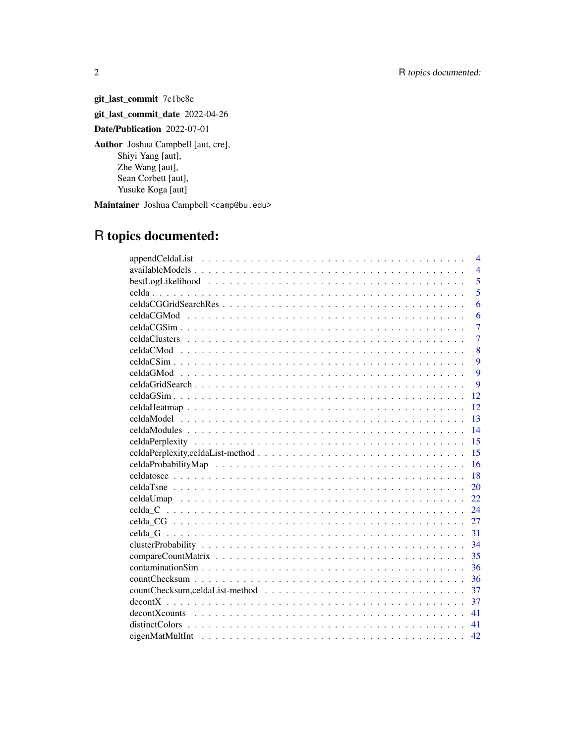git\_last\_commit 7c1bc8e git\_last\_commit\_date 2022-04-26 Date/Publication 2022-07-01 Author Joshua Campbell [aut, cre], Shiyi Yang [aut], Zhe Wang [aut], Sean Corbett [aut], Yusuke Koga [aut]

Maintainer Joshua Campbell <camp@bu.edu>

# R topics documented:

| $\overline{\mathcal{A}}$ |
|--------------------------|
| $\overline{4}$           |
| 5                        |
| 5                        |
| 6                        |
| 6                        |
| $\overline{7}$           |
| $\overline{7}$           |
| 8                        |
| 9                        |
| 9                        |
| 9                        |
| 12                       |
| 12                       |
| 13                       |
| 14                       |
| 15                       |
| 15                       |
|                          |
| 16                       |
| 18                       |
| 20                       |
| 22                       |
| 24                       |
| 27                       |
| 31                       |
| 34                       |
| 35                       |
| 36                       |
| 36                       |
| 37                       |
| 37                       |
| 41                       |
| 41                       |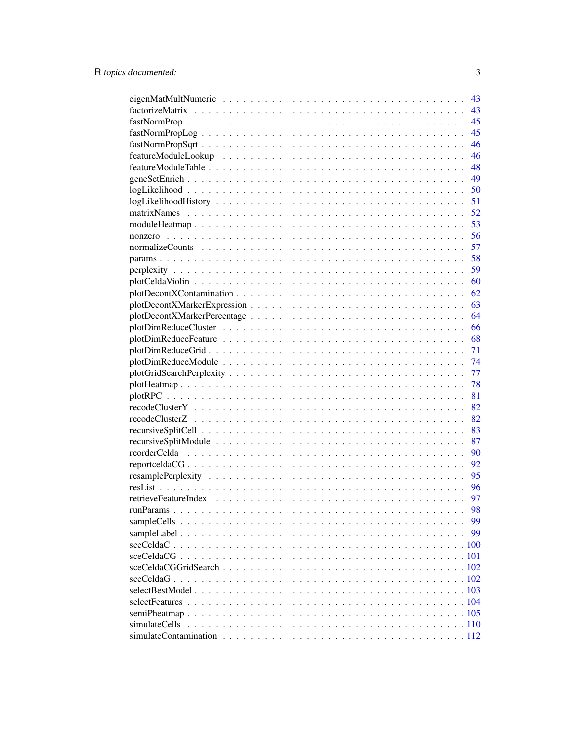|               | 43 |
|---------------|----|
|               | 43 |
|               | 45 |
|               | 45 |
|               | 46 |
|               | 46 |
|               | 48 |
|               | 49 |
|               | 50 |
|               | 51 |
|               | 52 |
|               | 53 |
|               | 56 |
|               | 57 |
|               | 58 |
|               | 59 |
|               | 60 |
|               | 62 |
|               | 63 |
|               | 64 |
|               | 66 |
|               | 68 |
|               | 71 |
|               | 74 |
|               | 77 |
|               | 78 |
|               | 81 |
|               | 82 |
|               | 82 |
|               | 83 |
|               | 87 |
|               | 90 |
|               | 92 |
|               | 95 |
|               | 96 |
|               | 97 |
|               | 98 |
|               | 99 |
|               | 99 |
|               |    |
|               |    |
|               |    |
|               |    |
|               |    |
|               |    |
|               |    |
| simulateCells |    |
|               |    |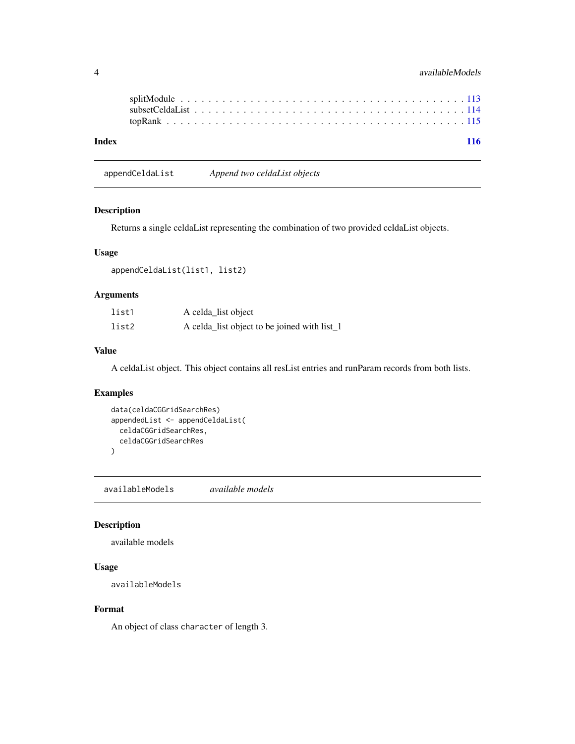<span id="page-3-0"></span>

| Index |  |  |  |  |  |  |  |  |  |  |  |  |  |  |  |  |  | 116 |
|-------|--|--|--|--|--|--|--|--|--|--|--|--|--|--|--|--|--|-----|
|       |  |  |  |  |  |  |  |  |  |  |  |  |  |  |  |  |  |     |
|       |  |  |  |  |  |  |  |  |  |  |  |  |  |  |  |  |  |     |
|       |  |  |  |  |  |  |  |  |  |  |  |  |  |  |  |  |  |     |

appendCeldaList *Append two celdaList objects*

## Description

Returns a single celdaList representing the combination of two provided celdaList objects.

## Usage

appendCeldaList(list1, list2)

# Arguments

| list1 | A celda_list object                          |
|-------|----------------------------------------------|
| list2 | A celda_list object to be joined with list_1 |

#### Value

A celdaList object. This object contains all resList entries and runParam records from both lists.

# Examples

```
data(celdaCGGridSearchRes)
appendedList <- appendCeldaList(
  celdaCGGridSearchRes,
  celdaCGGridSearchRes
\mathcal{L}
```
<span id="page-3-1"></span>availableModels *available models*

#### Description

available models

#### Usage

```
availableModels
```
## Format

An object of class character of length 3.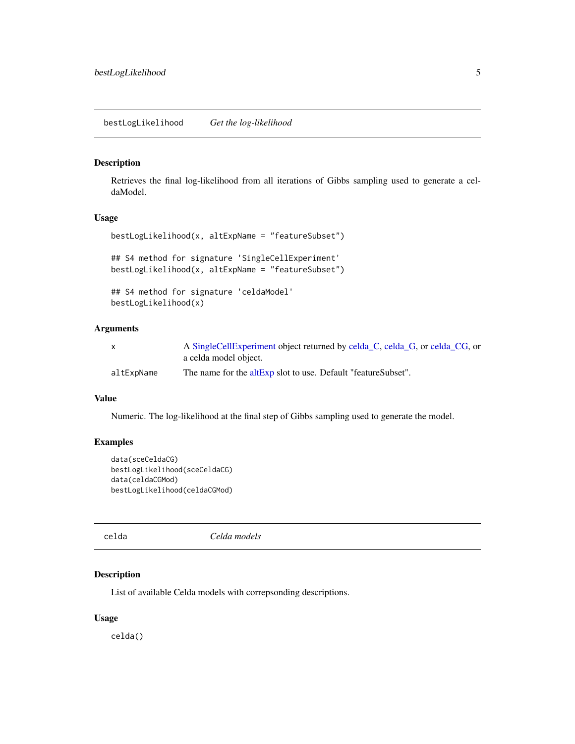#### <span id="page-4-0"></span>Description

Retrieves the final log-likelihood from all iterations of Gibbs sampling used to generate a celdaModel.

## Usage

```
bestLogLikelihood(x, altExpName = "featureSubset")
## S4 method for signature 'SingleCellExperiment'
bestLogLikelihood(x, altExpName = "featureSubset")
## S4 method for signature 'celdaModel'
bestLogLikelihood(x)
```
#### Arguments

|            | A SingleCellExperiment object returned by celda_C, celda_G, or celda_CG, or |
|------------|-----------------------------------------------------------------------------|
|            | a celda model object.                                                       |
| altExpName | The name for the altExp slot to use. Default "featureSubset".               |

#### Value

Numeric. The log-likelihood at the final step of Gibbs sampling used to generate the model.

## Examples

```
data(sceCeldaCG)
bestLogLikelihood(sceCeldaCG)
data(celdaCGMod)
bestLogLikelihood(celdaCGMod)
```
celda *Celda models*

#### Description

List of available Celda models with correpsonding descriptions.

#### Usage

celda()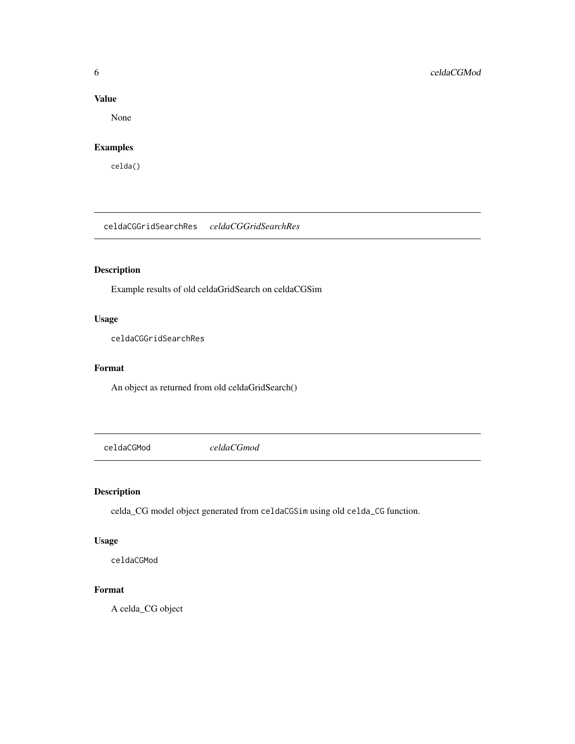## Value

None

# Examples

celda()

celdaCGGridSearchRes *celdaCGGridSearchRes*

# Description

Example results of old celdaGridSearch on celdaCGSim

## Usage

celdaCGGridSearchRes

## Format

An object as returned from old celdaGridSearch()

celdaCGMod *celdaCGmod*

## Description

celda\_CG model object generated from celdaCGSim using old celda\_CG function.

## Usage

celdaCGMod

# Format

A celda\_CG object

<span id="page-5-0"></span>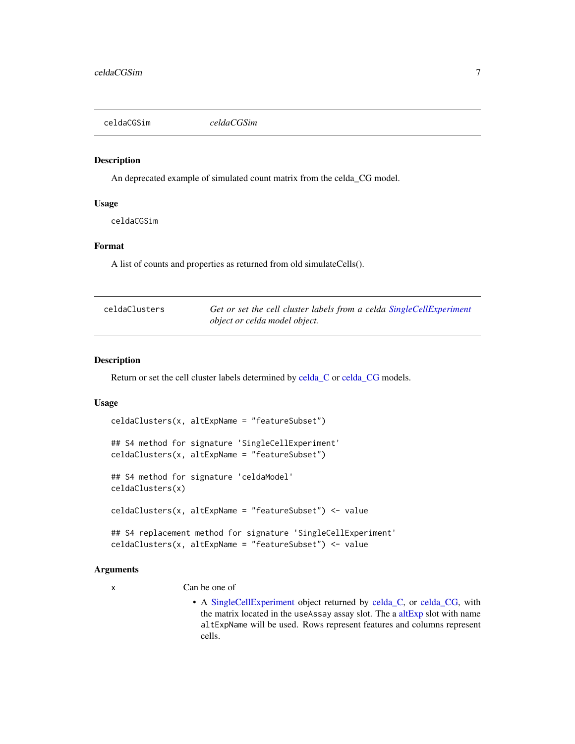<span id="page-6-0"></span>

#### Description

An deprecated example of simulated count matrix from the celda\_CG model.

#### Usage

celdaCGSim

## Format

A list of counts and properties as returned from old simulateCells().

| celdaClusters | Get or set the cell cluster labels from a celda SingleCellExperiment |
|---------------|----------------------------------------------------------------------|
|               | <i>object or celda model object.</i>                                 |

#### Description

Return or set the cell cluster labels determined by [celda\\_C](#page-23-1) or [celda\\_CG](#page-26-1) models.

## Usage

```
celdaClusters(x, altExpName = "featureSubset")
## S4 method for signature 'SingleCellExperiment'
celdaClusters(x, altExpName = "featureSubset")
## S4 method for signature 'celdaModel'
celdaClusters(x)
celdaClusters(x, altExpName = "featureSubset") <- value
## S4 replacement method for signature 'SingleCellExperiment'
celdaClusters(x, altExpName = "featureSubset") <- value
```
#### Arguments

x Can be one of

• A [SingleCellExperiment](#page-0-0) object returned by [celda\\_C,](#page-23-1) or [celda\\_CG,](#page-26-1) with the matrix located in the useAssay assay slot. The a [altExp](#page-0-0) slot with name altExpName will be used. Rows represent features and columns represent cells.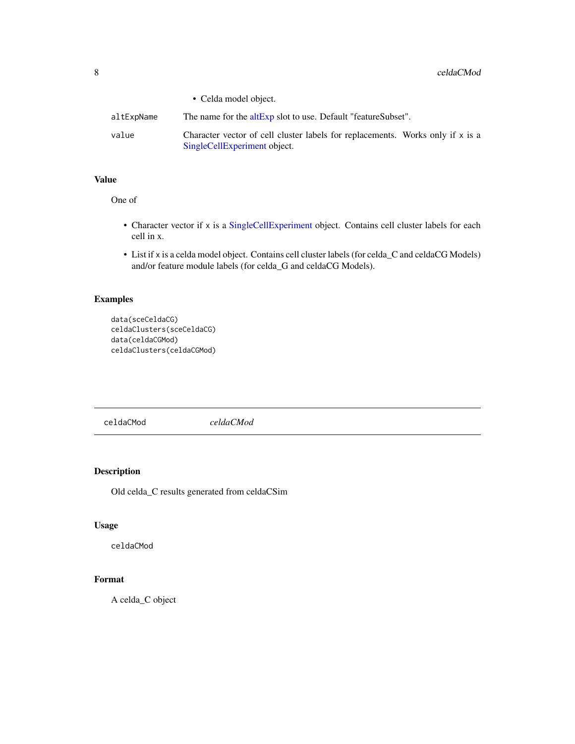<span id="page-7-0"></span>

|            | • Celda model object.                                                                                          |
|------------|----------------------------------------------------------------------------------------------------------------|
| altExpName | The name for the altExp slot to use. Default "featureSubset".                                                  |
| value      | Character vector of cell cluster labels for replacements. Works only if x is a<br>SingleCellExperiment object. |

## Value

One of

- Character vector if x is a [SingleCellExperiment](#page-0-0) object. Contains cell cluster labels for each cell in x.
- List if x is a celda model object. Contains cell cluster labels (for celda\_C and celdaCG Models) and/or feature module labels (for celda\_G and celdaCG Models).

## Examples

```
data(sceCeldaCG)
celdaClusters(sceCeldaCG)
data(celdaCGMod)
celdaClusters(celdaCGMod)
```
celdaCMod *celdaCMod*

## Description

Old celda\_C results generated from celdaCSim

#### Usage

celdaCMod

# Format

A celda\_C object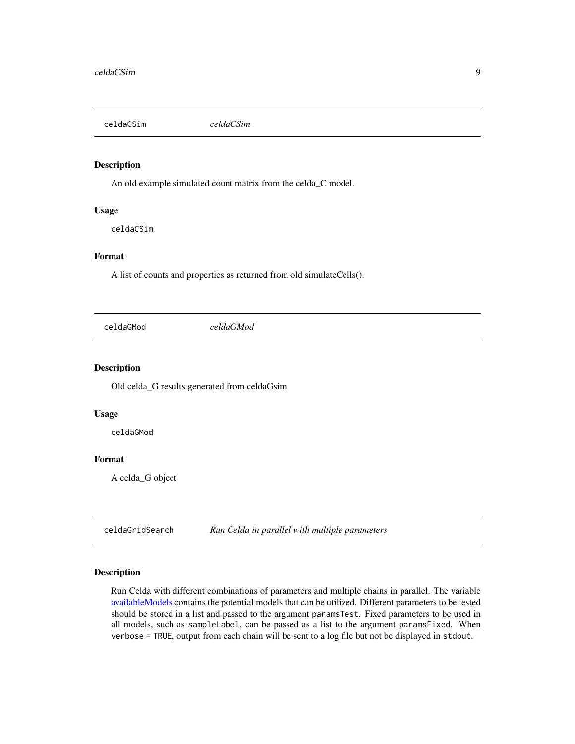<span id="page-8-0"></span>celdaCSim *celdaCSim*

## Description

An old example simulated count matrix from the celda\_C model.

#### Usage

celdaCSim

## Format

A list of counts and properties as returned from old simulateCells().

celdaGMod *celdaGMod*

## Description

Old celda\_G results generated from celdaGsim

#### Usage

celdaGMod

## Format

A celda\_G object

<span id="page-8-1"></span>celdaGridSearch *Run Celda in parallel with multiple parameters*

## Description

Run Celda with different combinations of parameters and multiple chains in parallel. The variable [availableModels](#page-3-1) contains the potential models that can be utilized. Different parameters to be tested should be stored in a list and passed to the argument paramsTest. Fixed parameters to be used in all models, such as sampleLabel, can be passed as a list to the argument paramsFixed. When verbose = TRUE, output from each chain will be sent to a log file but not be displayed in stdout.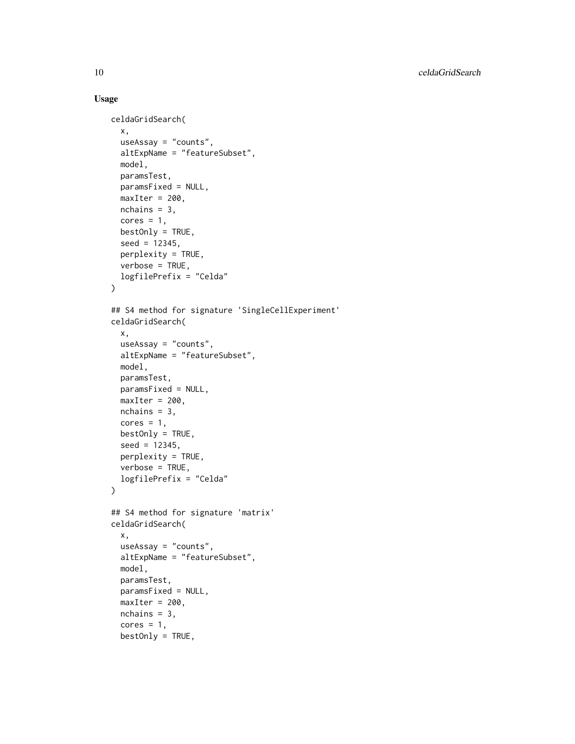```
celdaGridSearch(
  x,
  useAssay = "counts",
  altExpName = "featureSubset",
 model,
 paramsTest,
 paramsFixed = NULL,
 maxIter = 200,
 nchains = 3,
  cores = 1,
 bestOnly = TRUE,
  seed = 12345,perplexity = TRUE,
 verbose = TRUE,
  logfilePrefix = "Celda"
\mathcal{L}## S4 method for signature 'SingleCellExperiment'
celdaGridSearch(
  x,
 useAssay = "counts",
 altExpName = "featureSubset",
  model,
 paramsTest,
 paramsFixed = NULL,
 maxIter = 200,nchains = 3,
  cores = 1,
 bestOnly = TRUE,seed = 12345,perplexity = TRUE,
  verbose = TRUE,
  logfilePrefix = "Celda"
)
## S4 method for signature 'matrix'
celdaGridSearch(
  x,
  useAssay = "counts",
  altExpName = "featureSubset",
 model,
 paramsTest,
 paramsFixed = NULL,
 maxIter = 200,
 nchains = 3,
  cores = 1,
 bestOnly = TRUE,
```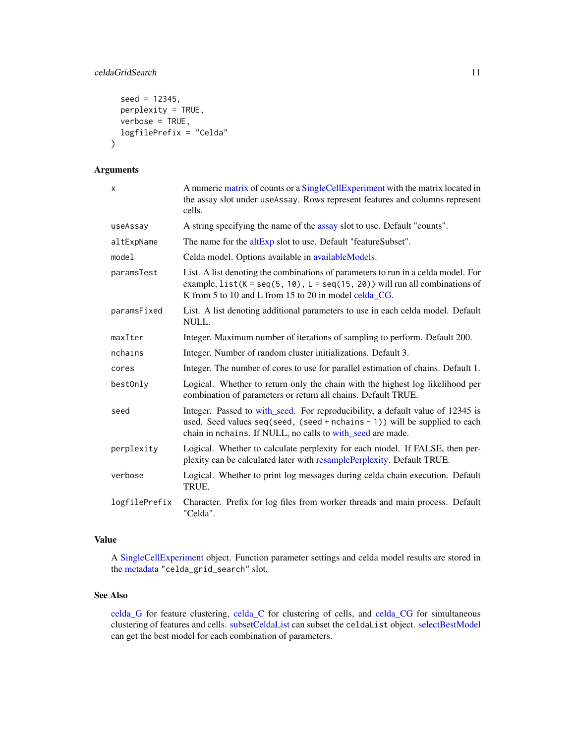## celdaGridSearch 11

```
seed = 12345,perplexity = TRUE,
 verbose = TRUE,
 logfilePrefix = "Celda"
)
```
# Arguments

| x             | A numeric matrix of counts or a SingleCellExperiment with the matrix located in<br>the assay slot under useAssay. Rows represent features and columns represent<br>cells.                                                   |
|---------------|-----------------------------------------------------------------------------------------------------------------------------------------------------------------------------------------------------------------------------|
| useAssay      | A string specifying the name of the assay slot to use. Default "counts".                                                                                                                                                    |
| altExpName    | The name for the altExp slot to use. Default "featureSubset".                                                                                                                                                               |
| model         | Celda model. Options available in availableModels.                                                                                                                                                                          |
| paramsTest    | List. A list denoting the combinations of parameters to run in a celda model. For<br>example, $list(K = seq(5, 10), L = seq(15, 20))$ will run all combinations of<br>K from 5 to 10 and L from 15 to 20 in model celda_CG. |
| paramsFixed   | List. A list denoting additional parameters to use in each celda model. Default<br>NULL.                                                                                                                                    |
| maxIter       | Integer. Maximum number of iterations of sampling to perform. Default 200.                                                                                                                                                  |
| nchains       | Integer. Number of random cluster initializations. Default 3.                                                                                                                                                               |
| cores         | Integer. The number of cores to use for parallel estimation of chains. Default 1.                                                                                                                                           |
| bestOnly      | Logical. Whether to return only the chain with the highest log likelihood per<br>combination of parameters or return all chains. Default TRUE.                                                                              |
| seed          | Integer. Passed to with_seed. For reproducibility, a default value of 12345 is<br>used. Seed values seq(seed, (seed + nchains - 1)) will be supplied to each<br>chain in nchains. If NULL, no calls to with_seed are made.  |
| perplexity    | Logical. Whether to calculate perplexity for each model. If FALSE, then per-<br>plexity can be calculated later with resamplePerplexity. Default TRUE.                                                                      |
| verbose       | Logical. Whether to print log messages during celda chain execution. Default<br>TRUE.                                                                                                                                       |
| logfilePrefix | Character. Prefix for log files from worker threads and main process. Default<br>"Celda".                                                                                                                                   |

#### Value

A [SingleCellExperiment](#page-0-0) object. Function parameter settings and celda model results are stored in the [metadata](#page-0-0) "celda\_grid\_search" slot.

#### See Also

[celda\\_G](#page-30-1) for feature clustering, [celda\\_C](#page-23-1) for clustering of cells, and [celda\\_CG](#page-26-1) for simultaneous clustering of features and cells. [subsetCeldaList](#page-113-1) can subset the celdaList object. [selectBestModel](#page-102-1) can get the best model for each combination of parameters.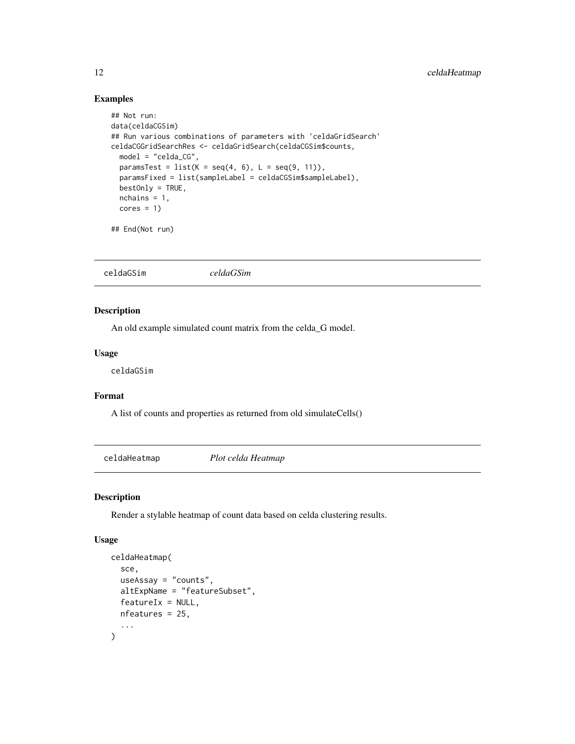## Examples

```
## Not run:
data(celdaCGSim)
## Run various combinations of parameters with 'celdaGridSearch'
celdaCGGridSearchRes <- celdaGridSearch(celdaCGSim$counts,
  model = "celda_CG",
 paramsTest = list(K = seq(4, 6), L = seq(9, 11)),paramsFixed = list(sampleLabel = celdaCGSim$sampleLabel),
  bestOnly = TRUE,
  nchains = 1,
  cores = 1)## End(Not run)
```
## Description

An old example simulated count matrix from the celda\_G model.

#### Usage

celdaGSim

## Format

A list of counts and properties as returned from old simulateCells()

celdaHeatmap *Plot celda Heatmap*

## Description

Render a stylable heatmap of count data based on celda clustering results.

```
celdaHeatmap(
  sce,
  useAssay = "counts",
  altExpName = "featureSubset",
  featureIx = NULL,nfeatures = 25,
  ...
\mathcal{E}
```
<span id="page-11-0"></span>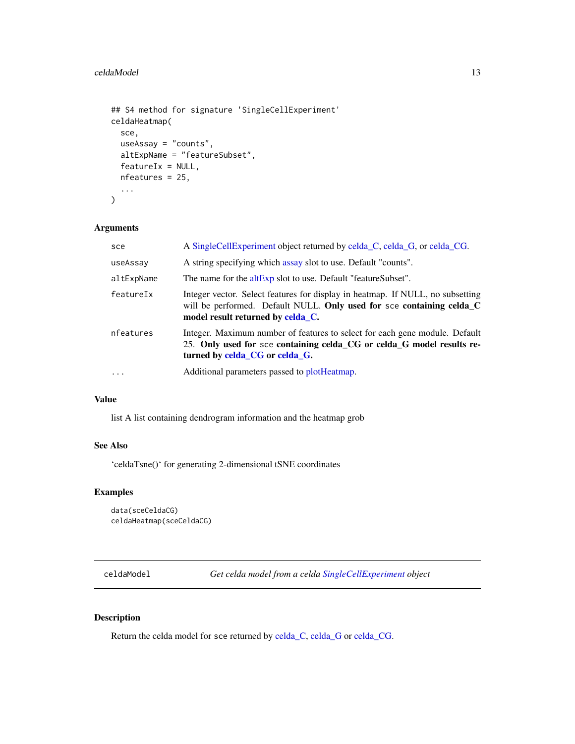#### <span id="page-12-0"></span>celdaModel 23 and 23 and 23 and 23 and 23 and 23 and 23 and 23 and 23 and 23 and 23 and 23 and 23 and 23 and 23 and 23 and 23 and 23 and 23 and 23 and 23 and 23 and 23 and 23 and 23 and 23 and 23 and 23 and 23 and 23 and 2

```
## S4 method for signature 'SingleCellExperiment'
celdaHeatmap(
  sce,
  useAssay = "counts",
  altExpName = "featureSubset",
  featureIx = NULL,nfeatures = 25,
  ...
)
```
## Arguments

| sce        | A SingleCellExperiment object returned by celda_C, celda_G, or celda_CG.                                                                                                                     |
|------------|----------------------------------------------------------------------------------------------------------------------------------------------------------------------------------------------|
| useAssay   | A string specifying which assay slot to use. Default "counts".                                                                                                                               |
| altExpName | The name for the altExp slot to use. Default "featureSubset".                                                                                                                                |
| featureIx  | Integer vector. Select features for display in heatmap. If NULL, no subsetting<br>will be performed. Default NULL. Only used for sce containing celda_C<br>model result returned by celda_C. |
| nfeatures  | Integer. Maximum number of features to select for each gene module. Default<br>25. Only used for sce containing celda_CG or celda_G model results re-<br>turned by celda_CG or celda_G.      |
| .          | Additional parameters passed to plotHeatmap.                                                                                                                                                 |

## Value

list A list containing dendrogram information and the heatmap grob

# See Also

'celdaTsne()' for generating 2-dimensional tSNE coordinates

# Examples

```
data(sceCeldaCG)
celdaHeatmap(sceCeldaCG)
```
celdaModel *Get celda model from a celda [SingleCellExperiment](#page-0-0) object*

## Description

Return the celda model for sce returned by [celda\\_C,](#page-23-1) [celda\\_G](#page-30-1) or [celda\\_CG.](#page-26-1)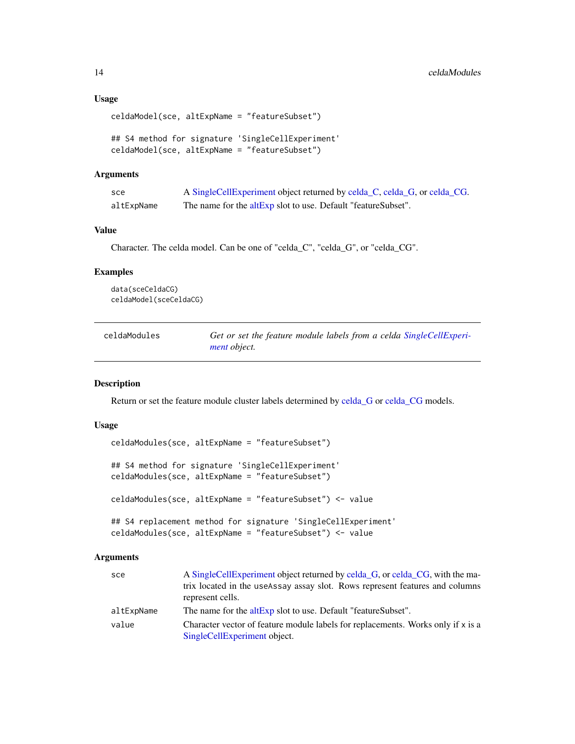#### <span id="page-13-0"></span>Usage

```
celdaModel(sce, altExpName = "featureSubset")
```

```
## S4 method for signature 'SingleCellExperiment'
celdaModel(sce, altExpName = "featureSubset")
```
#### Arguments

| sce        | A SingleCellExperiment object returned by celda_C, celda_G, or celda_CG. |
|------------|--------------------------------------------------------------------------|
| altExpName | The name for the altExp slot to use. Default "featureSubset".            |

#### Value

Character. The celda model. Can be one of "celda\_C", "celda\_G", or "celda\_CG".

#### Examples

data(sceCeldaCG) celdaModel(sceCeldaCG)

| celdaModules | Get or set the feature module labels from a celda SingleCellExperi- |
|--------------|---------------------------------------------------------------------|
|              | <i>ment object.</i>                                                 |

#### Description

Return or set the feature module cluster labels determined by [celda\\_G](#page-30-1) or [celda\\_CG](#page-26-1) models.

## Usage

```
celdaModules(sce, altExpName = "featureSubset")
## S4 method for signature 'SingleCellExperiment'
celdaModules(sce, altExpName = "featureSubset")
celdaModules(sce, altExpName = "featureSubset") <- value
## S4 replacement method for signature 'SingleCellExperiment'
celdaModules(sce, altExpName = "featureSubset") <- value
```
#### Arguments

| sce        | A Single Cell Experiment object returned by celda G, or celda CG, with the ma-                                   |
|------------|------------------------------------------------------------------------------------------------------------------|
|            | trix located in the useAssay assay slot. Rows represent features and columns<br>represent cells.                 |
| altExpName | The name for the altExp slot to use. Default "featureSubset".                                                    |
| value      | Character vector of feature module labels for replacements. Works only if x is a<br>SingleCellExperiment object. |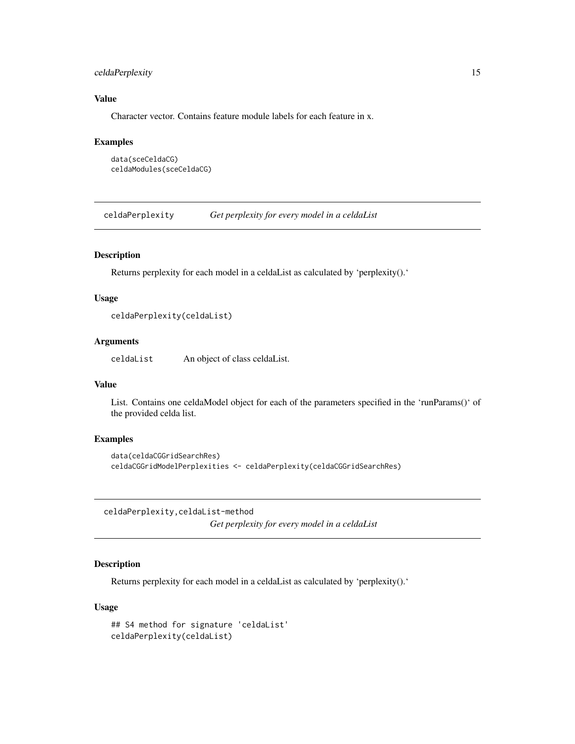## <span id="page-14-0"></span>celdaPerplexity 15

## Value

Character vector. Contains feature module labels for each feature in x.

#### Examples

```
data(sceCeldaCG)
celdaModules(sceCeldaCG)
```
celdaPerplexity *Get perplexity for every model in a celdaList*

## Description

Returns perplexity for each model in a celdaList as calculated by 'perplexity().'

#### Usage

```
celdaPerplexity(celdaList)
```
## Arguments

celdaList An object of class celdaList.

#### Value

List. Contains one celdaModel object for each of the parameters specified in the 'runParams()' of the provided celda list.

## Examples

```
data(celdaCGGridSearchRes)
celdaCGGridModelPerplexities <- celdaPerplexity(celdaCGGridSearchRes)
```
celdaPerplexity,celdaList-method *Get perplexity for every model in a celdaList*

## Description

Returns perplexity for each model in a celdaList as calculated by 'perplexity().'

```
## S4 method for signature 'celdaList'
celdaPerplexity(celdaList)
```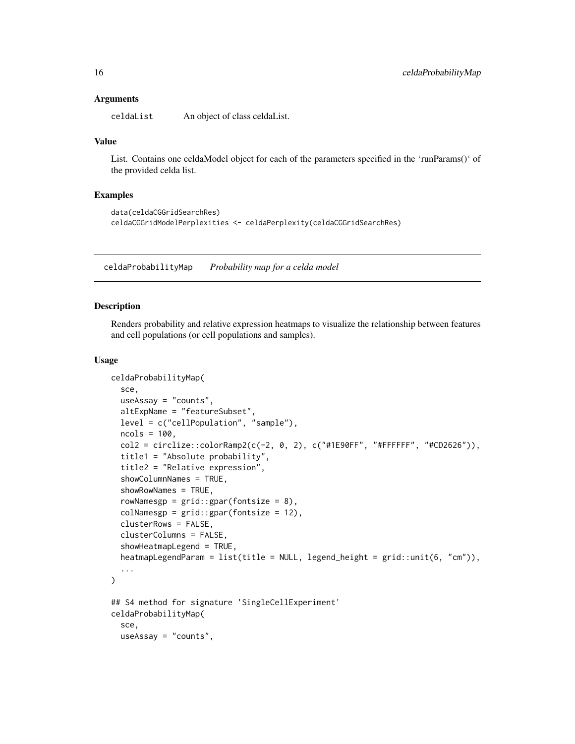#### <span id="page-15-0"></span>Arguments

celdaList An object of class celdaList.

#### Value

List. Contains one celdaModel object for each of the parameters specified in the 'runParams()' of the provided celda list.

#### Examples

```
data(celdaCGGridSearchRes)
celdaCGGridModelPerplexities <- celdaPerplexity(celdaCGGridSearchRes)
```
celdaProbabilityMap *Probability map for a celda model*

#### Description

Renders probability and relative expression heatmaps to visualize the relationship between features and cell populations (or cell populations and samples).

```
celdaProbabilityMap(
  sce,
  useAssay = "counts",
  altExpName = "featureSubset",
  level = c("cellPopulation", "sample"),
  ncols = 100,
  col2 = circlize::colorRamp;map2(c(-2, 0, 2), c("#1E90FF", "#FFFFFF", "#CD2626")),
  title1 = "Absolute probability",
  title2 = "Relative expression",
  showColumnNames = TRUE,
  showRowNames = TRUE,
  rowNamesgp = grid::gpar(fontsize = 8),
  colNamesgp = grid::gpar(fontsize = 12),
  clusterRows = FALSE,
  clusterColumns = FALSE,
  showHeatmapLegend = TRUE,
  heatmapLegendParam = list(title = NULL, legend_height = grid::unit(6, "cm")),
  ...
\mathcal{L}## S4 method for signature 'SingleCellExperiment'
celdaProbabilityMap(
  sce,
  useAssay = "counts",
```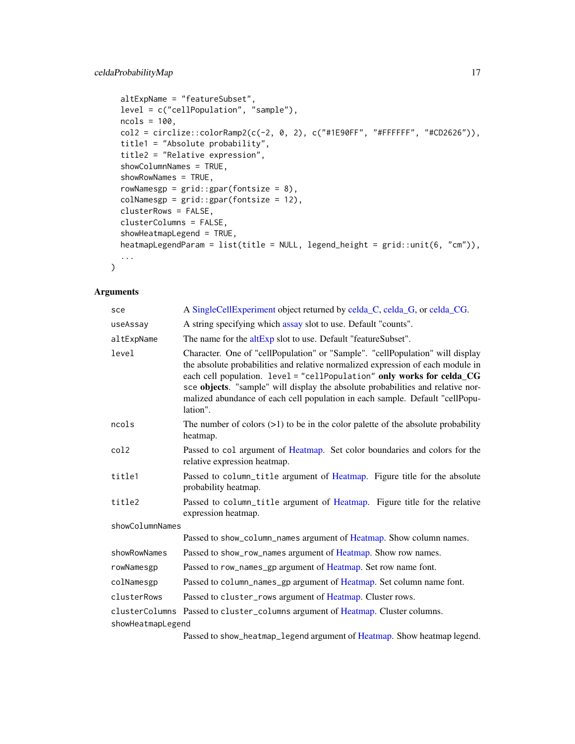## celdaProbabilityMap 17

```
altExpName = "featureSubset",
level = c("cellPopulation", "sample"),
ncols = 100,
col2 = circlize::colorRamp2(c(-2, 0, 2), c("#1E90FF", "#FFFFFF", "#CD2626")),
title1 = "Absolute probability",
title2 = "Relative expression",
showColumnNames = TRUE,
showRowNames = TRUE,
rowNamesgp = grid::gpar(fontsize = 8),
colNamesgp = grid::gpar(fontsize = 12),
clusterRows = FALSE,
clusterColumns = FALSE,
showHeatmapLegend = TRUE,
heatmapLegendParam = list(title = NULL, legend_height = grid::unit(6, "cm")),
...
```
## Arguments

)

| sce               | A SingleCellExperiment object returned by celda_C, celda_G, or celda_CG.                                                                                                                                                                                                                                                                                                                                                  |
|-------------------|---------------------------------------------------------------------------------------------------------------------------------------------------------------------------------------------------------------------------------------------------------------------------------------------------------------------------------------------------------------------------------------------------------------------------|
| useAssay          | A string specifying which assay slot to use. Default "counts".                                                                                                                                                                                                                                                                                                                                                            |
| altExpName        | The name for the altExp slot to use. Default "featureSubset".                                                                                                                                                                                                                                                                                                                                                             |
| level             | Character. One of "cellPopulation" or "Sample". "cellPopulation" will display<br>the absolute probabilities and relative normalized expression of each module in<br>each cell population. level = "cellPopulation" only works for celda_CG<br>sce objects. "sample" will display the absolute probabilities and relative nor-<br>malized abundance of each cell population in each sample. Default "cellPopu-<br>lation". |
| ncols             | The number of colors $(>1)$ to be in the color palette of the absolute probability<br>heatmap.                                                                                                                                                                                                                                                                                                                            |
| col2              | Passed to col argument of Heatmap. Set color boundaries and colors for the<br>relative expression heatmap.                                                                                                                                                                                                                                                                                                                |
| title1            | Passed to column_title argument of Heatmap. Figure title for the absolute<br>probability heatmap.                                                                                                                                                                                                                                                                                                                         |
| title2            | Passed to column_title argument of Heatmap. Figure title for the relative<br>expression heatmap.                                                                                                                                                                                                                                                                                                                          |
| showColumnNames   |                                                                                                                                                                                                                                                                                                                                                                                                                           |
|                   | Passed to show_column_names argument of Heatmap. Show column names.                                                                                                                                                                                                                                                                                                                                                       |
| showRowNames      | Passed to show_row_names argument of Heatmap. Show row names.                                                                                                                                                                                                                                                                                                                                                             |
| rowNamesgp        | Passed to row_names_gp argument of Heatmap. Set row name font.                                                                                                                                                                                                                                                                                                                                                            |
| colNamesgp        | Passed to column_names_gp argument of Heatmap. Set column name font.                                                                                                                                                                                                                                                                                                                                                      |
| clusterRows       | Passed to cluster_rows argument of Heatmap. Cluster rows.                                                                                                                                                                                                                                                                                                                                                                 |
|                   | clusterColumns Passed to cluster_columns argument of Heatmap. Cluster columns.                                                                                                                                                                                                                                                                                                                                            |
| showHeatmapLegend |                                                                                                                                                                                                                                                                                                                                                                                                                           |
|                   | Decend to ohour hootman, Lagand engineer of Heatman, Charr heatman Lagand                                                                                                                                                                                                                                                                                                                                                 |

Passed to show\_heatmap\_legend argument of [Heatmap.](#page-0-0) Show heatmap legend.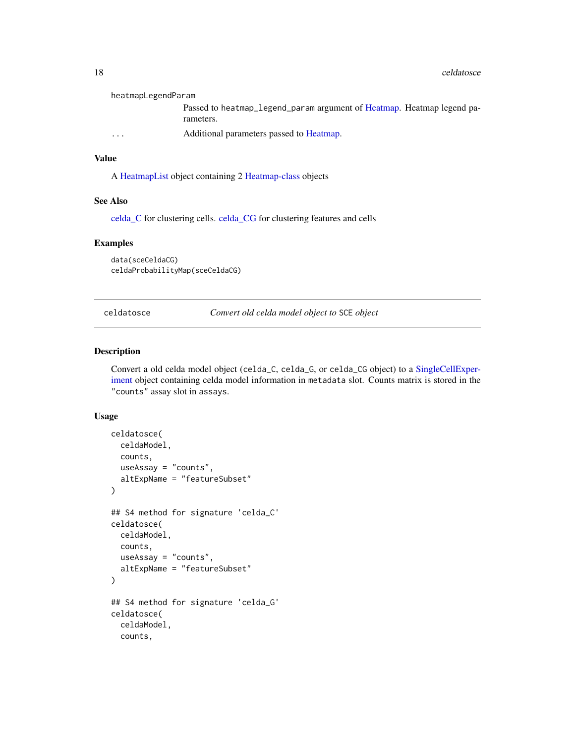<span id="page-17-0"></span>

| heatmapLegendParam      |                                                                                     |
|-------------------------|-------------------------------------------------------------------------------------|
|                         | Passed to heatmap_legend_param argument of Heatmap. Heatmap legend pa-<br>rameters. |
| $\cdot$ $\cdot$ $\cdot$ | Additional parameters passed to Heatmap.                                            |

## Value

A [HeatmapList](#page-0-0) object containing 2 [Heatmap-class](#page-0-0) objects

#### See Also

[celda\\_C](#page-23-1) for clustering cells. [celda\\_CG](#page-26-1) for clustering features and cells

## Examples

data(sceCeldaCG) celdaProbabilityMap(sceCeldaCG)

celdatosce *Convert old celda model object to* SCE *object*

## Description

Convert a old celda model object (celda\_C, celda\_G, or celda\_CG object) to a [SingleCellExper](#page-0-0)[iment](#page-0-0) object containing celda model information in metadata slot. Counts matrix is stored in the "counts" assay slot in assays.

```
celdatosce(
  celdaModel,
  counts,
  useAssay = "counts",
  altExpName = "featureSubset"
\mathcal{L}## S4 method for signature 'celda_C'
celdatosce(
  celdaModel,
  counts,
  useAssay = "counts",
  altExpName = "featureSubset"
)
## S4 method for signature 'celda_G'
celdatosce(
  celdaModel,
  counts,
```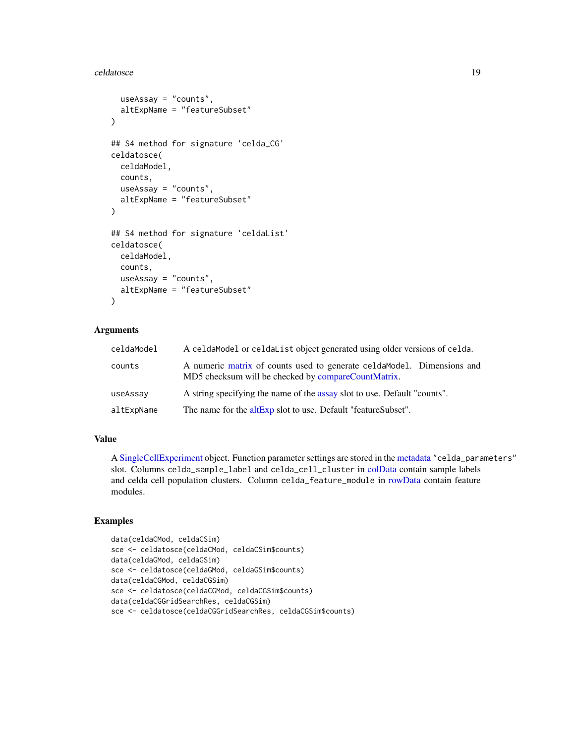#### celdatosce and the set of the set of the set of the set of the set of the set of the set of the set of the set of the set of the set of the set of the set of the set of the set of the set of the set of the set of the set o

```
useAssay = "counts",
  altExpName = "featureSubset"
)
## S4 method for signature 'celda_CG'
celdatosce(
  celdaModel,
  counts,
  useAssay = "counts",
  altExpName = "featureSubset"
)
## S4 method for signature 'celdaList'
celdatosce(
  celdaModel,
  counts,
  useAssay = "counts",
  altExpName = "featureSubset"
\mathcal{L}
```
## Arguments

| celdaModel | A celdamodel or celdalist object generated using older versions of celda.                                                      |
|------------|--------------------------------------------------------------------------------------------------------------------------------|
| counts     | A numeric matrix of counts used to generate celda Model. Dimensions and<br>MD5 checksum will be checked by compareCountMatrix. |
| useAssay   | A string specifying the name of the assay slot to use. Default "counts".                                                       |
| altExpName | The name for the altExp slot to use. Default "featureSubset".                                                                  |

#### Value

A [SingleCellExperiment](#page-0-0) object. Function parameter settings are stored in the [metadata](#page-0-0) "celda\_parameters" slot. Columns celda\_sample\_label and celda\_cell\_cluster in [colData](#page-0-0) contain sample labels and celda cell population clusters. Column celda\_feature\_module in [rowData](#page-0-0) contain feature modules.

## Examples

```
data(celdaCMod, celdaCSim)
sce <- celdatosce(celdaCMod, celdaCSim$counts)
data(celdaGMod, celdaGSim)
sce <- celdatosce(celdaGMod, celdaGSim$counts)
data(celdaCGMod, celdaCGSim)
sce <- celdatosce(celdaCGMod, celdaCGSim$counts)
data(celdaCGGridSearchRes, celdaCGSim)
sce <- celdatosce(celdaCGGridSearchRes, celdaCGSim$counts)
```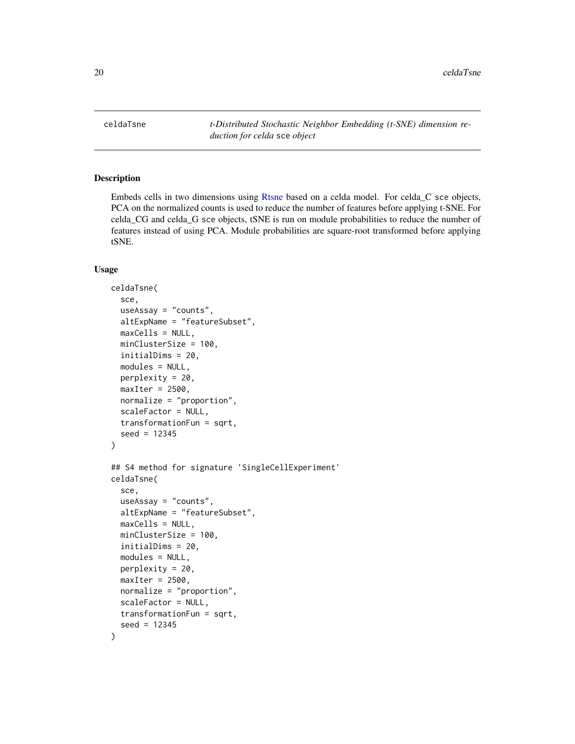<span id="page-19-0"></span>20 celdaTsne

celdaTsne *t-Distributed Stochastic Neighbor Embedding (t-SNE) dimension reduction for celda* sce *object*

#### Description

Embeds cells in two dimensions using [Rtsne](#page-0-0) based on a celda model. For celda\_C sce objects, PCA on the normalized counts is used to reduce the number of features before applying t-SNE. For celda\_CG and celda\_G sce objects, tSNE is run on module probabilities to reduce the number of features instead of using PCA. Module probabilities are square-root transformed before applying tSNE.

```
celdaTsne(
  sce,
  useAssay = "counts",
  altExpName = "featureSubset",
  maxCells = NULL,minClusterSize = 100,
  initialDims = 20,
  modules = NULL,
  perplexity = 20,
  maxIter = 2500.
  normalize = "proportion",
  scaleFactor = NULL,
  transformationFun = sqrt,
  seed = 12345
)
## S4 method for signature 'SingleCellExperiment'
celdaTsne(
  sce,
  useAssay = "counts",
  altExpName = "featureSubset",
  maxCells = NULL,minClusterSize = 100,
  initialDims = 20,
  modules = NULL,
 perplexity = 20,
  maxIter = 2500,
  normalize = "proportion",
  scaleFactor = NULL,
  transformationFun = sqrt,
  seed = 12345
)
```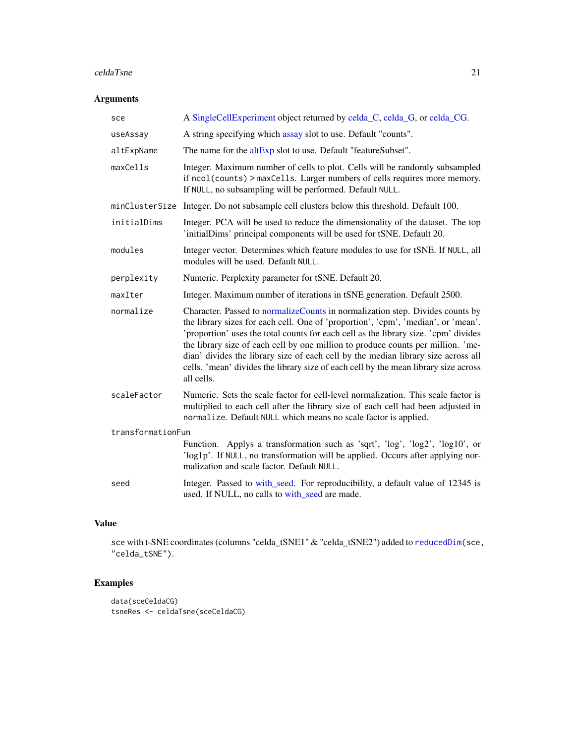#### celdaTsne 21

## Arguments

| sce               | A SingleCellExperiment object returned by celda_C, celda_G, or celda_CG.                                                                                                                                                                                                                                                                                                                                                                                                                                                                |  |
|-------------------|-----------------------------------------------------------------------------------------------------------------------------------------------------------------------------------------------------------------------------------------------------------------------------------------------------------------------------------------------------------------------------------------------------------------------------------------------------------------------------------------------------------------------------------------|--|
| useAssay          | A string specifying which assay slot to use. Default "counts".                                                                                                                                                                                                                                                                                                                                                                                                                                                                          |  |
| altExpName        | The name for the altExp slot to use. Default "featureSubset".                                                                                                                                                                                                                                                                                                                                                                                                                                                                           |  |
| maxCells          | Integer. Maximum number of cells to plot. Cells will be randomly subsampled<br>if ncol(counts) > maxCells. Larger numbers of cells requires more memory.<br>If NULL, no subsampling will be performed. Default NULL.                                                                                                                                                                                                                                                                                                                    |  |
| minClusterSize    | Integer. Do not subsample cell clusters below this threshold. Default 100.                                                                                                                                                                                                                                                                                                                                                                                                                                                              |  |
| initialDims       | Integer. PCA will be used to reduce the dimensionality of the dataset. The top<br>'initialDims' principal components will be used for tSNE. Default 20.                                                                                                                                                                                                                                                                                                                                                                                 |  |
| modules           | Integer vector. Determines which feature modules to use for tSNE. If NULL, all<br>modules will be used. Default NULL.                                                                                                                                                                                                                                                                                                                                                                                                                   |  |
| perplexity        | Numeric. Perplexity parameter for tSNE. Default 20.                                                                                                                                                                                                                                                                                                                                                                                                                                                                                     |  |
| maxIter           | Integer. Maximum number of iterations in tSNE generation. Default 2500.                                                                                                                                                                                                                                                                                                                                                                                                                                                                 |  |
| normalize         | Character. Passed to normalizeCounts in normalization step. Divides counts by<br>the library sizes for each cell. One of 'proportion', 'cpm', 'median', or 'mean'.<br>'proportion' uses the total counts for each cell as the library size. 'cpm' divides<br>the library size of each cell by one million to produce counts per million. 'me-<br>dian' divides the library size of each cell by the median library size across all<br>cells. 'mean' divides the library size of each cell by the mean library size across<br>all cells. |  |
| scaleFactor       | Numeric. Sets the scale factor for cell-level normalization. This scale factor is<br>multiplied to each cell after the library size of each cell had been adjusted in<br>normalize. Default NULL which means no scale factor is applied.                                                                                                                                                                                                                                                                                                |  |
| transformationFun |                                                                                                                                                                                                                                                                                                                                                                                                                                                                                                                                         |  |
|                   | Function. Applys a transformation such as 'sqrt', 'log', 'log2', 'log10', or<br>'log1p'. If NULL, no transformation will be applied. Occurs after applying nor-<br>malization and scale factor. Default NULL.                                                                                                                                                                                                                                                                                                                           |  |
| seed              | Integer. Passed to with_seed. For reproducibility, a default value of 12345 is<br>used. If NULL, no calls to with_seed are made.                                                                                                                                                                                                                                                                                                                                                                                                        |  |

# Value

sce with t-SNE coordinates (columns "celda\_tSNE1" & "celda\_tSNE2") added to [reducedDim\(](#page-0-0)sce, "celda\_tSNE").

# Examples

```
data(sceCeldaCG)
tsneRes <- celdaTsne(sceCeldaCG)
```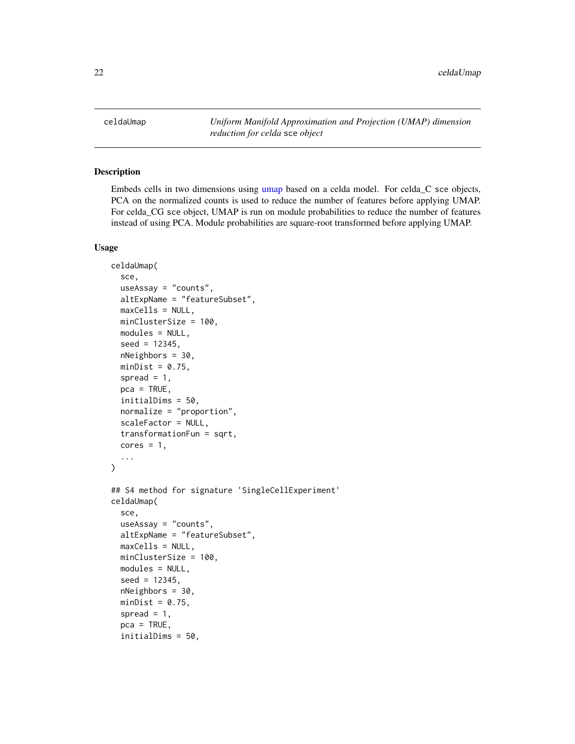<span id="page-21-0"></span>celdaUmap *Uniform Manifold Approximation and Projection (UMAP) dimension reduction for celda* sce *object*

## Description

Embeds cells in two dimensions using [umap](#page-0-0) based on a celda model. For celda\_C sce objects, PCA on the normalized counts is used to reduce the number of features before applying UMAP. For celda\_CG sce object, UMAP is run on module probabilities to reduce the number of features instead of using PCA. Module probabilities are square-root transformed before applying UMAP.

```
celdaUmap(
  sce,
  useAssay = "counts",
  altExpName = "featureSubset",
  maxCells = NULL,
  minClusterSize = 100,
  modules = NULL,
  seed = 12345,nNeighbors = 30,
  minDist = 0.75,
  spread = 1,
  pca = TRUE,
  initialDims = 50,
  normalize = "proportion",
  scaleFactor = NULL,
  transformationFun = sqrt,
  cores = 1,...
)
## S4 method for signature 'SingleCellExperiment'
celdaUmap(
  sce,
  useAssay = "counts",
  altExpName = "featureSubset",
  maxCells = NULL,minClusterSize = 100,
  modules = NULL,
  seed = 12345,
  nNeighbors = 30,
  minDist = 0.75,
  spread = 1,
  pca = TRUE,initialDims = 50,
```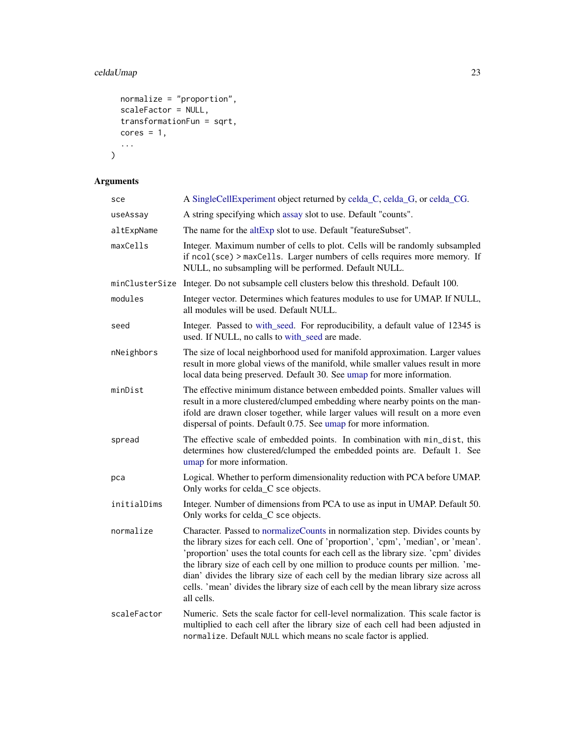# celdaUmap 23

```
normalize = "proportion",
 scaleFactor = NULL,
 transformationFun = sqrt,cores = 1,...
\mathcal{L}
```
# Arguments

| sce            | A SingleCellExperiment object returned by celda_C, celda_G, or celda_CG.                                                                                                                                                                                                                                                                                                                                                                                                                                                                |
|----------------|-----------------------------------------------------------------------------------------------------------------------------------------------------------------------------------------------------------------------------------------------------------------------------------------------------------------------------------------------------------------------------------------------------------------------------------------------------------------------------------------------------------------------------------------|
| useAssay       | A string specifying which assay slot to use. Default "counts".                                                                                                                                                                                                                                                                                                                                                                                                                                                                          |
| altExpName     | The name for the altExp slot to use. Default "featureSubset".                                                                                                                                                                                                                                                                                                                                                                                                                                                                           |
| maxCells       | Integer. Maximum number of cells to plot. Cells will be randomly subsampled<br>if ncol(sce) > maxCells. Larger numbers of cells requires more memory. If<br>NULL, no subsampling will be performed. Default NULL.                                                                                                                                                                                                                                                                                                                       |
| minClusterSize | Integer. Do not subsample cell clusters below this threshold. Default 100.                                                                                                                                                                                                                                                                                                                                                                                                                                                              |
| modules        | Integer vector. Determines which features modules to use for UMAP. If NULL,<br>all modules will be used. Default NULL.                                                                                                                                                                                                                                                                                                                                                                                                                  |
| seed           | Integer. Passed to with_seed. For reproducibility, a default value of 12345 is<br>used. If NULL, no calls to with_seed are made.                                                                                                                                                                                                                                                                                                                                                                                                        |
| nNeighbors     | The size of local neighborhood used for manifold approximation. Larger values<br>result in more global views of the manifold, while smaller values result in more<br>local data being preserved. Default 30. See umap for more information.                                                                                                                                                                                                                                                                                             |
| minDist        | The effective minimum distance between embedded points. Smaller values will<br>result in a more clustered/clumped embedding where nearby points on the man-<br>ifold are drawn closer together, while larger values will result on a more even<br>dispersal of points. Default 0.75. See umap for more information.                                                                                                                                                                                                                     |
| spread         | The effective scale of embedded points. In combination with min_dist, this<br>determines how clustered/clumped the embedded points are. Default 1. See<br>umap for more information.                                                                                                                                                                                                                                                                                                                                                    |
| рса            | Logical. Whether to perform dimensionality reduction with PCA before UMAP.<br>Only works for celda_C sce objects.                                                                                                                                                                                                                                                                                                                                                                                                                       |
| initialDims    | Integer. Number of dimensions from PCA to use as input in UMAP. Default 50.<br>Only works for celda_C sce objects.                                                                                                                                                                                                                                                                                                                                                                                                                      |
| normalize      | Character. Passed to normalizeCounts in normalization step. Divides counts by<br>the library sizes for each cell. One of 'proportion', 'cpm', 'median', or 'mean'.<br>'proportion' uses the total counts for each cell as the library size. 'cpm' divides<br>the library size of each cell by one million to produce counts per million. 'me-<br>dian' divides the library size of each cell by the median library size across all<br>cells. 'mean' divides the library size of each cell by the mean library size across<br>all cells. |
| scaleFactor    | Numeric. Sets the scale factor for cell-level normalization. This scale factor is<br>multiplied to each cell after the library size of each cell had been adjusted in<br>normalize. Default NULL which means no scale factor is applied.                                                                                                                                                                                                                                                                                                |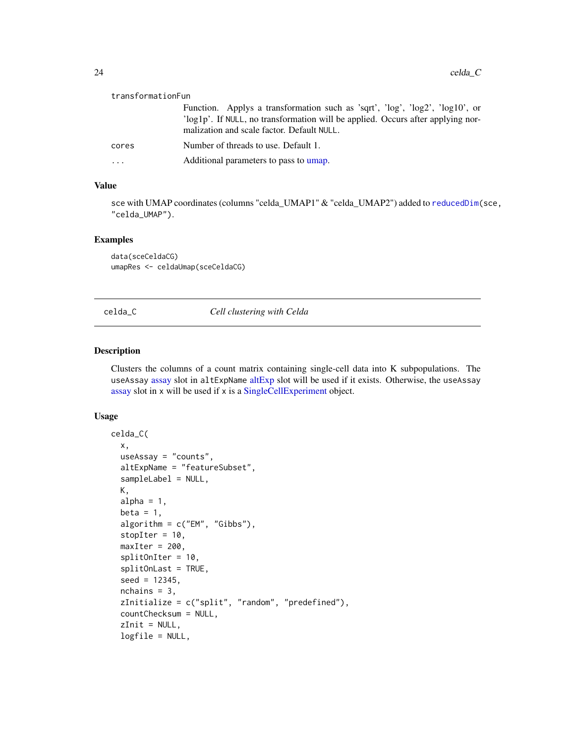<span id="page-23-0"></span>

| transformationFun |                                                                                                                               |  |
|-------------------|-------------------------------------------------------------------------------------------------------------------------------|--|
|                   | Function. Applys a transformation such as 'sqrt', ' $log'$ ', ' $log'$ ', ' $log'$ ', ' $log 10'$ ', or                       |  |
|                   | 'log1p'. If NULL, no transformation will be applied. Occurs after applying nor-<br>malization and scale factor. Default NULL. |  |
| cores             | Number of threads to use. Default 1.                                                                                          |  |
| .                 | Additional parameters to pass to umap.                                                                                        |  |

#### Value

sce with UMAP coordinates (columns "celda\_UMAP1" & "celda\_UMAP2") added to [reducedDim\(](#page-0-0)sce, "celda\_UMAP").

#### Examples

data(sceCeldaCG) umapRes <- celdaUmap(sceCeldaCG)

<span id="page-23-1"></span>celda\_C *Cell clustering with Celda*

## Description

Clusters the columns of a count matrix containing single-cell data into K subpopulations. The useAssay [assay](#page-0-0) slot in altExpName [altExp](#page-0-0) slot will be used if it exists. Otherwise, the useAssay [assay](#page-0-0) slot in x will be used if x is a [SingleCellExperiment](#page-0-0) object.

```
celda_C(
  x,
  useAssay = "counts",
  altExpName = "featureSubset",
  sampleLabel = NULL,
  K,
  alpha = 1,
  beta = 1,
  algorithm = c("EM", "Gibbs"),
  stopIter = 10,
  maxIter = 200,splitOnIter = 10,
  splitOnLast = TRUE,
  seed = 12345,
  nchains = 3,
  zInitialize = c("split", "random", "predefined"),
  countChecksum = NULL,
  zInit = NULL,
  logfile = NULL,
```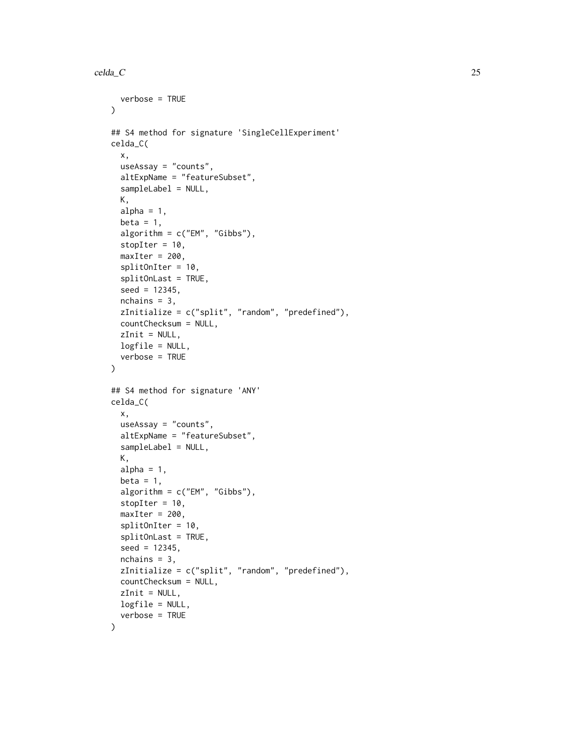```
verbose = TRUE
\lambda## S4 method for signature 'SingleCellExperiment'
celda_C(
  x,
 useAssay = "counts",
 altExpName = "featureSubset",
  sampleLabel = NULL,
 K,
  alpha = 1,
  beta = 1,
  algorithm = c("EM", "Gibbs"),
  stopIter = 10,
 maxIter = 200,splitOnIter = 10,
  splitOnLast = TRUE,
  seed = 12345,nchains = 3,
  zInitialize = c("split", "random", "predefined"),
  countChecksum = NULL,
  zInit = NULL,logfile = NULL,
  verbose = TRUE
)
## S4 method for signature 'ANY'
celda_C(
  x,
  useAssay = "counts",
  altExpName = "featureSubset",
  sampleLabel = NULL,
  K,
  alpha = 1,
  beta = 1,
  algorithm = c("EM", "Gibbs"),stopIter = 10,
 maxIter = 200,splitOnIter = 10,
  splitOnLast = TRUE,
  seed = 12345,nchains = 3,
  zInitialize = c("split", "random", "predefined"),
  countChecksum = NULL,
  zInit = NULL,
  logfile = NULL,verbose = TRUE
)
```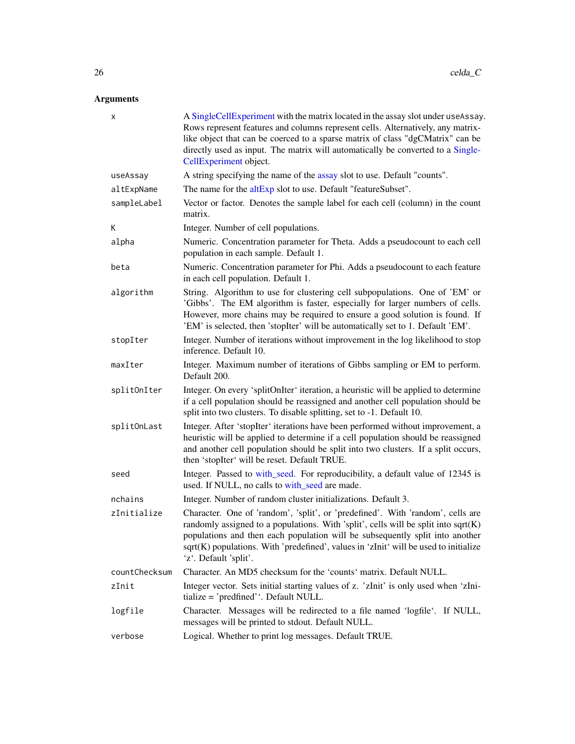## Arguments

| х             | A SingleCellExperiment with the matrix located in the assay slot under useAssay.<br>Rows represent features and columns represent cells. Alternatively, any matrix-<br>like object that can be coerced to a sparse matrix of class "dgCMatrix" can be<br>directly used as input. The matrix will automatically be converted to a Single-<br>CellExperiment object.    |
|---------------|-----------------------------------------------------------------------------------------------------------------------------------------------------------------------------------------------------------------------------------------------------------------------------------------------------------------------------------------------------------------------|
| useAssay      | A string specifying the name of the assay slot to use. Default "counts".                                                                                                                                                                                                                                                                                              |
| altExpName    | The name for the altExp slot to use. Default "featureSubset".                                                                                                                                                                                                                                                                                                         |
| sampleLabel   | Vector or factor. Denotes the sample label for each cell (column) in the count<br>matrix.                                                                                                                                                                                                                                                                             |
| K             | Integer. Number of cell populations.                                                                                                                                                                                                                                                                                                                                  |
| alpha         | Numeric. Concentration parameter for Theta. Adds a pseudocount to each cell<br>population in each sample. Default 1.                                                                                                                                                                                                                                                  |
| beta          | Numeric. Concentration parameter for Phi. Adds a pseudocount to each feature<br>in each cell population. Default 1.                                                                                                                                                                                                                                                   |
| algorithm     | String. Algorithm to use for clustering cell subpopulations. One of 'EM' or<br>'Gibbs'. The EM algorithm is faster, especially for larger numbers of cells.<br>However, more chains may be required to ensure a good solution is found. If<br>'EM' is selected, then 'stopIter' will be automatically set to 1. Default 'EM'.                                         |
| stopIter      | Integer. Number of iterations without improvement in the log likelihood to stop<br>inference. Default 10.                                                                                                                                                                                                                                                             |
| maxIter       | Integer. Maximum number of iterations of Gibbs sampling or EM to perform.<br>Default 200.                                                                                                                                                                                                                                                                             |
| splitOnIter   | Integer. On every 'splitOnIter' iteration, a heuristic will be applied to determine<br>if a cell population should be reassigned and another cell population should be<br>split into two clusters. To disable splitting, set to -1. Default 10.                                                                                                                       |
| splitOnLast   | Integer. After 'stopIter' iterations have been performed without improvement, a<br>heuristic will be applied to determine if a cell population should be reassigned<br>and another cell population should be split into two clusters. If a split occurs,<br>then 'stopIter' will be reset. Default TRUE.                                                              |
| seed          | Integer. Passed to with_seed. For reproducibility, a default value of 12345 is<br>used. If NULL, no calls to with_seed are made.                                                                                                                                                                                                                                      |
| nchains       | Integer. Number of random cluster initializations. Default 3.                                                                                                                                                                                                                                                                                                         |
| zInitialize   | Character. One of 'random', 'split', or 'predefined'. With 'random', cells are<br>randomly assigned to a populations. With 'split', cells will be split into sqrt(K)<br>populations and then each population will be subsequently split into another<br>sqrt(K) populations. With 'predefined', values in 'zInit' will be used to initialize<br>'z'. Default 'split'. |
| countChecksum | Character. An MD5 checksum for the 'counts' matrix. Default NULL.                                                                                                                                                                                                                                                                                                     |
| zInit         | Integer vector. Sets initial starting values of z. 'zInit' is only used when 'zIni-<br>tialize = 'predfined''. Default NULL.                                                                                                                                                                                                                                          |
| logfile       | Character. Messages will be redirected to a file named 'logfile'. If NULL,<br>messages will be printed to stdout. Default NULL.                                                                                                                                                                                                                                       |
| verbose       | Logical. Whether to print log messages. Default TRUE.                                                                                                                                                                                                                                                                                                                 |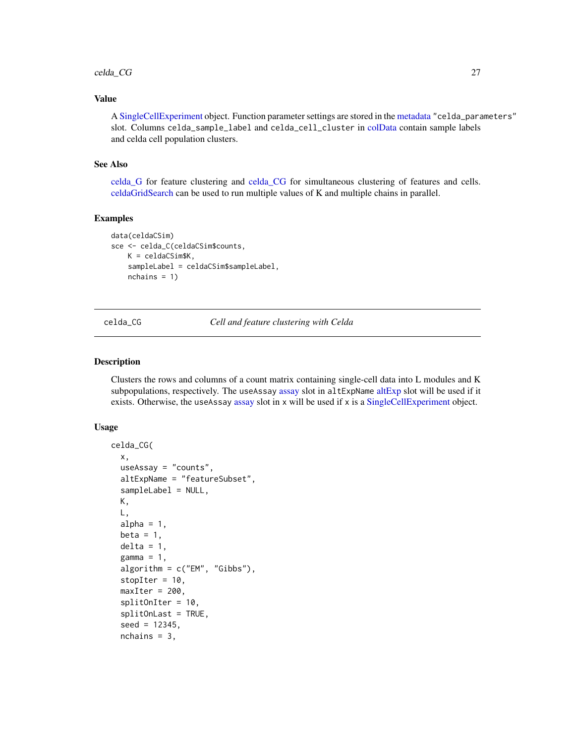#### <span id="page-26-0"></span>celda\_CG 27

## Value

A [SingleCellExperiment](#page-0-0) object. Function parameter settings are stored in the [metadata](#page-0-0) "celda\_parameters" slot. Columns celda\_sample\_label and celda\_cell\_cluster in [colData](#page-0-0) contain sample labels and celda cell population clusters.

#### See Also

[celda\\_G](#page-30-1) for feature clustering and [celda\\_CG](#page-26-1) for simultaneous clustering of features and cells. [celdaGridSearch](#page-8-1) can be used to run multiple values of K and multiple chains in parallel.

#### Examples

```
data(celdaCSim)
sce <- celda_C(celdaCSim$counts,
   K = celdaCSim$K,
   sampleLabel = celdaCSim$sampleLabel,
   nchains = 1)
```
<span id="page-26-1"></span>

celda\_CG *Cell and feature clustering with Celda*

#### Description

Clusters the rows and columns of a count matrix containing single-cell data into L modules and K subpopulations, respectively. The useAssay [assay](#page-0-0) slot in [altExp](#page-0-0)Name altExp slot will be used if it exists. Otherwise, the useAssay [assay](#page-0-0) slot in x will be used if x is a [SingleCellExperiment](#page-0-0) object.

```
celda_CG(
  x,
  useAssay = "counts",
  altExpName = "featureSubset",
  sampleLabel = NULL,
 K,
 L,
  alpha = 1,
 beta = 1,
  delta = 1,
  gamma = 1,
  algorithm = c("EM", "Gibbs"),
  stopIter = 10,
  maxIter = 200,splitOnIter = 10,
  splitOnLast = TRUE,
  seed = 12345,nchains = 3,
```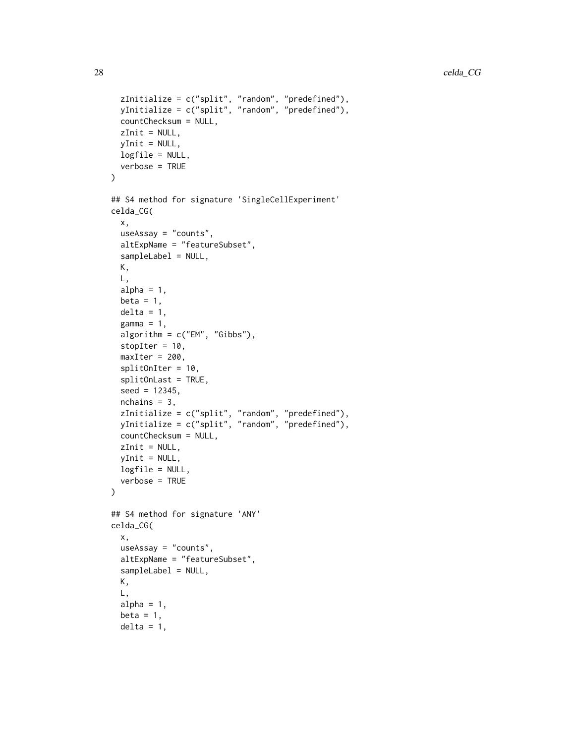```
zInitialize = c("split", "random", "predefined"),yInitialize = c("split", "random", "predefined"),
  countChecksum = NULL,
 zInit = NULL,yInit = NULL,
 logfile = NULL,
 verbose = TRUE
\mathcal{L}## S4 method for signature 'SingleCellExperiment'
celda_CG(
  x,
  useAssay = "counts",
  altExpName = "featureSubset",
  sampleLabel = NULL,
 K,
 L,
  alpha = 1,
  beta = 1,
  delta = 1,
  gamma = 1,
  algorithm = c("EM", "Gibbs"),
  stopIter = 10,
  maxIter = 200,splitOnIter = 10,
  splitOnLast = TRUE,
  seed = 12345,nchains = 3,
  zInitialize = c("split", "random", "predefined"),
 yInitialize = c("split", "random", "predefined"),
  countChecksum = NULL,
 zInit = NULL,yInit = NULL,logfile = NULL,
  verbose = TRUE
)
## S4 method for signature 'ANY'
celda_CG(
  x,
  useAssay = "counts",
  altExpName = "featureSubset",
  sampleLabel = NULL,
 K,
 L,
  alpha = 1,
  beta = 1,
  delta = 1,
```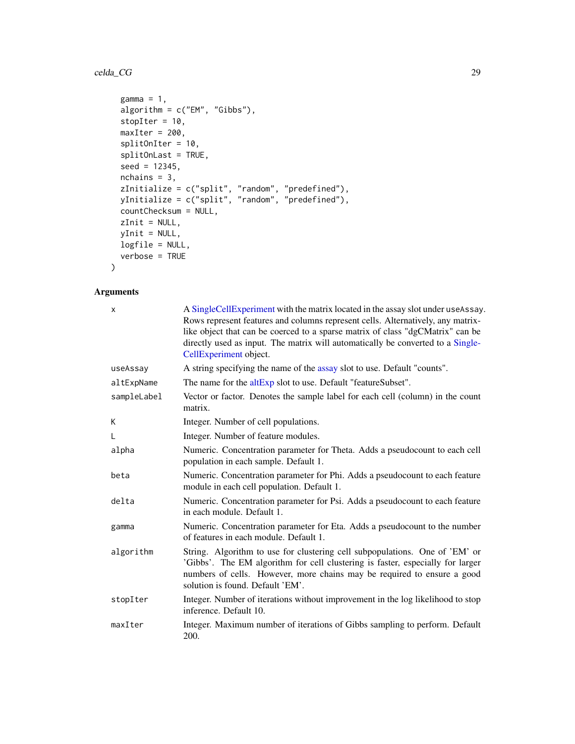#### celda\_CG 29

```
gamma = 1,
 algorithm = c("EM", "Gibbs"),
 stopIter = 10,
 maxIter = 200,splitOnIter = 10,
 splitOnLast = TRUE,
 seed = 12345,nchains = 3,
  zInitialize = c("split", "random", "predefined"),
  yInitialize = c("split", "random", "predefined"),
 countChecksum = NULL,
 zInit = NULL,
 yInit = NULL,
 logfile = NULL,
 verbose = TRUE
\mathcal{L}
```
## Arguments

| $\mathsf{x}$ | A SingleCellExperiment with the matrix located in the assay slot under useAssay.<br>Rows represent features and columns represent cells. Alternatively, any matrix-<br>like object that can be coerced to a sparse matrix of class "dgCMatrix" can be<br>directly used as input. The matrix will automatically be converted to a Single-<br>CellExperiment object. |
|--------------|--------------------------------------------------------------------------------------------------------------------------------------------------------------------------------------------------------------------------------------------------------------------------------------------------------------------------------------------------------------------|
| useAssay     | A string specifying the name of the assay slot to use. Default "counts".                                                                                                                                                                                                                                                                                           |
| altExpName   | The name for the altExp slot to use. Default "featureSubset".                                                                                                                                                                                                                                                                                                      |
| sampleLabel  | Vector or factor. Denotes the sample label for each cell (column) in the count<br>matrix.                                                                                                                                                                                                                                                                          |
| К            | Integer. Number of cell populations.                                                                                                                                                                                                                                                                                                                               |
| L            | Integer. Number of feature modules.                                                                                                                                                                                                                                                                                                                                |
| alpha        | Numeric. Concentration parameter for Theta. Adds a pseudocount to each cell<br>population in each sample. Default 1.                                                                                                                                                                                                                                               |
| beta         | Numeric. Concentration parameter for Phi. Adds a pseudocount to each feature<br>module in each cell population. Default 1.                                                                                                                                                                                                                                         |
| delta        | Numeric. Concentration parameter for Psi. Adds a pseudocount to each feature<br>in each module. Default 1.                                                                                                                                                                                                                                                         |
| gamma        | Numeric. Concentration parameter for Eta. Adds a pseudocount to the number<br>of features in each module. Default 1.                                                                                                                                                                                                                                               |
| algorithm    | String. Algorithm to use for clustering cell subpopulations. One of 'EM' or<br>'Gibbs'. The EM algorithm for cell clustering is faster, especially for larger<br>numbers of cells. However, more chains may be required to ensure a good<br>solution is found. Default 'EM'.                                                                                       |
| stopIter     | Integer. Number of iterations without improvement in the log likelihood to stop<br>inference. Default 10.                                                                                                                                                                                                                                                          |
| maxIter      | Integer. Maximum number of iterations of Gibbs sampling to perform. Default<br>200.                                                                                                                                                                                                                                                                                |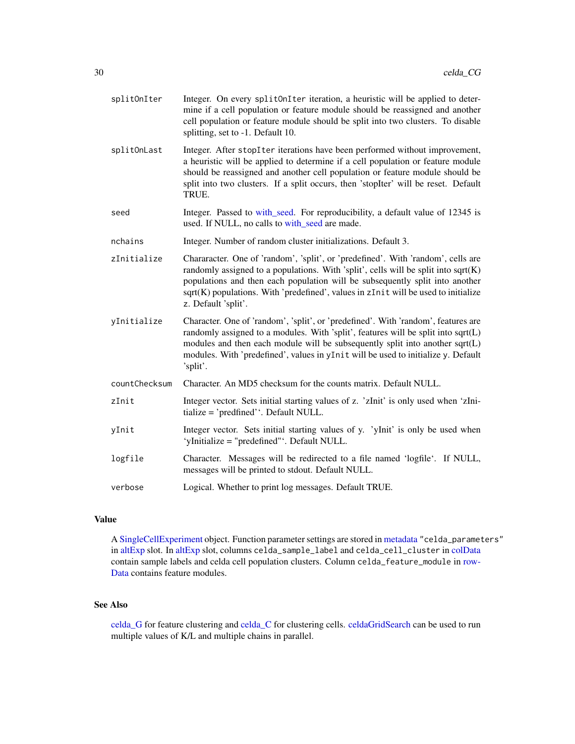| splitOnIter   | Integer. On every split0nIter iteration, a heuristic will be applied to deter-<br>mine if a cell population or feature module should be reassigned and another<br>cell population or feature module should be split into two clusters. To disable<br>splitting, set to -1. Default 10.                                                                                  |
|---------------|-------------------------------------------------------------------------------------------------------------------------------------------------------------------------------------------------------------------------------------------------------------------------------------------------------------------------------------------------------------------------|
| splitOnLast   | Integer. After stopIter iterations have been performed without improvement,<br>a heuristic will be applied to determine if a cell population or feature module<br>should be reassigned and another cell population or feature module should be<br>split into two clusters. If a split occurs, then 'stopIter' will be reset. Default<br>TRUE.                           |
| seed          | Integer. Passed to with_seed. For reproducibility, a default value of 12345 is<br>used. If NULL, no calls to with_seed are made.                                                                                                                                                                                                                                        |
| nchains       | Integer. Number of random cluster initializations. Default 3.                                                                                                                                                                                                                                                                                                           |
| zInitialize   | Character. One of 'random', 'split', or 'predefined'. With 'random', cells are<br>randomly assigned to a populations. With 'split', cells will be split into $sqrt(K)$<br>populations and then each population will be subsequently split into another<br>$sqrt(K)$ populations. With 'predefined', values in $zInit$ will be used to initialize<br>z. Default 'split'. |
| yInitialize   | Character. One of 'random', 'split', or 'predefined'. With 'random', features are<br>randomly assigned to a modules. With 'split', features will be split into sqrt(L)<br>modules and then each module will be subsequently split into another sqrt(L)<br>modules. With 'predefined', values in yInit will be used to initialize y. Default<br>'split'.                 |
| countChecksum | Character. An MD5 checksum for the counts matrix. Default NULL.                                                                                                                                                                                                                                                                                                         |
| zInit         | Integer vector. Sets initial starting values of z. 'zInit' is only used when 'zIni-<br>tialize = 'predfined''. Default NULL.                                                                                                                                                                                                                                            |
| yInit         | Integer vector. Sets initial starting values of y. 'yInit' is only be used when<br>'yInitialize = "predefined"'. Default NULL.                                                                                                                                                                                                                                          |
| logfile       | Character. Messages will be redirected to a file named 'logfile'. If NULL,<br>messages will be printed to stdout. Default NULL.                                                                                                                                                                                                                                         |
| verbose       | Logical. Whether to print log messages. Default TRUE.                                                                                                                                                                                                                                                                                                                   |

## Value

A [SingleCellExperiment](#page-0-0) object. Function parameter settings are stored in [metadata](#page-0-0) "celda\_parameters" in [altExp](#page-0-0) slot. In [altExp](#page-0-0) slot, columns celda\_sample\_label and celda\_cell\_cluster in [colData](#page-0-0) contain sample labels and celda cell population clusters. Column celda\_feature\_module in [row-](#page-0-0)[Data](#page-0-0) contains feature modules.

## See Also

[celda\\_G](#page-30-1) for feature clustering and [celda\\_C](#page-23-1) for clustering cells. [celdaGridSearch](#page-8-1) can be used to run multiple values of K/L and multiple chains in parallel.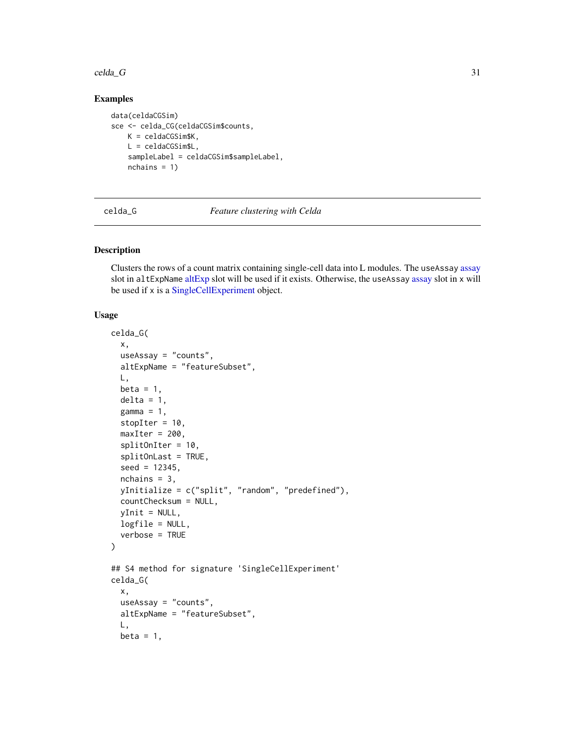#### <span id="page-30-0"></span> $\text{celda}_G$  31

## Examples

```
data(celdaCGSim)
sce <- celda_CG(celdaCGSim$counts,
   K = celdaCGSim$K,
   L = celdaCGSim$L,
   sampleLabel = celdaCGSim$sampleLabel,
   nchains = 1)
```
<span id="page-30-1"></span>celda\_G *Feature clustering with Celda*

#### Description

Clusters the rows of a count matrix containing single-cell data into L modules. The useAssay [assay](#page-0-0) slot in [altExp](#page-0-0)Name altExp slot will be used if it exists. Otherwise, the useAssay [assay](#page-0-0) slot in x will be used if x is a [SingleCellExperiment](#page-0-0) object.

```
celda_G(
  x,
  useAssay = "counts",
  altExpName = "featureSubset",
 L,
  beta = 1,
  delta = 1,
  gamma = 1,
  stopIter = 10,
  maxIter = 200,splitOnIter = 10,
  splitOnLast = TRUE,
  seed = 12345,nchains = 3,
  yInitialize = c("split", "random", "predefined"),
  countChecksum = NULL,
  yInit = NULL,
  logfile = NULL,
  verbose = TRUE
)
## S4 method for signature 'SingleCellExperiment'
celda_G(
  x,
  useAssay = "counts",
  altExpName = "featureSubset",
  L,
 beta = 1,
```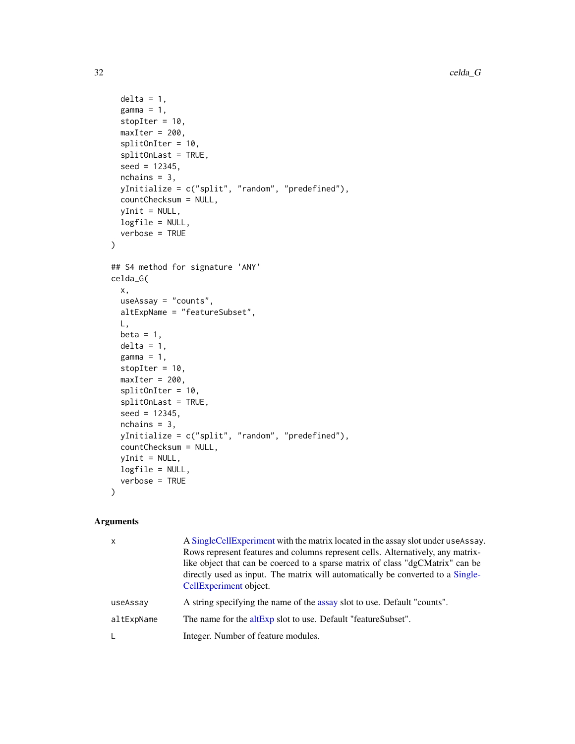```
delta = 1,
  gamma = 1,
  stopIter = 10,
 maxIter = 200,splitOnIter = 10,
  splitOnLast = TRUE,
  seed = 12345,nchains = 3,
 yInitialize = c("split", "random", "predefined"),
 countChecksum = NULL,
 yInit = NULL,
 logfile = NULL,
 verbose = TRUE
\mathcal{L}## S4 method for signature 'ANY'
celda_G(
  x,
 useAssay = "counts",
  altExpName = "featureSubset",
 L,
 beta = 1,
 delta = 1,
  gamma = 1,
  stopIter = 10,
 maxIter = 200,splitOnIter = 10,
  splitOnLast = TRUE,
  seed = 12345,nchains = 3,
  yInitialize = c("split", "random", "predefined"),
 countChecksum = NULL,
 yInit = NULL,
 logfile = NULL,
  verbose = TRUE
\mathcal{L}
```
## Arguments

| $\mathsf{x}$ | A Single Cell Experiment with the matrix located in the assay slot under use Assay.<br>Rows represent features and columns represent cells. Alternatively, any matrix-<br>like object that can be coerced to a sparse matrix of class "dgCMatrix" can be<br>directly used as input. The matrix will automatically be converted to a Single-<br>CellExperiment object. |
|--------------|-----------------------------------------------------------------------------------------------------------------------------------------------------------------------------------------------------------------------------------------------------------------------------------------------------------------------------------------------------------------------|
| useAssay     | A string specifying the name of the assay slot to use. Default "counts".                                                                                                                                                                                                                                                                                              |
| altExpName   | The name for the altExp slot to use. Default "featureSubset".                                                                                                                                                                                                                                                                                                         |
|              | Integer. Number of feature modules.                                                                                                                                                                                                                                                                                                                                   |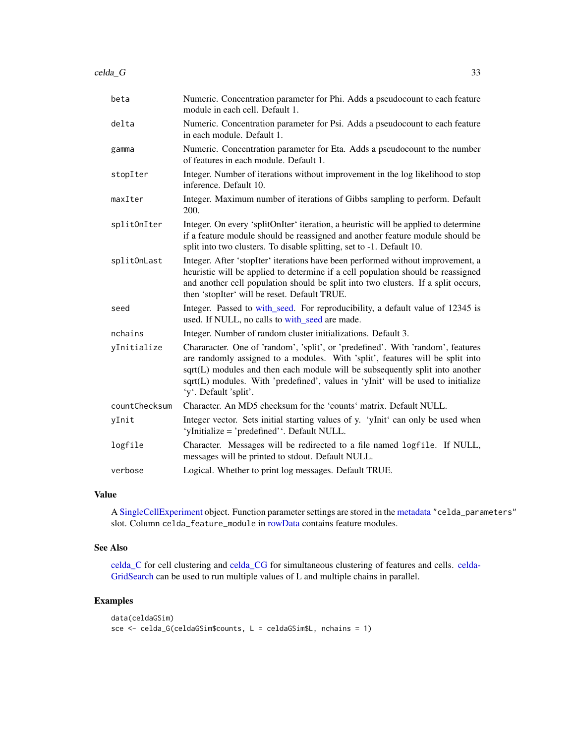| beta          | Numeric. Concentration parameter for Phi. Adds a pseudocount to each feature<br>module in each cell. Default 1.                                                                                                                                                                                                                                               |
|---------------|---------------------------------------------------------------------------------------------------------------------------------------------------------------------------------------------------------------------------------------------------------------------------------------------------------------------------------------------------------------|
| delta         | Numeric. Concentration parameter for Psi. Adds a pseudocount to each feature<br>in each module. Default 1.                                                                                                                                                                                                                                                    |
| gamma         | Numeric. Concentration parameter for Eta. Adds a pseudocount to the number<br>of features in each module. Default 1.                                                                                                                                                                                                                                          |
| stopIter      | Integer. Number of iterations without improvement in the log likelihood to stop<br>inference. Default 10.                                                                                                                                                                                                                                                     |
| maxIter       | Integer. Maximum number of iterations of Gibbs sampling to perform. Default<br>200.                                                                                                                                                                                                                                                                           |
| splitOnIter   | Integer. On every 'splitOnIter' iteration, a heuristic will be applied to determine<br>if a feature module should be reassigned and another feature module should be<br>split into two clusters. To disable splitting, set to -1. Default 10.                                                                                                                 |
| splitOnLast   | Integer. After 'stopIter' iterations have been performed without improvement, a<br>heuristic will be applied to determine if a cell population should be reassigned<br>and another cell population should be split into two clusters. If a split occurs,<br>then 'stopIter' will be reset. Default TRUE.                                                      |
| seed          | Integer. Passed to with_seed. For reproducibility, a default value of 12345 is<br>used. If NULL, no calls to with_seed are made.                                                                                                                                                                                                                              |
| nchains       | Integer. Number of random cluster initializations. Default 3.                                                                                                                                                                                                                                                                                                 |
| yInitialize   | Chararacter. One of 'random', 'split', or 'predefined'. With 'random', features<br>are randomly assigned to a modules. With 'split', features will be split into<br>sqrt(L) modules and then each module will be subsequently split into another<br>sqrt(L) modules. With 'predefined', values in 'yInit' will be used to initialize<br>'y'. Default 'split'. |
| countChecksum | Character. An MD5 checksum for the 'counts' matrix. Default NULL.                                                                                                                                                                                                                                                                                             |
| yInit         | Integer vector. Sets initial starting values of y. 'yInit' can only be used when<br>'yInitialize = 'predefined''. Default NULL.                                                                                                                                                                                                                               |
| logfile       | Character. Messages will be redirected to a file named logfile. If NULL,<br>messages will be printed to stdout. Default NULL.                                                                                                                                                                                                                                 |
| verbose       | Logical. Whether to print log messages. Default TRUE.                                                                                                                                                                                                                                                                                                         |

#### Value

A [SingleCellExperiment](#page-0-0) object. Function parameter settings are stored in the [metadata](#page-0-0) "celda\_parameters" slot. Column celda\_feature\_module in [rowData](#page-0-0) contains feature modules.

## See Also

[celda\\_C](#page-23-1) for cell clustering and [celda\\_CG](#page-26-1) for simultaneous clustering of features and cells. [celda-](#page-8-1)[GridSearch](#page-8-1) can be used to run multiple values of L and multiple chains in parallel.

#### Examples

```
data(celdaGSim)
sce <- celda_G(celdaGSim$counts, L = celdaGSim$L, nchains = 1)
```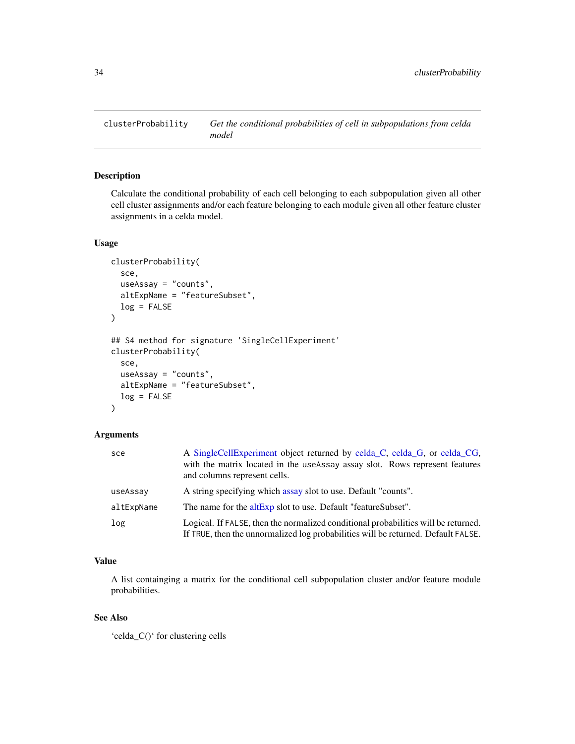<span id="page-33-0"></span>

## Description

Calculate the conditional probability of each cell belonging to each subpopulation given all other cell cluster assignments and/or each feature belonging to each module given all other feature cluster assignments in a celda model.

## Usage

```
clusterProbability(
  sce,
  useAssay = "counts",
  altExpName = "featureSubset",
  log = FALSE)
## S4 method for signature 'SingleCellExperiment'
clusterProbability(
  sce,
  useAssay = "counts",
  altExpName = "featureSubset",
  log = FALSE
\mathcal{L}
```
## Arguments

| sce        | A SingleCellExperiment object returned by celda_C, celda_G, or celda_CG,<br>with the matrix located in the useAssay assay slot. Rows represent features<br>and columns represent cells. |
|------------|-----------------------------------------------------------------------------------------------------------------------------------------------------------------------------------------|
| useAssay   | A string specifying which assay slot to use. Default "counts".                                                                                                                          |
| altExpName | The name for the altExp slot to use. Default "featureSubset".                                                                                                                           |
| log        | Logical. If FALSE, then the normalized conditional probabilities will be returned.<br>If TRUE, then the unnormalized log probabilities will be returned. Default FALSE.                 |

## Value

A list containging a matrix for the conditional cell subpopulation cluster and/or feature module probabilities.

#### See Also

'celda\_C()' for clustering cells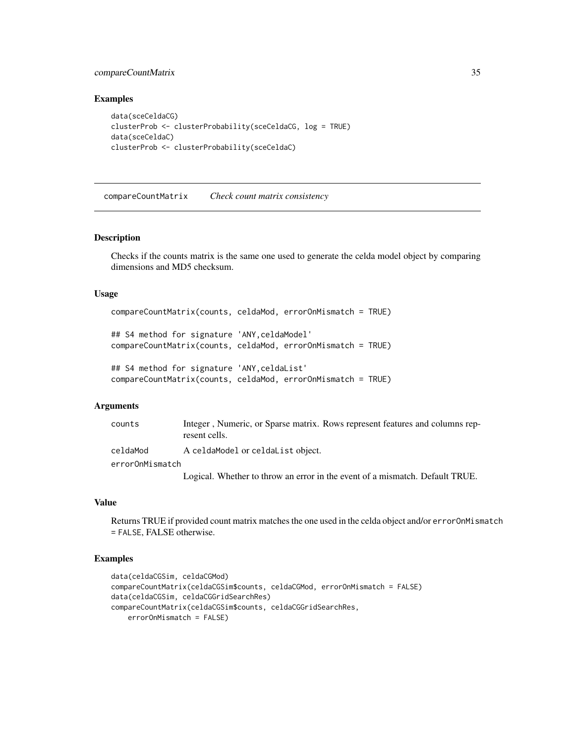## <span id="page-34-0"></span>compareCountMatrix 35

#### Examples

```
data(sceCeldaCG)
clusterProb <- clusterProbability(sceCeldaCG, log = TRUE)
data(sceCeldaC)
clusterProb <- clusterProbability(sceCeldaC)
```
<span id="page-34-1"></span>compareCountMatrix *Check count matrix consistency*

#### Description

Checks if the counts matrix is the same one used to generate the celda model object by comparing dimensions and MD5 checksum.

#### Usage

```
compareCountMatrix(counts, celdaMod, errorOnMismatch = TRUE)
```

```
## S4 method for signature 'ANY,celdaModel'
compareCountMatrix(counts, celdaMod, errorOnMismatch = TRUE)
```

```
## S4 method for signature 'ANY,celdaList'
compareCountMatrix(counts, celdaMod, errorOnMismatch = TRUE)
```
#### **Arguments**

| counts          | Integer, Numeric, or Sparse matrix. Rows represent features and columns rep-<br>resent cells. |
|-----------------|-----------------------------------------------------------------------------------------------|
| celdaMod        | A celdaModel or celdaList object.                                                             |
| errorOnMismatch |                                                                                               |
|                 | Logical. Whether to throw an error in the event of a mismatch. Default TRUE.                  |

#### Value

Returns TRUE if provided count matrix matches the one used in the celda object and/or errorOnMismatch = FALSE, FALSE otherwise.

## Examples

```
data(celdaCGSim, celdaCGMod)
compareCountMatrix(celdaCGSim$counts, celdaCGMod, errorOnMismatch = FALSE)
data(celdaCGSim, celdaCGGridSearchRes)
compareCountMatrix(celdaCGSim$counts, celdaCGGridSearchRes,
   errorOnMismatch = FALSE)
```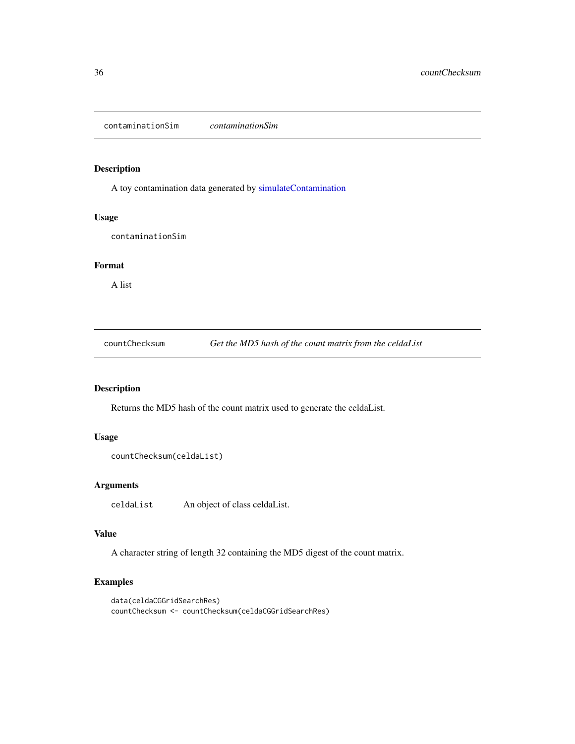<span id="page-35-0"></span>contaminationSim *contaminationSim*

## Description

A toy contamination data generated by [simulateContamination](#page-111-1)

#### Usage

contaminationSim

#### Format

A list

countChecksum *Get the MD5 hash of the count matrix from the celdaList*

## Description

Returns the MD5 hash of the count matrix used to generate the celdaList.

#### Usage

```
countChecksum(celdaList)
```
## Arguments

celdaList An object of class celdaList.

## Value

A character string of length 32 containing the MD5 digest of the count matrix.

## Examples

```
data(celdaCGGridSearchRes)
countChecksum <- countChecksum(celdaCGGridSearchRes)
```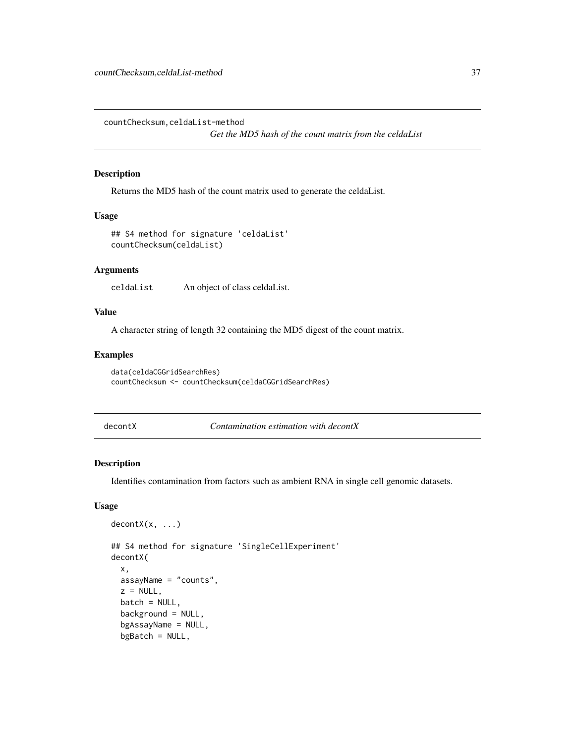countChecksum,celdaList-method

*Get the MD5 hash of the count matrix from the celdaList*

#### Description

Returns the MD5 hash of the count matrix used to generate the celdaList.

## Usage

```
## S4 method for signature 'celdaList'
countChecksum(celdaList)
```
### **Arguments**

celdaList An object of class celdaList.

#### Value

A character string of length 32 containing the MD5 digest of the count matrix.

#### Examples

```
data(celdaCGGridSearchRes)
countChecksum <- countChecksum(celdaCGGridSearchRes)
```
<span id="page-36-0"></span>decontX *Contamination estimation with decontX*

#### Description

Identifies contamination from factors such as ambient RNA in single cell genomic datasets.

```
decontX(x, \ldots)
```

```
## S4 method for signature 'SingleCellExperiment'
decontX(
 x,
 assayName = "counts",
 z = NULL,
 batch = NULL,background = NULL,
 bgAssayName = NULL,
 bgBatch = NULL,
```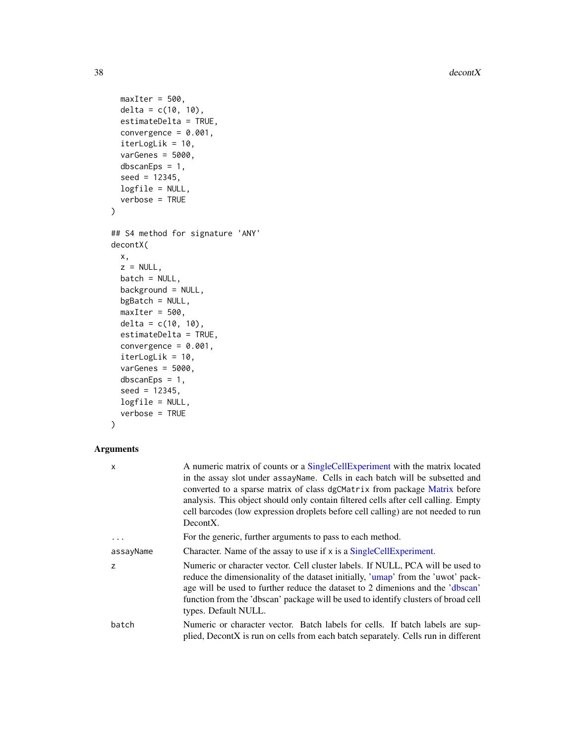$38$  decontX

```
maxIter = 500,delta = c(10, 10),
 estimateDelta = TRUE,
 convergence = 0.001,
  iterLogLik = 10,
  varGenes = 5000,dbscanEps = 1,
  seed = 12345,logfile = NULL,
  verbose = TRUE
\mathcal{L}## S4 method for signature 'ANY'
decontX(
 x,
  z = NULL,batch = NULL,
 background = NULL,
 bgBatch = NULL,
 maxIter = 500,delta = c(10, 10),
  estimateDelta = TRUE,
  convergence = 0.001,
  iterLogLik = 10,
  varGenes = 5000,dbscanEps = 1,
  seed = 12345,logfile = NULL,
 verbose = TRUE
```

```
\mathcal{L}
```

| X         | A numeric matrix of counts or a SingleCellExperiment with the matrix located<br>in the assay slot under assayName. Cells in each batch will be subsetted and<br>converted to a sparse matrix of class dgCMatrix from package Matrix before<br>analysis. This object should only contain filtered cells after cell calling. Empty<br>cell barcodes (low expression droplets before cell calling) are not needed to run<br>DecontX. |
|-----------|-----------------------------------------------------------------------------------------------------------------------------------------------------------------------------------------------------------------------------------------------------------------------------------------------------------------------------------------------------------------------------------------------------------------------------------|
| $\cdots$  | For the generic, further arguments to pass to each method.                                                                                                                                                                                                                                                                                                                                                                        |
| assayName | Character. Name of the assay to use if x is a SingleCellExperiment.                                                                                                                                                                                                                                                                                                                                                               |
| Z         | Numeric or character vector. Cell cluster labels. If NULL, PCA will be used to<br>reduce the dimensionality of the dataset initially, 'umap' from the 'uwot' pack-<br>age will be used to further reduce the dataset to 2 dimenions and the 'dbscan'<br>function from the 'dbscan' package will be used to identify clusters of broad cell<br>types. Default NULL.                                                                |
| batch     | Numeric or character vector. Batch labels for cells. If batch labels are sup-<br>plied, DecontX is run on cells from each batch separately. Cells run in different                                                                                                                                                                                                                                                                |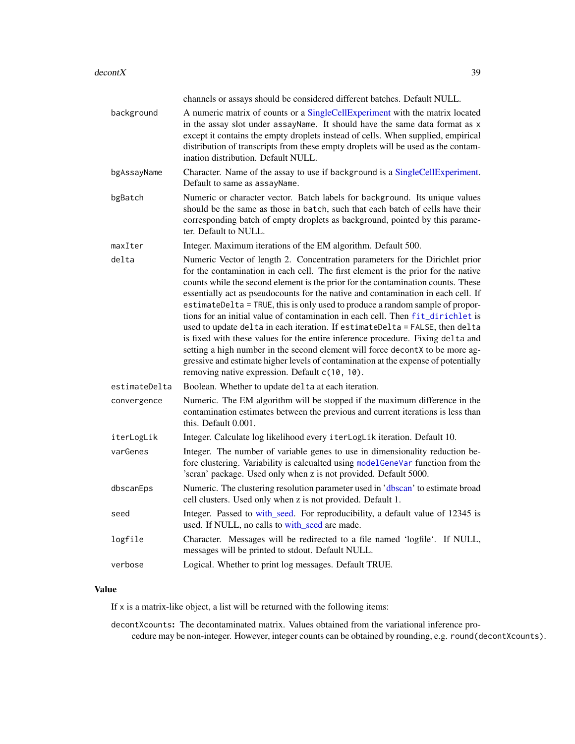|               | channels or assays should be considered different batches. Default NULL.                                                                                                                                                                                                                                                                                                                                                                                                                                                                                                                                                                                                                                                                                                                                                                                                                                   |
|---------------|------------------------------------------------------------------------------------------------------------------------------------------------------------------------------------------------------------------------------------------------------------------------------------------------------------------------------------------------------------------------------------------------------------------------------------------------------------------------------------------------------------------------------------------------------------------------------------------------------------------------------------------------------------------------------------------------------------------------------------------------------------------------------------------------------------------------------------------------------------------------------------------------------------|
| background    | A numeric matrix of counts or a SingleCellExperiment with the matrix located<br>in the assay slot under assayName. It should have the same data format as x<br>except it contains the empty droplets instead of cells. When supplied, empirical<br>distribution of transcripts from these empty droplets will be used as the contam-<br>ination distribution. Default NULL.                                                                                                                                                                                                                                                                                                                                                                                                                                                                                                                                |
| bgAssayName   | Character. Name of the assay to use if background is a SingleCellExperiment.<br>Default to same as assayName.                                                                                                                                                                                                                                                                                                                                                                                                                                                                                                                                                                                                                                                                                                                                                                                              |
| bgBatch       | Numeric or character vector. Batch labels for background. Its unique values<br>should be the same as those in batch, such that each batch of cells have their<br>corresponding batch of empty droplets as background, pointed by this parame-<br>ter. Default to NULL.                                                                                                                                                                                                                                                                                                                                                                                                                                                                                                                                                                                                                                     |
| maxIter       | Integer. Maximum iterations of the EM algorithm. Default 500.                                                                                                                                                                                                                                                                                                                                                                                                                                                                                                                                                                                                                                                                                                                                                                                                                                              |
| delta         | Numeric Vector of length 2. Concentration parameters for the Dirichlet prior<br>for the contamination in each cell. The first element is the prior for the native<br>counts while the second element is the prior for the contamination counts. These<br>essentially act as pseudocounts for the native and contamination in each cell. If<br>estimateDelta = TRUE, this is only used to produce a random sample of propor-<br>tions for an initial value of contamination in each cell. Then fit_dirichlet is<br>used to update delta in each iteration. If estimateDelta = FALSE, then delta<br>is fixed with these values for the entire inference procedure. Fixing delta and<br>setting a high number in the second element will force decontX to be more ag-<br>gressive and estimate higher levels of contamination at the expense of potentially<br>removing native expression. Default c(10, 10). |
| estimateDelta | Boolean. Whether to update delta at each iteration.                                                                                                                                                                                                                                                                                                                                                                                                                                                                                                                                                                                                                                                                                                                                                                                                                                                        |
| convergence   | Numeric. The EM algorithm will be stopped if the maximum difference in the<br>contamination estimates between the previous and current iterations is less than<br>this. Default 0.001.                                                                                                                                                                                                                                                                                                                                                                                                                                                                                                                                                                                                                                                                                                                     |
| iterLogLik    | Integer. Calculate log likelihood every iterLogLik iteration. Default 10.                                                                                                                                                                                                                                                                                                                                                                                                                                                                                                                                                                                                                                                                                                                                                                                                                                  |
| varGenes      | Integer. The number of variable genes to use in dimensionality reduction be-<br>fore clustering. Variability is calcualted using modelGeneVar function from the<br>'scran' package. Used only when z is not provided. Default 5000.                                                                                                                                                                                                                                                                                                                                                                                                                                                                                                                                                                                                                                                                        |
| dbscanEps     | Numeric. The clustering resolution parameter used in 'dbscan' to estimate broad<br>cell clusters. Used only when z is not provided. Default 1.                                                                                                                                                                                                                                                                                                                                                                                                                                                                                                                                                                                                                                                                                                                                                             |
| seed          | Integer. Passed to with_seed. For reproducibility, a default value of 12345 is<br>used. If NULL, no calls to with_seed are made.                                                                                                                                                                                                                                                                                                                                                                                                                                                                                                                                                                                                                                                                                                                                                                           |
| logfile       | Character. Messages will be redirected to a file named 'logfile'. If NULL,<br>messages will be printed to stdout. Default NULL.                                                                                                                                                                                                                                                                                                                                                                                                                                                                                                                                                                                                                                                                                                                                                                            |
| verbose       | Logical. Whether to print log messages. Default TRUE.                                                                                                                                                                                                                                                                                                                                                                                                                                                                                                                                                                                                                                                                                                                                                                                                                                                      |

If  $x$  is a matrix-like object, a list will be returned with the following items:

decontXcounts: The decontaminated matrix. Values obtained from the variational inference procedure may be non-integer. However, integer counts can be obtained by rounding, e.g. round(decontXcounts).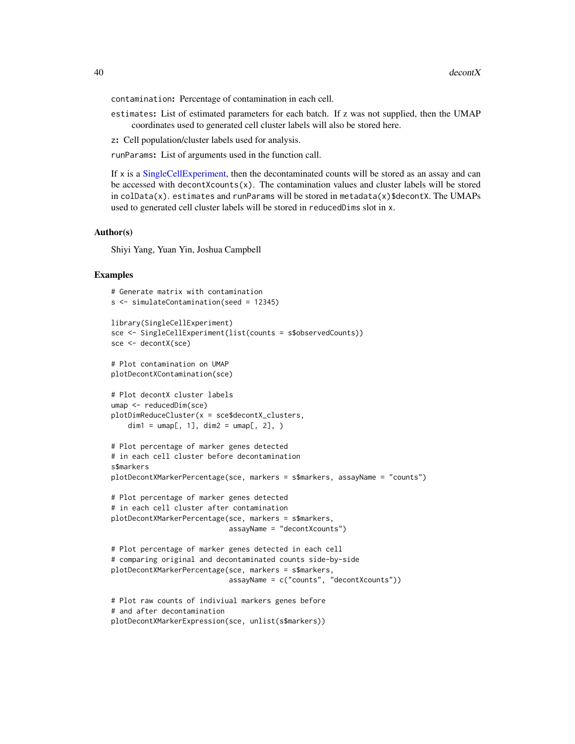contamination: Percentage of contamination in each cell.

- estimates: List of estimated parameters for each batch. If z was not supplied, then the UMAP coordinates used to generated cell cluster labels will also be stored here.
- z: Cell population/cluster labels used for analysis.

runParams: List of arguments used in the function call.

If x is a [SingleCellExperiment,](#page-0-0) then the decontaminated counts will be stored as an assay and can be accessed with decontXcounts(x). The contamination values and cluster labels will be stored in  $\text{colData}(x)$ . estimates and runParams will be stored in metadata $(x)$ \$decontX. The UMAPs used to generated cell cluster labels will be stored in reducedDims slot in x.

#### Author(s)

Shiyi Yang, Yuan Yin, Joshua Campbell

#### Examples

```
# Generate matrix with contamination
s <- simulateContamination(seed = 12345)
library(SingleCellExperiment)
sce <- SingleCellExperiment(list(counts = s$observedCounts))
sce <- decontX(sce)
# Plot contamination on UMAP
plotDecontXContamination(sce)
# Plot decontX cluster labels
umap <- reducedDim(sce)
plotDimReduceCluster(x = sce$decontX_clusters,
    dim1 = umap[, 1], dim2 = umap[, 2],# Plot percentage of marker genes detected
# in each cell cluster before decontamination
s$markers
plotDecontXMarkerPercentage(sce, markers = s$markers, assayName = "counts")
# Plot percentage of marker genes detected
# in each cell cluster after contamination
plotDecontXMarkerPercentage(sce, markers = s$markers,
                            assayName = "decontXcounts")
# Plot percentage of marker genes detected in each cell
# comparing original and decontaminated counts side-by-side
plotDecontXMarkerPercentage(sce, markers = s$markers,
                            assayName = c("counts", "decontXcounts"))
# Plot raw counts of indiviual markers genes before
# and after decontamination
plotDecontXMarkerExpression(sce, unlist(s$markers))
```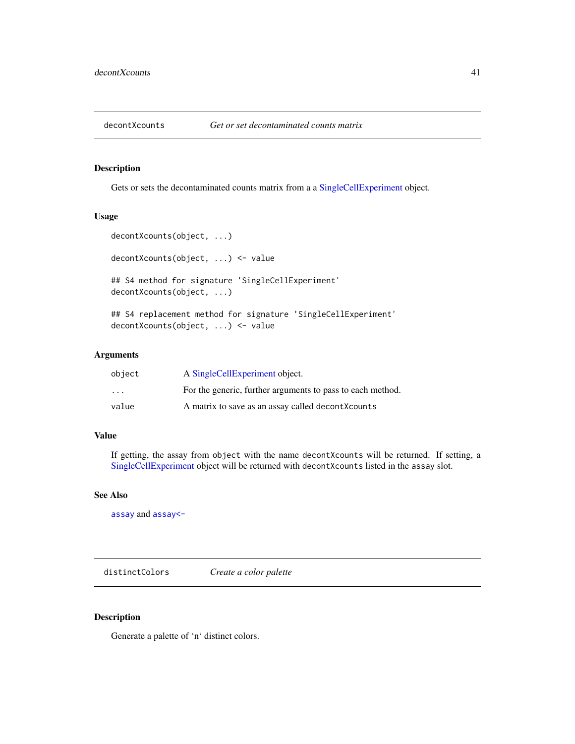#### Description

Gets or sets the decontaminated counts matrix from a a [SingleCellExperiment](#page-0-0) object.

## Usage

```
decontXcounts(object, ...)
```
decontXcounts(object, ...) <- value

## S4 method for signature 'SingleCellExperiment' decontXcounts(object, ...)

## S4 replacement method for signature 'SingleCellExperiment' decontXcounts(object, ...) <- value

#### Arguments

| object                  | A SingleCellExperiment object.                             |
|-------------------------|------------------------------------------------------------|
| $\cdot$ $\cdot$ $\cdot$ | For the generic, further arguments to pass to each method. |
| value                   | A matrix to save as an assay called decontXcounts          |

### Value

If getting, the assay from object with the name decontXcounts will be returned. If setting, a [SingleCellExperiment](#page-0-0) object will be returned with decontXcounts listed in the assay slot.

### See Also

[assay](#page-0-0) and [assay<-](#page-0-0)

distinctColors *Create a color palette*

#### Description

Generate a palette of 'n' distinct colors.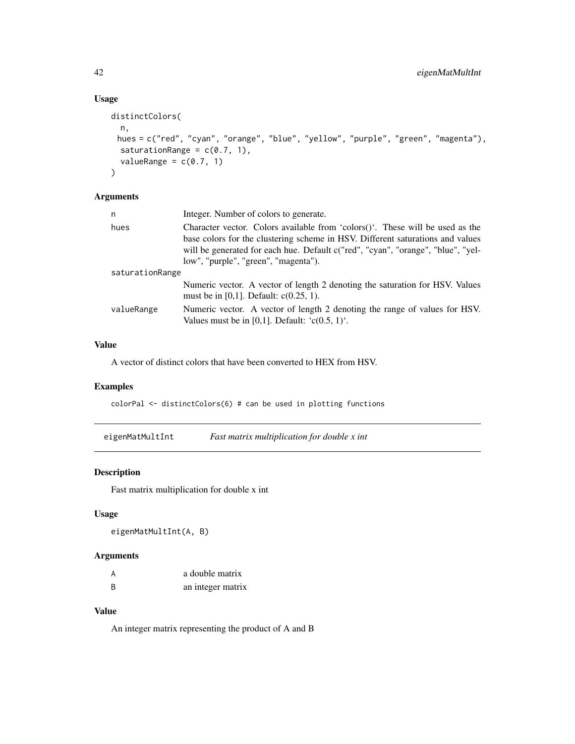## Usage

```
distinctColors(
 n,
 hues = c("red", "cyan", "orange", "blue", "yellow", "purple", "green", "magenta"),
 saturationRange = c(0.7, 1),
  valueRange = c(0.7, 1)\mathcal{L}
```
## Arguments

| n               | Integer. Number of colors to generate.                                                                                                                                                                                                                                                          |
|-----------------|-------------------------------------------------------------------------------------------------------------------------------------------------------------------------------------------------------------------------------------------------------------------------------------------------|
| hues            | Character vector. Colors available from 'colors $()$ '. These will be used as the<br>base colors for the clustering scheme in HSV. Different saturations and values<br>will be generated for each hue. Default c("red", "cyan", "orange", "blue", "yel-<br>low", "purple", "green", "magenta"). |
| saturationRange |                                                                                                                                                                                                                                                                                                 |
|                 | Numeric vector. A vector of length 2 denoting the saturation for HSV. Values<br>must be in [0,1]. Default: $c(0.25, 1)$ .                                                                                                                                                                       |
| valueRange      | Numeric vector. A vector of length 2 denoting the range of values for HSV.<br>Values must be in [0,1]. Default: $(c(0.5, 1)^t)$ .                                                                                                                                                               |

## Value

A vector of distinct colors that have been converted to HEX from HSV.

## Examples

colorPal <- distinctColors(6) # can be used in plotting functions

eigenMatMultInt *Fast matrix multiplication for double x int*

## Description

Fast matrix multiplication for double x int

## Usage

```
eigenMatMultInt(A, B)
```
## Arguments

| A | a double matrix   |
|---|-------------------|
| B | an integer matrix |

## Value

An integer matrix representing the product of A and B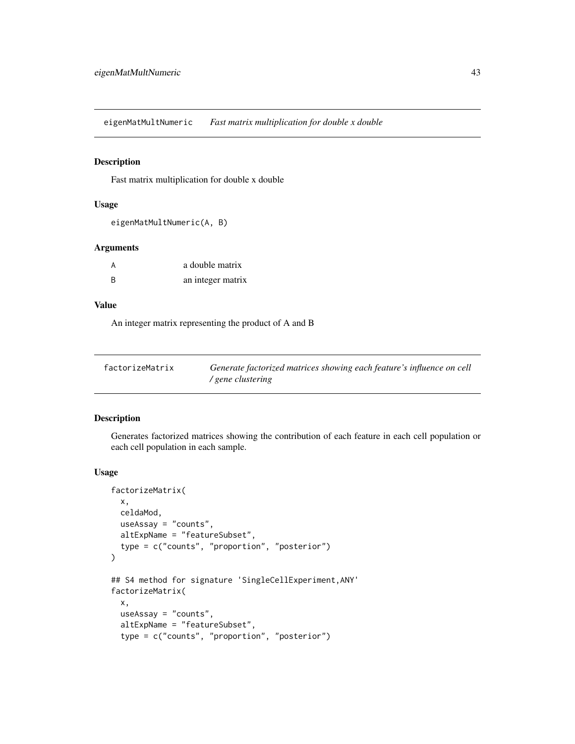eigenMatMultNumeric *Fast matrix multiplication for double x double*

## Description

Fast matrix multiplication for double x double

#### Usage

```
eigenMatMultNumeric(A, B)
```
### Arguments

| A | a double matrix   |
|---|-------------------|
| B | an integer matrix |

## Value

An integer matrix representing the product of A and B

| factorizeMatrix | Generate factorized matrices showing each feature's influence on cell |
|-----------------|-----------------------------------------------------------------------|
|                 | / gene clustering                                                     |

## Description

Generates factorized matrices showing the contribution of each feature in each cell population or each cell population in each sample.

```
factorizeMatrix(
 x,
 celdaMod,
 useAssay = "counts",
 altExpName = "featureSubset",
  type = c("counts", "proportion", "posterior")
)
## S4 method for signature 'SingleCellExperiment,ANY'
factorizeMatrix(
  x,
 useAssay = "counts",
  altExpName = "featureSubset",
  type = c("counts", "proportion", "posterior")
```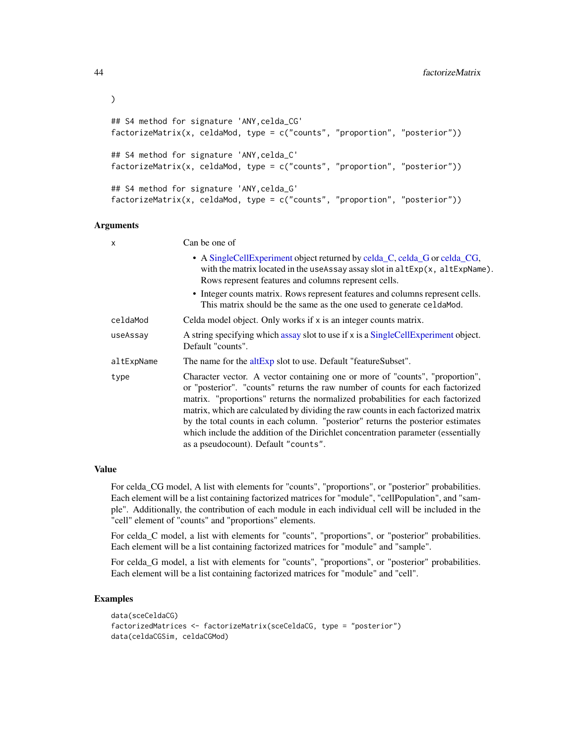```
## S4 method for signature 'ANY,celda_CG'
factorizeMatrix(x, celdaMod, type = c("counts", "proportion", "posterior"))
## S4 method for signature 'ANY,celda_C'
factorizeMatrix(x, celdaMod, type = c("counts", "proportion", "posterior"))
## S4 method for signature 'ANY,celda_G'
factorizeMatrix(x, celdaMod, type = c("counts", "proportion", "posterior"))
```

| X          | Can be one of                                                                                                                                                                                                                                                                                                                                                                                                                                                                                                                                       |
|------------|-----------------------------------------------------------------------------------------------------------------------------------------------------------------------------------------------------------------------------------------------------------------------------------------------------------------------------------------------------------------------------------------------------------------------------------------------------------------------------------------------------------------------------------------------------|
|            | • A SingleCellExperiment object returned by celda_C, celda_G or celda_CG,<br>with the matrix located in the useAssay assay slot in altExp(x, altExpName).<br>Rows represent features and columns represent cells.                                                                                                                                                                                                                                                                                                                                   |
|            | • Integer counts matrix. Rows represent features and columns represent cells.<br>This matrix should be the same as the one used to generate celda Mod.                                                                                                                                                                                                                                                                                                                                                                                              |
| celdaMod   | Celda model object. Only works if x is an integer counts matrix.                                                                                                                                                                                                                                                                                                                                                                                                                                                                                    |
| useAssay   | A string specifying which assay slot to use if x is a SingleCellExperiment object.<br>Default "counts".                                                                                                                                                                                                                                                                                                                                                                                                                                             |
| altExpName | The name for the altExp slot to use. Default "featureSubset".                                                                                                                                                                                                                                                                                                                                                                                                                                                                                       |
| type       | Character vector. A vector containing one or more of "counts", "proportion",<br>or "posterior". "counts" returns the raw number of counts for each factorized<br>matrix. "proportions" returns the normalized probabilities for each factorized<br>matrix, which are calculated by dividing the raw counts in each factorized matrix<br>by the total counts in each column. "posterior" returns the posterior estimates<br>which include the addition of the Dirichlet concentration parameter (essentially<br>as a pseudocount). Default "counts". |

#### Value

For celda\_CG model, A list with elements for "counts", "proportions", or "posterior" probabilities. Each element will be a list containing factorized matrices for "module", "cellPopulation", and "sample". Additionally, the contribution of each module in each individual cell will be included in the "cell" element of "counts" and "proportions" elements.

For celda\_C model, a list with elements for "counts", "proportions", or "posterior" probabilities. Each element will be a list containing factorized matrices for "module" and "sample".

For celda\_G model, a list with elements for "counts", "proportions", or "posterior" probabilities. Each element will be a list containing factorized matrices for "module" and "cell".

### Examples

```
data(sceCeldaCG)
factorizedMatrices <- factorizeMatrix(sceCeldaCG, type = "posterior")
data(celdaCGSim, celdaCGMod)
```
)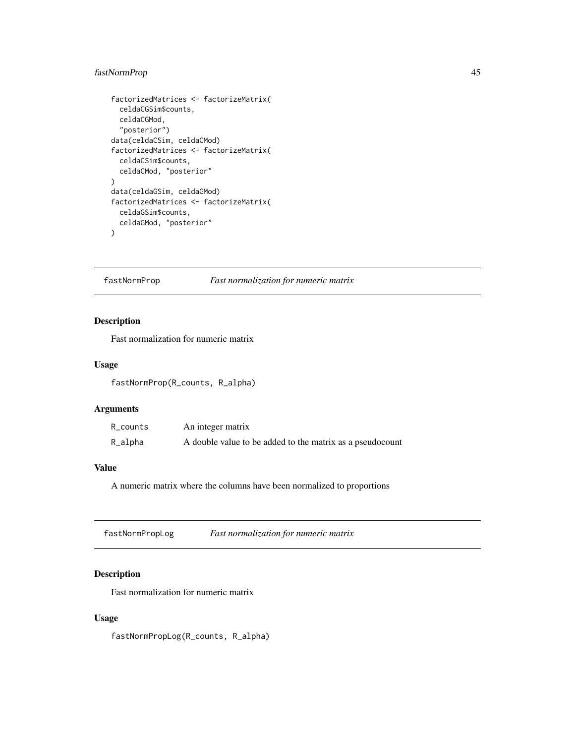## fastNormProp 45

```
factorizedMatrices <- factorizeMatrix(
  celdaCGSim$counts,
  celdaCGMod,
  "posterior")
data(celdaCSim, celdaCMod)
factorizedMatrices <- factorizeMatrix(
  celdaCSim$counts,
  celdaCMod, "posterior"
\lambdadata(celdaGSim, celdaGMod)
factorizedMatrices <- factorizeMatrix(
  celdaGSim$counts,
  celdaGMod, "posterior"
\mathcal{L}
```
fastNormProp *Fast normalization for numeric matrix*

## Description

Fast normalization for numeric matrix

#### Usage

fastNormProp(R\_counts, R\_alpha)

#### Arguments

| R_counts | An integer matrix                                         |
|----------|-----------------------------------------------------------|
| R_alpha  | A double value to be added to the matrix as a pseudocount |

### Value

A numeric matrix where the columns have been normalized to proportions

fastNormPropLog *Fast normalization for numeric matrix*

## Description

Fast normalization for numeric matrix

## Usage

fastNormPropLog(R\_counts, R\_alpha)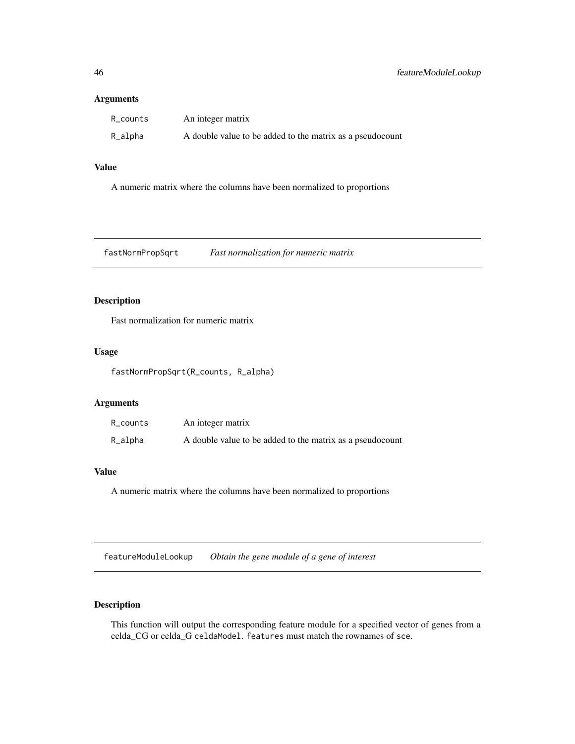| R_counts | An integer matrix                                         |
|----------|-----------------------------------------------------------|
| R_alpha  | A double value to be added to the matrix as a pseudocount |

# Value

A numeric matrix where the columns have been normalized to proportions

fastNormPropSqrt *Fast normalization for numeric matrix*

## Description

Fast normalization for numeric matrix

## Usage

fastNormPropSqrt(R\_counts, R\_alpha)

## Arguments

| R_counts | An integer matrix                                         |
|----------|-----------------------------------------------------------|
| R_alpha  | A double value to be added to the matrix as a pseudocount |

### Value

A numeric matrix where the columns have been normalized to proportions

featureModuleLookup *Obtain the gene module of a gene of interest*

## Description

This function will output the corresponding feature module for a specified vector of genes from a celda\_CG or celda\_G celdaModel. features must match the rownames of sce.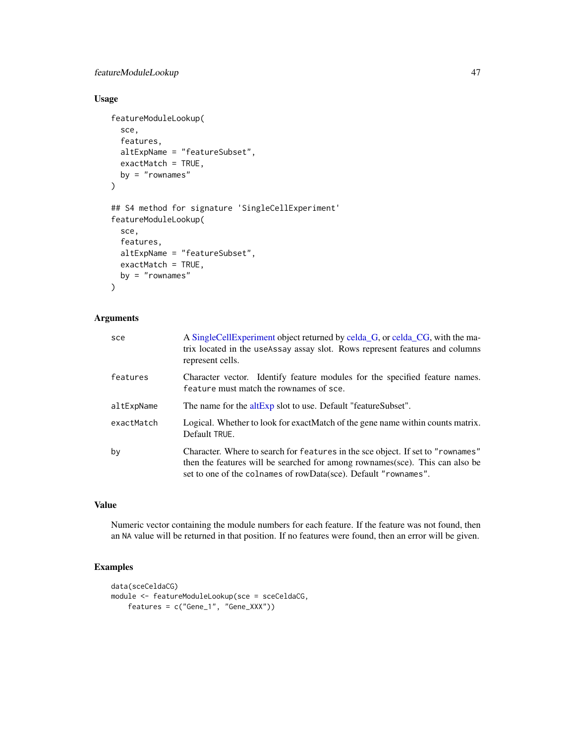## featureModuleLookup 47

## Usage

```
featureModuleLookup(
  sce,
  features,
 altExpName = "featureSubset",
  exactMatch = TRUE,
 by = "rownames"
)
## S4 method for signature 'SingleCellExperiment'
featureModuleLookup(
  sce,
  features,
  altExpName = "featureSubset",
  exactMatch = TRUE,
 by = "rownames"
\mathcal{L}
```
# Arguments

| sce        | A Single Cell Experiment object returned by celda G, or celda CG, with the ma-<br>trix located in the use Assay assay slot. Rows represent features and columns<br>represent cells.                                                |
|------------|------------------------------------------------------------------------------------------------------------------------------------------------------------------------------------------------------------------------------------|
| features   | Character vector. Identify feature modules for the specified feature names.<br>feature must match the rownames of sce.                                                                                                             |
| altExpName | The name for the altExp slot to use. Default "featureSubset".                                                                                                                                                                      |
| exactMatch | Logical. Whether to look for exact Match of the gene name within counts matrix.<br>Default TRUE.                                                                                                                                   |
| by         | Character. Where to search for features in the sce object. If set to "rownames"<br>then the features will be searched for among rownames(sce). This can also be<br>set to one of the colnames of rowData(sce). Default "rownames". |

# Value

Numeric vector containing the module numbers for each feature. If the feature was not found, then an NA value will be returned in that position. If no features were found, then an error will be given.

# Examples

```
data(sceCeldaCG)
module <- featureModuleLookup(sce = sceCeldaCG,
   features = c("Gene_1", "Gene_XXX"))
```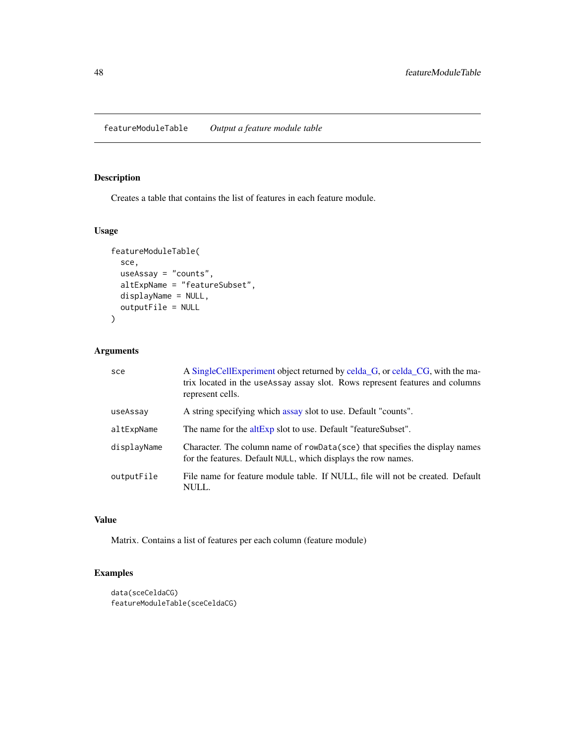featureModuleTable *Output a feature module table*

### Description

Creates a table that contains the list of features in each feature module.

#### Usage

```
featureModuleTable(
  sce,
  useAssay = "counts",
  altExpName = "featureSubset",
 displayName = NULL,
  outputFile = NULL
)
```
# Arguments

| sce         | A Single Cell Experiment object returned by celda G, or celda CG, with the ma-<br>trix located in the useAssay assay slot. Rows represent features and columns<br>represent cells. |
|-------------|------------------------------------------------------------------------------------------------------------------------------------------------------------------------------------|
| useAssay    | A string specifying which assay slot to use. Default "counts".                                                                                                                     |
| altExpName  | The name for the altExp slot to use. Default "featureSubset".                                                                                                                      |
| displayName | Character. The column name of rowData(sce) that specifies the display names<br>for the features. Default NULL, which displays the row names.                                       |
| outputFile  | File name for feature module table. If NULL, file will not be created. Default<br>NULL.                                                                                            |

### Value

Matrix. Contains a list of features per each column (feature module)

# Examples

```
data(sceCeldaCG)
featureModuleTable(sceCeldaCG)
```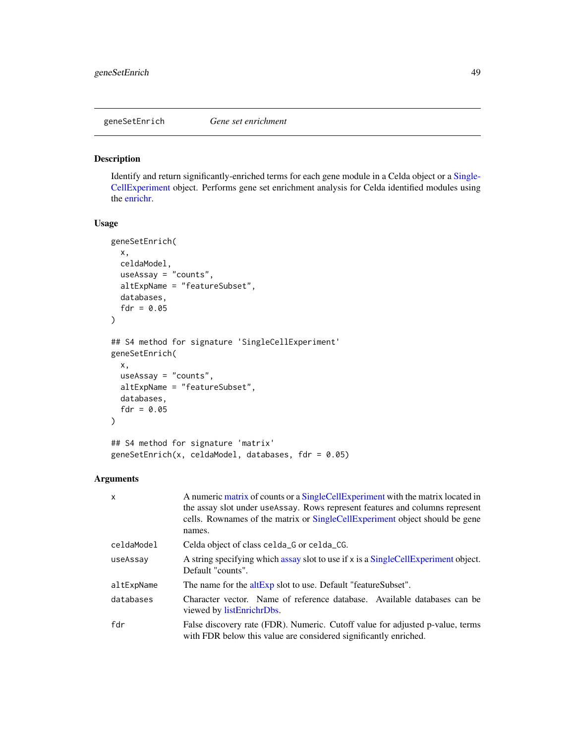#### Description

Identify and return significantly-enriched terms for each gene module in a Celda object or a [Single-](#page-0-0)[CellExperiment](#page-0-0) object. Performs gene set enrichment analysis for Celda identified modules using the [enrichr.](#page-0-0)

#### Usage

```
geneSetEnrich(
  x,
  celdaModel,
 useAssay = "counts",
  altExpName = "featureSubset",
  databases,
  fdr = 0.05\lambda## S4 method for signature 'SingleCellExperiment'
geneSetEnrich(
 x,
  useAssay = "counts",
  altExpName = "featureSubset",
  databases,
  fdr = 0.05\mathcal{L}## S4 method for signature 'matrix'
geneSetEnrich(x, celdaModel, databases, fdr = 0.05)
```

| $\mathsf{x}$ | A numeric matrix of counts or a SingleCellExperiment with the matrix located in<br>the assay slot under use Assay. Rows represent features and columns represent<br>cells. Rownames of the matrix or SingleCellExperiment object should be gene<br>names. |
|--------------|-----------------------------------------------------------------------------------------------------------------------------------------------------------------------------------------------------------------------------------------------------------|
| celdaModel   | Celda object of class celda G or celda CG.                                                                                                                                                                                                                |
| useAssay     | A string specifying which assay slot to use if x is a SingleCellExperiment object.<br>Default "counts".                                                                                                                                                   |
| altExpName   | The name for the altExp slot to use. Default "featureSubset".                                                                                                                                                                                             |
| databases    | Character vector. Name of reference database. Available databases can be<br>viewed by listEnrichrDbs.                                                                                                                                                     |
| fdr          | False discovery rate (FDR). Numeric. Cutoff value for adjusted p-value, terms<br>with FDR below this value are considered significantly enriched.                                                                                                         |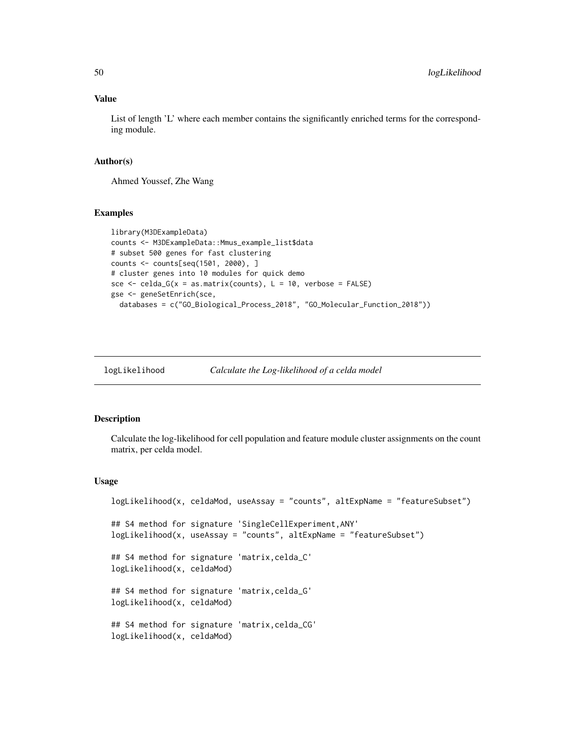List of length 'L' where each member contains the significantly enriched terms for the corresponding module.

#### Author(s)

Ahmed Youssef, Zhe Wang

#### Examples

```
library(M3DExampleData)
counts <- M3DExampleData::Mmus_example_list$data
# subset 500 genes for fast clustering
counts <- counts[seq(1501, 2000), ]
# cluster genes into 10 modules for quick demo
sce \le celda_G(x = as.matrix(counts), L = 10, verbose = FALSE)
gse <- geneSetEnrich(sce,
  databases = c("GO_Biological_Process_2018", "GO_Molecular_Function_2018"))
```

```
logLikelihood Calculate the Log-likelihood of a celda model
```
#### Description

Calculate the log-likelihood for cell population and feature module cluster assignments on the count matrix, per celda model.

```
logLikelihood(x, celdaMod, useAssay = "counts", altExpName = "featureSubset")
## S4 method for signature 'SingleCellExperiment,ANY'
logLikelihood(x, useAssay = "counts", altExpName = "featureSubset")
## S4 method for signature 'matrix,celda_C'
logLikelihood(x, celdaMod)
## S4 method for signature 'matrix,celda_G'
logLikelihood(x, celdaMod)
## S4 method for signature 'matrix,celda_CG'
logLikelihood(x, celdaMod)
```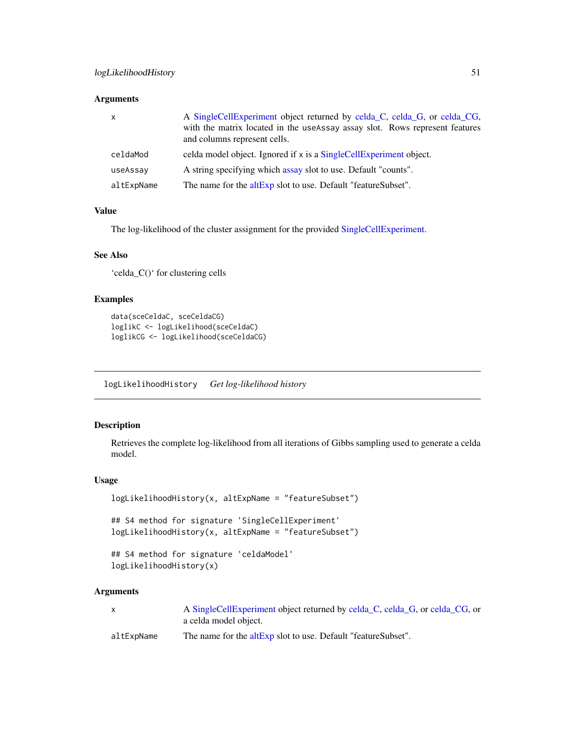| $\mathsf{x}$ | A SingleCellExperiment object returned by celda_C, celda_G, or celda_CG,<br>with the matrix located in the useAssay assay slot. Rows represent features<br>and columns represent cells. |
|--------------|-----------------------------------------------------------------------------------------------------------------------------------------------------------------------------------------|
| celdaMod     | celda model object. Ignored if x is a SingleCellExperiment object.                                                                                                                      |
| useAssay     | A string specifying which assay slot to use. Default "counts".                                                                                                                          |
| altExpName   | The name for the altExp slot to use. Default "featureSubset".                                                                                                                           |

#### Value

The log-likelihood of the cluster assignment for the provided [SingleCellExperiment.](#page-0-0)

### See Also

'celda\_C()' for clustering cells

## Examples

```
data(sceCeldaC, sceCeldaCG)
loglikC <- logLikelihood(sceCeldaC)
loglikCG <- logLikelihood(sceCeldaCG)
```
logLikelihoodHistory *Get log-likelihood history*

## Description

Retrieves the complete log-likelihood from all iterations of Gibbs sampling used to generate a celda model.

### Usage

```
logLikelihoodHistory(x, altExpName = "featureSubset")
## S4 method for signature 'SingleCellExperiment'
logLikelihoodHistory(x, altExpName = "featureSubset")
## S4 method for signature 'celdaModel'
```

```
logLikelihoodHistory(x)
```

|            | A SingleCellExperiment object returned by celda_C, celda_G, or celda_CG, or |
|------------|-----------------------------------------------------------------------------|
|            | a celda model object.                                                       |
| altExpName | The name for the altExp slot to use. Default "featureSubset".               |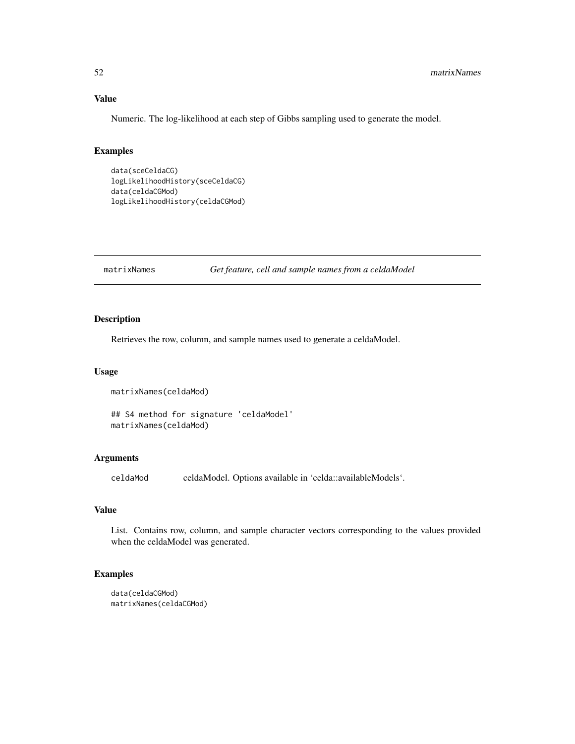Numeric. The log-likelihood at each step of Gibbs sampling used to generate the model.

#### Examples

```
data(sceCeldaCG)
logLikelihoodHistory(sceCeldaCG)
data(celdaCGMod)
logLikelihoodHistory(celdaCGMod)
```
matrixNames *Get feature, cell and sample names from a celdaModel*

#### Description

Retrieves the row, column, and sample names used to generate a celdaModel.

#### Usage

```
matrixNames(celdaMod)
```
## S4 method for signature 'celdaModel' matrixNames(celdaMod)

### Arguments

celdaModel. Options available in 'celda::availableModels'.

#### Value

List. Contains row, column, and sample character vectors corresponding to the values provided when the celdaModel was generated.

## Examples

```
data(celdaCGMod)
matrixNames(celdaCGMod)
```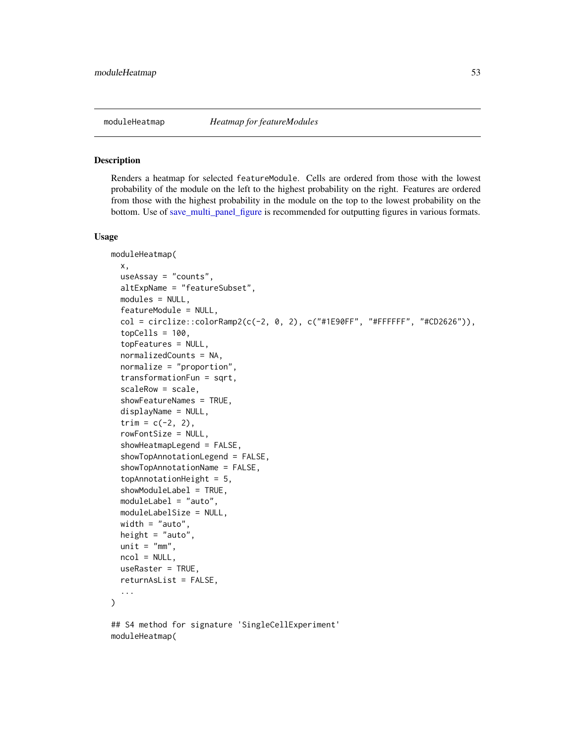#### Description

Renders a heatmap for selected featureModule. Cells are ordered from those with the lowest probability of the module on the left to the highest probability on the right. Features are ordered from those with the highest probability in the module on the top to the lowest probability on the bottom. Use of [save\\_multi\\_panel\\_figure](#page-0-0) is recommended for outputting figures in various formats.

```
moduleHeatmap(
  x,
  useAssay = "counts",
  altExpName = "featureSubset",
 modules = NULL,
  featureModule = NULL,
  col = circlice::colorRamp;map2(c(-2, 0, 2), c("#1E90FF", "#FFFFFF", "#CD2626")),
  topCells = 100,topFeatures = NULL,
  normalizedCounts = NA,
  normalize = "proportion",
  transformationFun = sqrt,
  scaleRow = scale,
  showFeatureNames = TRUE,
  displayName = NULL,
  trim = c(-2, 2),
  rowFontSize = NULL,
  showHeatmapLegend = FALSE,
  showTopAnnotationLegend = FALSE,
  showTopAnnotationName = FALSE,
  topAnnotationHeight = 5,
  showModuleLabel = TRUE,
  moduleLabel = "auto",
 moduleLabelSize = NULL,
 width = "auto",height = "auto",unit = "mm",ncol = NULL,useRaster = TRUE,
  returnAsList = FALSE,
  ...
)
## S4 method for signature 'SingleCellExperiment'
moduleHeatmap(
```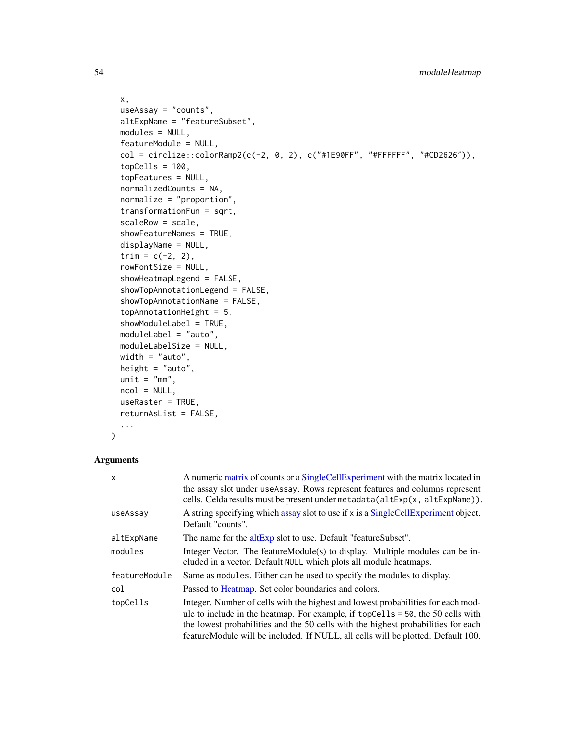```
x,
useAssay = "counts",
altExpName = "featureSubset",
modules = NULL,
featureModule = NULL,
col = circlize::colorRamp2(c(-2, 0, 2), c("#1E90FF", "#FFFFFF", "#CD2626")),
topCells = 100,topFeatures = NULL,
normalizedCounts = NA,
normalize = "proportion",
transformationFun = sqrt,
scaleRow = scale,
showFeatureNames = TRUE,
displayName = NULL,
trim = c(-2, 2),
rowFontSize = NULL,
showHeatmapLegend = FALSE,
showTopAnnotationLegend = FALSE,
showTopAnnotationName = FALSE,
topAnnotationHeight = 5,
showModuleLabel = TRUE,
moduleLabel = "auto",
moduleLabelSize = NULL,
width = "auto",
height = "auto",unit = "mm",ncol = NULL,useRaster = TRUE,
returnAsList = FALSE,
...
```

```
)
```

| X             | A numeric matrix of counts or a SingleCellExperiment with the matrix located in<br>the assay slot under useAssay. Rows represent features and columns represent<br>cells. Celda results must be present under metadata(altExp(x, altExpName)).                                                                                                  |
|---------------|-------------------------------------------------------------------------------------------------------------------------------------------------------------------------------------------------------------------------------------------------------------------------------------------------------------------------------------------------|
| useAssay      | A string specifying which assay slot to use if x is a SingleCellExperiment object.<br>Default "counts".                                                                                                                                                                                                                                         |
| altExpName    | The name for the $altExp$ slot to use. Default "featureSubset".                                                                                                                                                                                                                                                                                 |
| modules       | Integer Vector. The featureModule(s) to display. Multiple modules can be in-<br>cluded in a vector. Default NULL which plots all module heatmaps.                                                                                                                                                                                               |
| featureModule | Same as modules. Either can be used to specify the modules to display.                                                                                                                                                                                                                                                                          |
| col           | Passed to Heatmap. Set color boundaries and colors.                                                                                                                                                                                                                                                                                             |
| topCells      | Integer. Number of cells with the highest and lowest probabilities for each mod-<br>ule to include in the heatmap. For example, if topcells $= 50$ , the 50 cells with<br>the lowest probabilities and the 50 cells with the highest probabilities for each<br>featureModule will be included. If NULL, all cells will be plotted. Default 100. |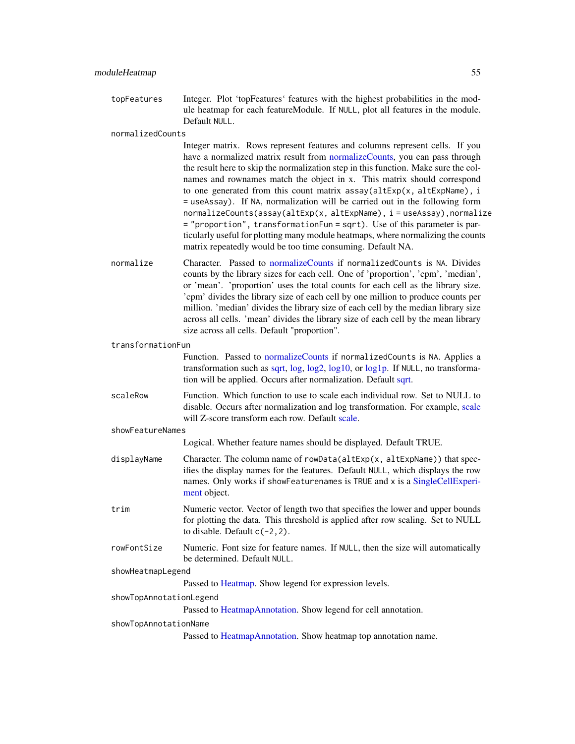topFeatures Integer. Plot 'topFeatures' features with the highest probabilities in the module heatmap for each featureModule. If NULL, plot all features in the module. Default NULL.

normalizedCounts

Integer matrix. Rows represent features and columns represent cells. If you have a normalized matrix result from [normalizeCounts,](#page-56-0) you can pass through the result here to skip the normalization step in this function. Make sure the colnames and rownames match the object in x. This matrix should correspond to one generated from this count matrix assay(altExp(x, altExpName), i = useAssay). If NA, normalization will be carried out in the following form normalizeCounts(assay(altExp(x, altExpName), i = useAssay), normalize = "proportion", transformationFun = sqrt). Use of this parameter is particularly useful for plotting many module heatmaps, where normalizing the counts matrix repeatedly would be too time consuming. Default NA.

normalize Character. Passed to [normalizeCounts](#page-56-0) if normalizedCounts is NA. Divides counts by the library sizes for each cell. One of 'proportion', 'cpm', 'median', or 'mean'. 'proportion' uses the total counts for each cell as the library size. 'cpm' divides the library size of each cell by one million to produce counts per million. 'median' divides the library size of each cell by the median library size across all cells. 'mean' divides the library size of each cell by the mean library size across all cells. Default "proportion".

transformationFun

Function. Passed to [normalizeCounts](#page-56-0) if normalizedCounts is NA. Applies a transformation such as [sqrt,](#page-0-0) [log,](#page-0-0) [log2,](#page-0-0) [log10,](#page-0-0) or [log1p.](#page-0-0) If NULL, no transformation will be applied. Occurs after normalization. Default [sqrt.](#page-0-0)

scaleRow Function. Which function to use to scale each individual row. Set to NULL to disable. Occurs after normalization and log transformation. For example, [scale](#page-0-0) will Z-score transform each row. Default [scale.](#page-0-0)

showFeatureNames

Logical. Whether feature names should be displayed. Default TRUE.

- displayName Character. The column name of rowData(altExp(x, altExpName)) that specifies the display names for the features. Default NULL, which displays the row names. Only works if showFeaturenames is TRUE and x is a [SingleCellExperi](#page-0-0)[ment](#page-0-0) object.
- trim Numeric vector. Vector of length two that specifies the lower and upper bounds for plotting the data. This threshold is applied after row scaling. Set to NULL to disable. Default  $c(-2, 2)$ .
- rowFontSize Numeric. Font size for feature names. If NULL, then the size will automatically be determined. Default NULL.

#### showHeatmapLegend

Passed to [Heatmap.](#page-0-0) Show legend for expression levels.

#### showTopAnnotationLegend

Passed to [HeatmapAnnotation.](#page-0-0) Show legend for cell annotation.

#### showTopAnnotationName

Passed to [HeatmapAnnotation.](#page-0-0) Show heatmap top annotation name.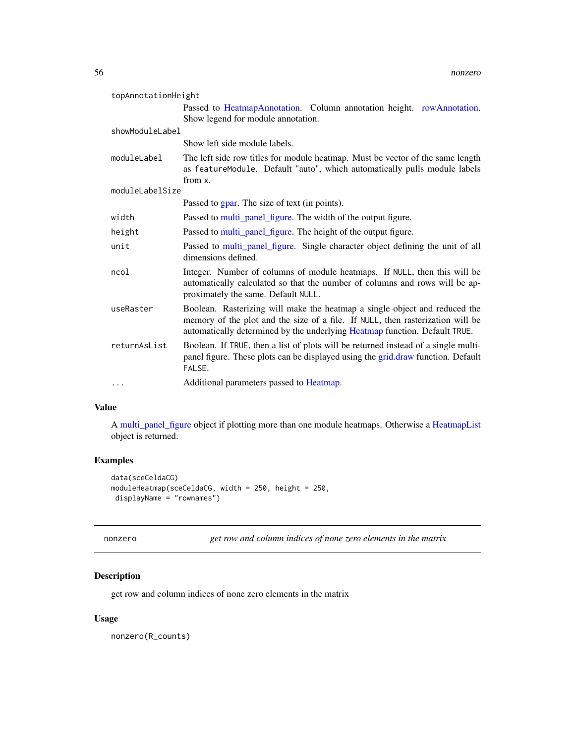| topAnnotationHeight |                                                                                                                                                                                                                                            |  |
|---------------------|--------------------------------------------------------------------------------------------------------------------------------------------------------------------------------------------------------------------------------------------|--|
|                     | Passed to HeatmapAnnotation. Column annotation height. rowAnnotation.<br>Show legend for module annotation.                                                                                                                                |  |
| showModuleLabel     |                                                                                                                                                                                                                                            |  |
|                     | Show left side module labels.                                                                                                                                                                                                              |  |
| moduleLabel         | The left side row titles for module heatmap. Must be vector of the same length<br>as featureModule. Default "auto", which automatically pulls module labels<br>from x.                                                                     |  |
| moduleLabelSize     |                                                                                                                                                                                                                                            |  |
|                     | Passed to gpar. The size of text (in points).                                                                                                                                                                                              |  |
| width               | Passed to multi_panel_figure. The width of the output figure.                                                                                                                                                                              |  |
| height              | Passed to multi_panel_figure. The height of the output figure.                                                                                                                                                                             |  |
| unit                | Passed to multi_panel_figure. Single character object defining the unit of all<br>dimensions defined.                                                                                                                                      |  |
| ncol                | Integer. Number of columns of module heatmaps. If NULL, then this will be<br>automatically calculated so that the number of columns and rows will be ap-<br>proximately the same. Default NULL.                                            |  |
| useRaster           | Boolean. Rasterizing will make the heatmap a single object and reduced the<br>memory of the plot and the size of a file. If NULL, then rasterization will be<br>automatically determined by the underlying Heatmap function. Default TRUE. |  |
| returnAsList        | Boolean. If TRUE, then a list of plots will be returned instead of a single multi-<br>panel figure. These plots can be displayed using the grid.draw function. Default<br>FALSE.                                                           |  |
| $\cdots$            | Additional parameters passed to Heatmap.                                                                                                                                                                                                   |  |

A [multi\\_panel\\_figure](#page-0-0) object if plotting more than one module heatmaps. Otherwise a [HeatmapList](#page-0-0) object is returned.

# Examples

```
data(sceCeldaCG)
moduleHeatmap(sceCeldaCG, width = 250, height = 250,
displayName = "rownames")
```
nonzero *get row and column indices of none zero elements in the matrix*

## Description

get row and column indices of none zero elements in the matrix

## Usage

nonzero(R\_counts)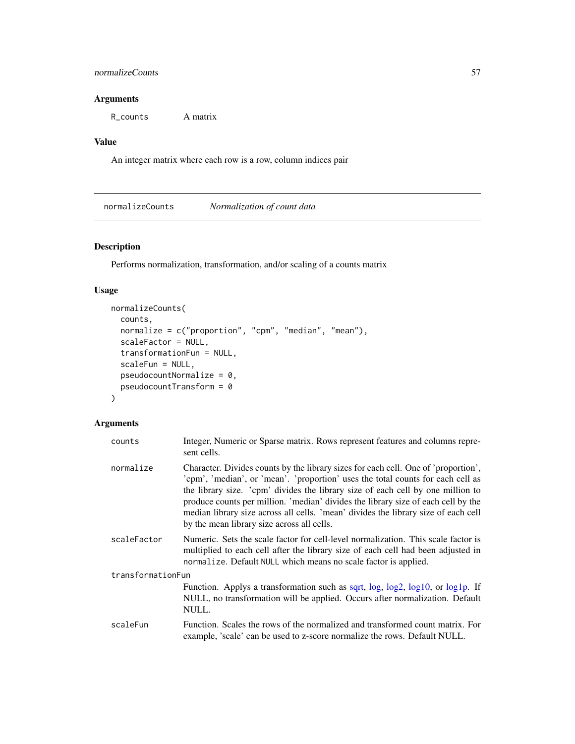### normalizeCounts 57

# Arguments

R\_counts A matrix

## Value

An integer matrix where each row is a row, column indices pair

<span id="page-56-0"></span>normalizeCounts *Normalization of count data*

## Description

Performs normalization, transformation, and/or scaling of a counts matrix

## Usage

```
normalizeCounts(
  counts,
 normalize = c("proportion", "cpm", "median", "mean"),
  scaleFactor = NULL,
  transformationFun = NULL,
  scaleFun = NULL,
 pseudocountNormalize = 0,pseudocountTransform = 0
)
```

| counts            | Integer, Numeric or Sparse matrix. Rows represent features and columns repre-<br>sent cells.                                                                                                                                                                                                                                                                                                                                                                                      |
|-------------------|-----------------------------------------------------------------------------------------------------------------------------------------------------------------------------------------------------------------------------------------------------------------------------------------------------------------------------------------------------------------------------------------------------------------------------------------------------------------------------------|
| normalize         | Character. Divides counts by the library sizes for each cell. One of 'proportion',<br>'cpm', 'median', or 'mean'. 'proportion' uses the total counts for each cell as<br>the library size. 'cpm' divides the library size of each cell by one million to<br>produce counts per million. 'median' divides the library size of each cell by the<br>median library size across all cells. 'mean' divides the library size of each cell<br>by the mean library size across all cells. |
| scaleFactor       | Numeric. Sets the scale factor for cell-level normalization. This scale factor is<br>multiplied to each cell after the library size of each cell had been adjusted in<br>normalize. Default NULL which means no scale factor is applied.                                                                                                                                                                                                                                          |
| transformationFun |                                                                                                                                                                                                                                                                                                                                                                                                                                                                                   |
|                   | Function. Applys a transformation such as sqrt, log, log2, log10, or log1p. If<br>NULL, no transformation will be applied. Occurs after normalization. Default<br>NULL.                                                                                                                                                                                                                                                                                                           |
| scaleFun          | Function. Scales the rows of the normalized and transformed count matrix. For<br>example, 'scale' can be used to z-score normalize the rows. Default NULL.                                                                                                                                                                                                                                                                                                                        |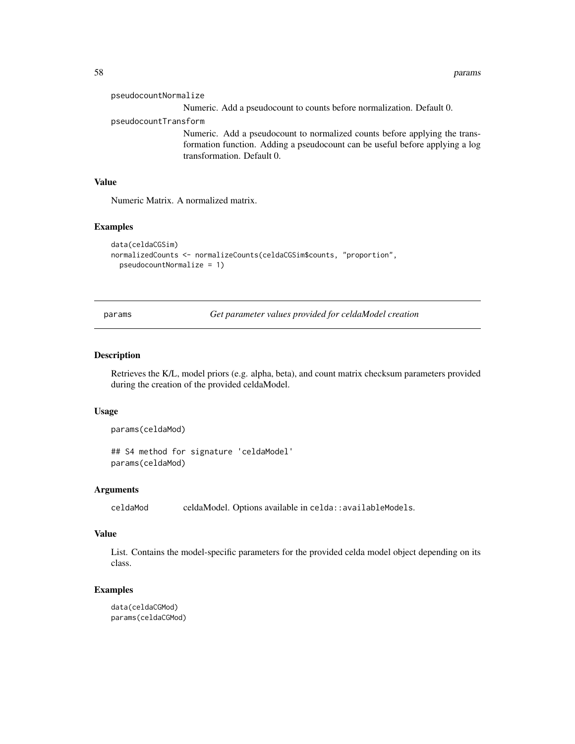58 params and the contract of the contract of the contract of the contract of the contract of the contract of the contract of the contract of the contract of the contract of the contract of the contract of the contract of

| pseudocountNormalize                                                                                                                                                                     |
|------------------------------------------------------------------------------------------------------------------------------------------------------------------------------------------|
| Numeric. Add a pseudocount to counts before normalization. Default 0.                                                                                                                    |
| pseudocountTransform                                                                                                                                                                     |
| Numeric. Add a pseudocount to normalized counts before applying the trans-<br>formation function. Adding a pseudocount can be useful before applying a log<br>transformation. Default 0. |

## Value

Numeric Matrix. A normalized matrix.

## Examples

```
data(celdaCGSim)
normalizedCounts <- normalizeCounts(celdaCGSim$counts, "proportion",
 pseudocountNormalize = 1)
```
params *Get parameter values provided for celdaModel creation*

## Description

Retrieves the K/L, model priors (e.g. alpha, beta), and count matrix checksum parameters provided during the creation of the provided celdaModel.

#### Usage

```
params(celdaMod)
```
## S4 method for signature 'celdaModel' params(celdaMod)

#### Arguments

celdaMod celdaModel. Options available in celda::availableModels.

#### Value

List. Contains the model-specific parameters for the provided celda model object depending on its class.

### Examples

```
data(celdaCGMod)
params(celdaCGMod)
```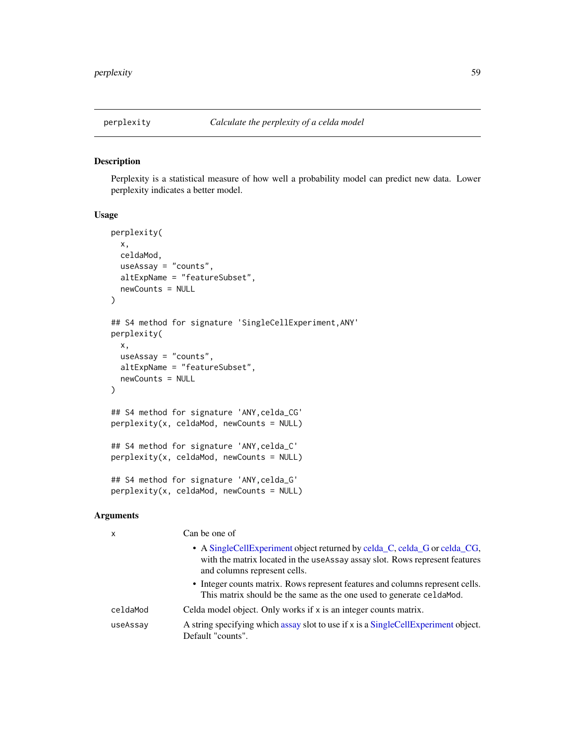### Description

Perplexity is a statistical measure of how well a probability model can predict new data. Lower perplexity indicates a better model.

#### Usage

```
perplexity(
 x,
  celdaMod,
 useAssay = "counts",
  altExpName = "featureSubset",
  newCounts = NULL
)
## S4 method for signature 'SingleCellExperiment,ANY'
perplexity(
  x,
  useAssay = "counts",
  altExpName = "featureSubset",
 newCounts = NULL
)
## S4 method for signature 'ANY,celda_CG'
perplexity(x, celdaMod, newCounts = NULL)
## S4 method for signature 'ANY,celda_C'
perplexity(x, celdaMod, newCounts = NULL)
## S4 method for signature 'ANY,celda_G'
perplexity(x, celdaMod, newCounts = NULL)
```

| x        | Can be one of                                                                                                                                                                              |
|----------|--------------------------------------------------------------------------------------------------------------------------------------------------------------------------------------------|
|          | • A Single Cell Experiment object returned by celda C, celda G or celda CG,<br>with the matrix located in the useAssay assay slot. Rows represent features<br>and columns represent cells. |
|          | • Integer counts matrix. Rows represent features and columns represent cells.<br>This matrix should be the same as the one used to generate celda Mod.                                     |
| celdaMod | Celda model object. Only works if x is an integer counts matrix.                                                                                                                           |
| useAssay | A string specifying which assay slot to use if x is a SingleCellExperiment object.<br>Default "counts".                                                                                    |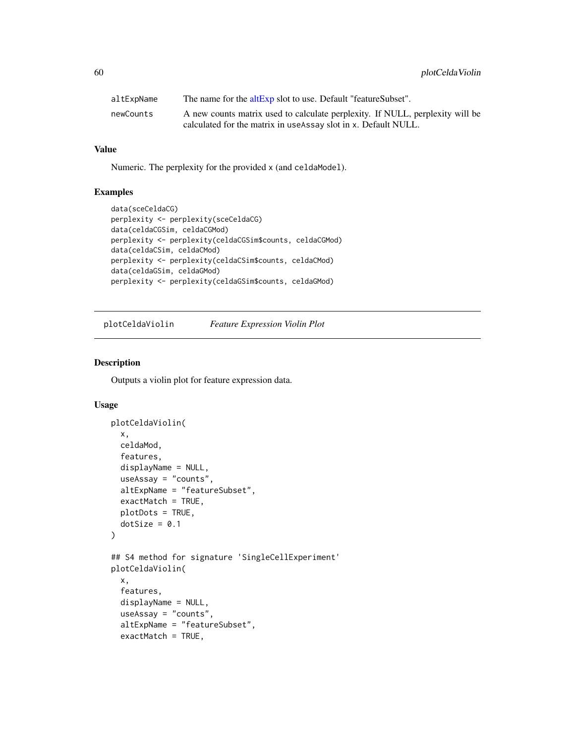| altExpName | The name for the altExp slot to use. Default "featureSubset".                 |
|------------|-------------------------------------------------------------------------------|
| newCounts  | A new counts matrix used to calculate perplexity. If NULL, perplexity will be |
|            | calculated for the matrix in use Assay slot in x. Default NULL.               |

Numeric. The perplexity for the provided x (and celdaModel).

## Examples

```
data(sceCeldaCG)
perplexity <- perplexity(sceCeldaCG)
data(celdaCGSim, celdaCGMod)
perplexity <- perplexity(celdaCGSim$counts, celdaCGMod)
data(celdaCSim, celdaCMod)
perplexity <- perplexity(celdaCSim$counts, celdaCMod)
data(celdaGSim, celdaGMod)
perplexity <- perplexity(celdaGSim$counts, celdaGMod)
```
plotCeldaViolin *Feature Expression Violin Plot*

## Description

Outputs a violin plot for feature expression data.

```
plotCeldaViolin(
  x,
  celdaMod,
  features,
  displayName = NULL,
  useAssay = "counts",
  altExpName = "featureSubset",
  exactMatch = TRUE,
 plotDots = TRUE,
 dotSize = 0.1)
## S4 method for signature 'SingleCellExperiment'
plotCeldaViolin(
  x,
  features,
  displayName = NULL,
  useAssay = "counts",
  altExpName = "featureSubset",
  exactMatch = TRUE,
```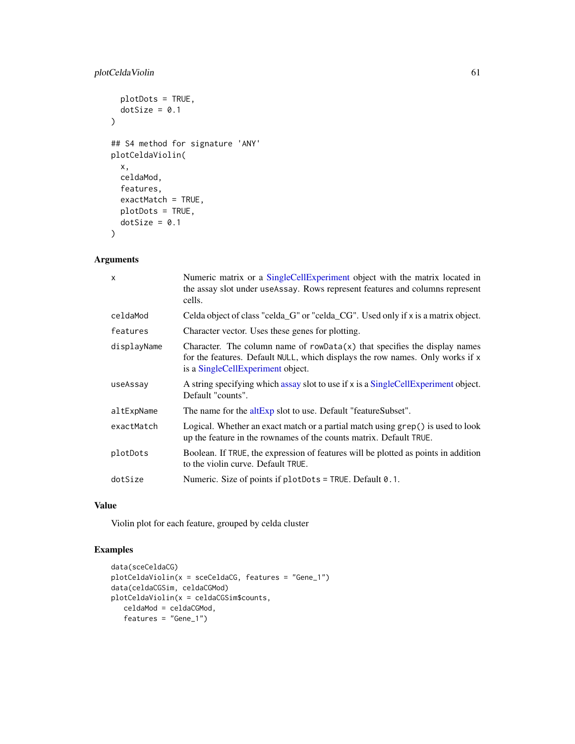## plotCeldaViolin 61

```
plotDots = TRUE,
 dotSize = 0.1\lambda## S4 method for signature 'ANY'
plotCeldaViolin(
 x,
 celdaMod,
 features,
 exactMatch = TRUE,
 plotDots = TRUE,
 dotSize = 0.1)
```
## Arguments

| X           | Numeric matrix or a SingleCellExperiment object with the matrix located in<br>the assay slot under useAssay. Rows represent features and columns represent<br>cells.                              |
|-------------|---------------------------------------------------------------------------------------------------------------------------------------------------------------------------------------------------|
| celdaMod    | Celda object of class "celda_G" or "celda_CG". Used only if x is a matrix object.                                                                                                                 |
| features    | Character vector. Uses these genes for plotting.                                                                                                                                                  |
| displayName | Character. The column name of $rowData(x)$ that specifies the display names<br>for the features. Default NULL, which displays the row names. Only works if x<br>is a SingleCellExperiment object. |
| useAssay    | A string specifying which assay slot to use if x is a SingleCellExperiment object.<br>Default "counts".                                                                                           |
| altExpName  | The name for the altExp slot to use. Default "featureSubset".                                                                                                                                     |
| exactMatch  | Logical. Whether an exact match or a partial match using grep() is used to look<br>up the feature in the rownames of the counts matrix. Default TRUE.                                             |
| plotDots    | Boolean. If TRUE, the expression of features will be plotted as points in addition<br>to the violin curve. Default TRUE.                                                                          |
| dotSize     | Numeric. Size of points if $plotDots = TRUE$ . Default $0.1$ .                                                                                                                                    |
|             |                                                                                                                                                                                                   |

### Value

Violin plot for each feature, grouped by celda cluster

## Examples

```
data(sceCeldaCG)
plotCeldaViolin(x = sceCeldaCG, features = "Gene_1")
data(celdaCGSim, celdaCGMod)
plotCeldaViolin(x = celdaCGSim$counts,
  celdaMod = celdaCGMod,
  features = "Gene_1")
```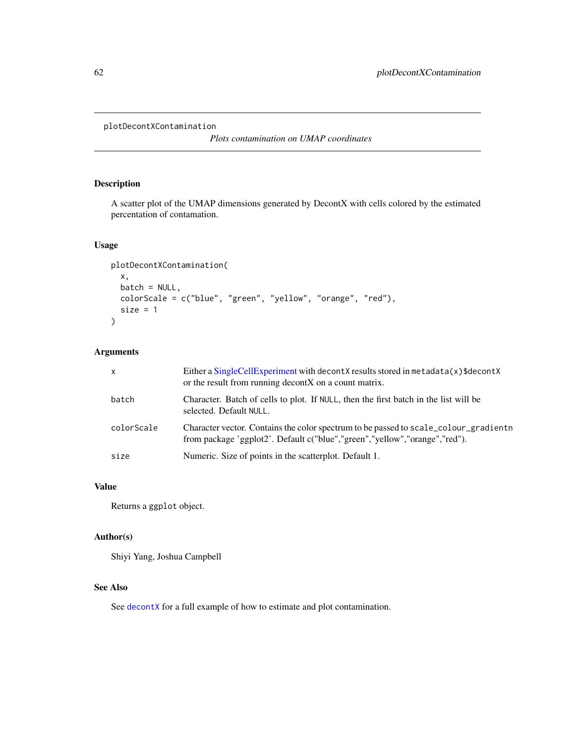```
plotDecontXContamination
```
*Plots contamination on UMAP coordinates*

## Description

A scatter plot of the UMAP dimensions generated by DecontX with cells colored by the estimated percentation of contamation.

## Usage

```
plotDecontXContamination(
  x,
 batch = NULL,colorScale = c("blue", "green", "yellow", "orange", "red"),
  size = 1\mathcal{L}
```
# Arguments

| $\mathsf{x}$ | Either a SingleCellExperiment with decontX results stored in metadata(x)\$decontX<br>or the result from running decont X on a count matrix.                         |
|--------------|---------------------------------------------------------------------------------------------------------------------------------------------------------------------|
| batch        | Character. Batch of cells to plot. If NULL, then the first batch in the list will be<br>selected. Default NULL.                                                     |
| colorScale   | Character vector. Contains the color spectrum to be passed to scale colour gradient n<br>from package 'ggplot2'. Default c("blue","green","yellow","orange","red"). |
| size         | Numeric. Size of points in the scatterplot. Default 1.                                                                                                              |

# Value

Returns a ggplot object.

## Author(s)

Shiyi Yang, Joshua Campbell

### See Also

See [decontX](#page-36-0) for a full example of how to estimate and plot contamination.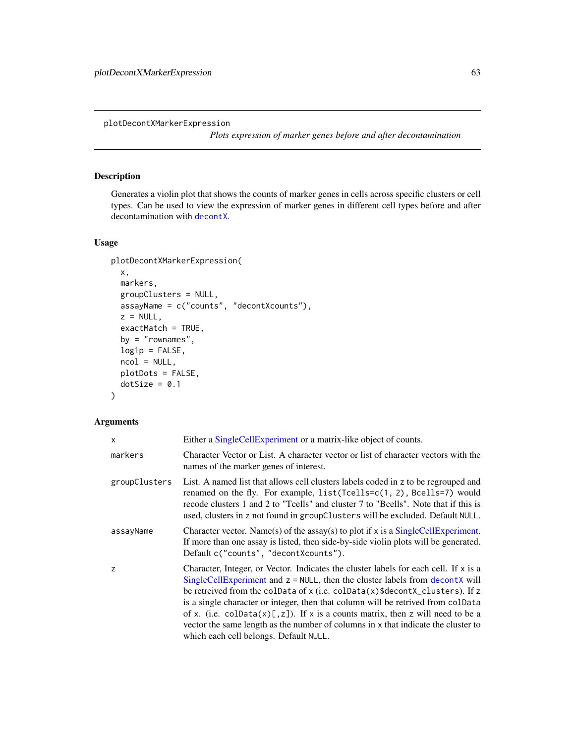plotDecontXMarkerExpression

*Plots expression of marker genes before and after decontamination*

## Description

Generates a violin plot that shows the counts of marker genes in cells across specific clusters or cell types. Can be used to view the expression of marker genes in different cell types before and after decontamination with [decontX](#page-36-0).

## Usage

```
plotDecontXMarkerExpression(
 x,
 markers,
 groupClusters = NULL,
 assayName = c("counts", "decontXcounts"),
 z = NULL,exactMatch = TRUE,
 by = "romames",log1p = FALSE,ncol = NULL,plotDots = FALSE,
 dotSize = 0.1)
```

| $\mathsf{x}$  | Either a SingleCellExperiment or a matrix-like object of counts.                                                                                                                                                                                                                                                                                                                                                                                                                                                                                               |
|---------------|----------------------------------------------------------------------------------------------------------------------------------------------------------------------------------------------------------------------------------------------------------------------------------------------------------------------------------------------------------------------------------------------------------------------------------------------------------------------------------------------------------------------------------------------------------------|
| markers       | Character Vector or List. A character vector or list of character vectors with the<br>names of the marker genes of interest.                                                                                                                                                                                                                                                                                                                                                                                                                                   |
| groupClusters | List. A named list that allows cell clusters labels coded in z to be regrouped and<br>renamed on the fly. For example, list(Tcells=c(1, 2), Bcells=7) would<br>recode clusters 1 and 2 to "Teells" and cluster 7 to "Beells". Note that if this is<br>used, clusters in z not found in groupClusters will be excluded. Default NULL.                                                                                                                                                                                                                           |
| assayName     | Character vector. Name(s) of the assay(s) to plot if $x$ is a SingleCellExperiment.<br>If more than one assay is listed, then side-by-side violin plots will be generated.<br>Default c("counts", "decontXcounts").                                                                                                                                                                                                                                                                                                                                            |
| z             | Character, Integer, or Vector. Indicates the cluster labels for each cell. If $x$ is a<br>SingleCellExperiment and $z = NULL$ , then the cluster labels from decontX will<br>be retreived from the colData of x (i.e. colData(x)\$decontX_clusters). If z<br>is a single character or integer, then that column will be retrived from colData<br>of x. (i.e. coldata(x)[,z]). If x is a counts matrix, then z will need to be a<br>vector the same length as the number of columns in x that indicate the cluster to<br>which each cell belongs. Default NULL. |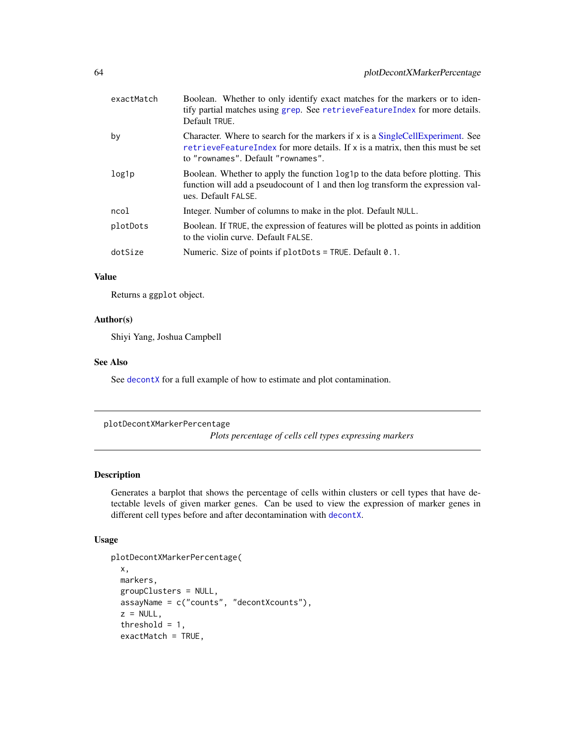| exactMatch | Boolean. Whether to only identify exact matches for the markers or to iden-<br>tify partial matches using grep. See retrieve Feature Index for more details.<br>Default TRUE.                                  |
|------------|----------------------------------------------------------------------------------------------------------------------------------------------------------------------------------------------------------------|
| by         | Character. Where to search for the markers if $x$ is a Single Cell Experiment. See<br>retrieve Feature Index for more details. If $x$ is a matrix, then this must be set<br>to "rownames". Default "rownames". |
| log1p      | Boolean. Whether to apply the function log1p to the data before plotting. This<br>function will add a pseudocount of 1 and then log transform the expression val-<br>ues. Default FALSE.                       |
| ncol       | Integer. Number of columns to make in the plot. Default NULL.                                                                                                                                                  |
| plotDots   | Boolean. If TRUE, the expression of features will be plotted as points in addition<br>to the violin curve. Default FALSE.                                                                                      |
| dotSize    | Numeric. Size of points if $plotDots = TRUE$ . Default 0.1.                                                                                                                                                    |
|            |                                                                                                                                                                                                                |

Returns a ggplot object.

## Author(s)

Shiyi Yang, Joshua Campbell

## See Also

See [decontX](#page-36-0) for a full example of how to estimate and plot contamination.

plotDecontXMarkerPercentage

*Plots percentage of cells cell types expressing markers*

## Description

Generates a barplot that shows the percentage of cells within clusters or cell types that have detectable levels of given marker genes. Can be used to view the expression of marker genes in different cell types before and after decontamination with [decontX](#page-36-0).

```
plotDecontXMarkerPercentage(
 x,
 markers,
 groupClusters = NULL,
 assayName = c("counts", "decontXcounts"),
 z = NULL,threshold = 1,
 exactMatch = TRUE,
```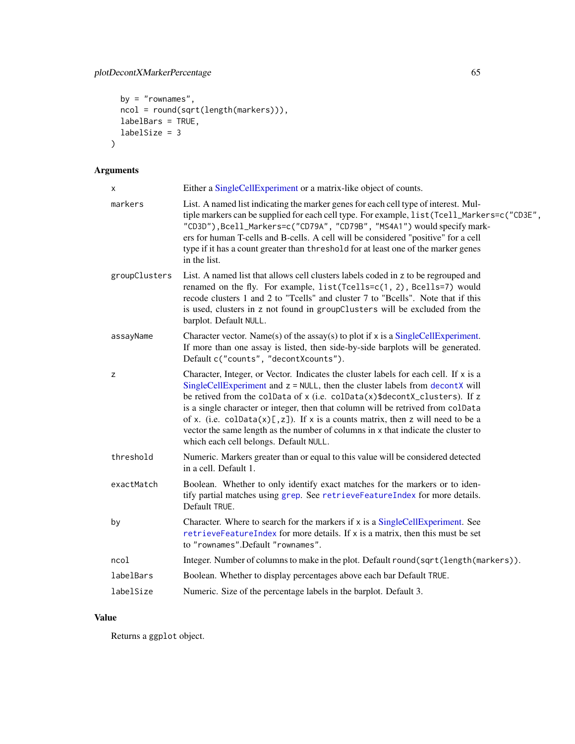```
by = "rownames",
 ncol = round(sqrt(length(markers))),
 labelBars = TRUE,
 labelSize = 3
)
```

| Either a SingleCellExperiment or a matrix-like object of counts.                                                                                                                                                                                                                                                                                                                                                                                                                                                                                               |
|----------------------------------------------------------------------------------------------------------------------------------------------------------------------------------------------------------------------------------------------------------------------------------------------------------------------------------------------------------------------------------------------------------------------------------------------------------------------------------------------------------------------------------------------------------------|
| List. A named list indicating the marker genes for each cell type of interest. Mul-<br>tiple markers can be supplied for each cell type. For example, list (Tcell_Markers=c("CD3E",<br>"CD3D"), Bcell_Markers=c("CD79A", "CD79B", "MS4A1") would specify mark-<br>ers for human T-cells and B-cells. A cell will be considered "positive" for a cell<br>type if it has a count greater than threshold for at least one of the marker genes<br>in the list.                                                                                                     |
| List. A named list that allows cell clusters labels coded in z to be regrouped and<br>renamed on the fly. For example, list(Tcells=c(1, 2), Bcells=7) would<br>recode clusters 1 and 2 to "Tcells" and cluster 7 to "Bcells". Note that if this<br>is used, clusters in z not found in groupClusters will be excluded from the<br>barplot. Default NULL.                                                                                                                                                                                                       |
| Character vector. Name(s) of the assay(s) to plot if $x$ is a SingleCellExperiment.<br>If more than one assay is listed, then side-by-side barplots will be generated.<br>Default c("counts", "decontXcounts").                                                                                                                                                                                                                                                                                                                                                |
| Character, Integer, or Vector. Indicates the cluster labels for each cell. If x is a<br>SingleCellExperiment and $z = NULL$ , then the cluster labels from decontX will<br>be retived from the colData of x (i.e. colData(x)\$decontX_clusters). If z<br>is a single character or integer, then that column will be retrived from colData<br>of x. (i.e. colData $(x)[,z]$ ). If x is a counts matrix, then z will need to be a<br>vector the same length as the number of columns in x that indicate the cluster to<br>which each cell belongs. Default NULL. |
| Numeric. Markers greater than or equal to this value will be considered detected<br>in a cell. Default 1.                                                                                                                                                                                                                                                                                                                                                                                                                                                      |
| Boolean. Whether to only identify exact matches for the markers or to iden-<br>tify partial matches using grep. See retrieveFeatureIndex for more details.<br>Default TRUE.                                                                                                                                                                                                                                                                                                                                                                                    |
| Character. Where to search for the markers if x is a SingleCellExperiment. See<br>retrieveFeatureIndex for more details. If x is a matrix, then this must be set<br>to "rownames".Default "rownames".                                                                                                                                                                                                                                                                                                                                                          |
| Integer. Number of columns to make in the plot. Default round(sqrt(length(markers)).                                                                                                                                                                                                                                                                                                                                                                                                                                                                           |
| Boolean. Whether to display percentages above each bar Default TRUE.                                                                                                                                                                                                                                                                                                                                                                                                                                                                                           |
| Numeric. Size of the percentage labels in the barplot. Default 3.                                                                                                                                                                                                                                                                                                                                                                                                                                                                                              |
|                                                                                                                                                                                                                                                                                                                                                                                                                                                                                                                                                                |

## Value

Returns a ggplot object.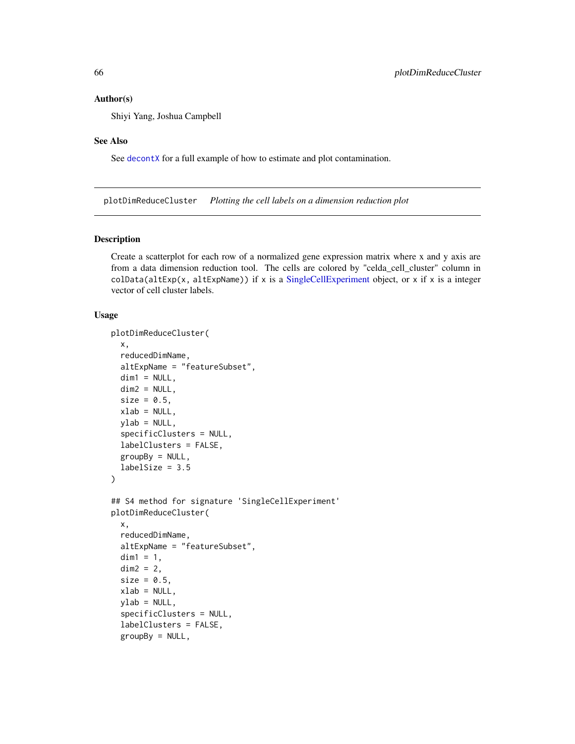#### Author(s)

Shiyi Yang, Joshua Campbell

#### See Also

See [decontX](#page-36-0) for a full example of how to estimate and plot contamination.

plotDimReduceCluster *Plotting the cell labels on a dimension reduction plot*

#### Description

Create a scatterplot for each row of a normalized gene expression matrix where x and y axis are from a data dimension reduction tool. The cells are colored by "celda\_cell\_cluster" column in  $colData(altExp(x, altExpName))$  if x is a [SingleCellExperiment](#page-0-0) object, or x if x is a integer vector of cell cluster labels.

```
plotDimReduceCluster(
  x,
  reducedDimName,
  altExpName = "featureSubset",
  dim1 = NULL,dim2 = NULL,
  size = 0.5,
  xlab = NULL,
  ylab = NULL,
  specificClusters = NULL,
  labelClusters = FALSE,
  groupBy = NULL,
  labelSize = 3.5\lambda## S4 method for signature 'SingleCellExperiment'
plotDimReduceCluster(
  x,
  reducedDimName,
  altExpName = "featureSubset",
  dim1 = 1,
  dim2 = 2,
  size = 0.5,
  xlab = NULL,
  vlab = NULL,
  specificClusters = NULL,
  labelClusters = FALSE,
  groupBy = NULL,
```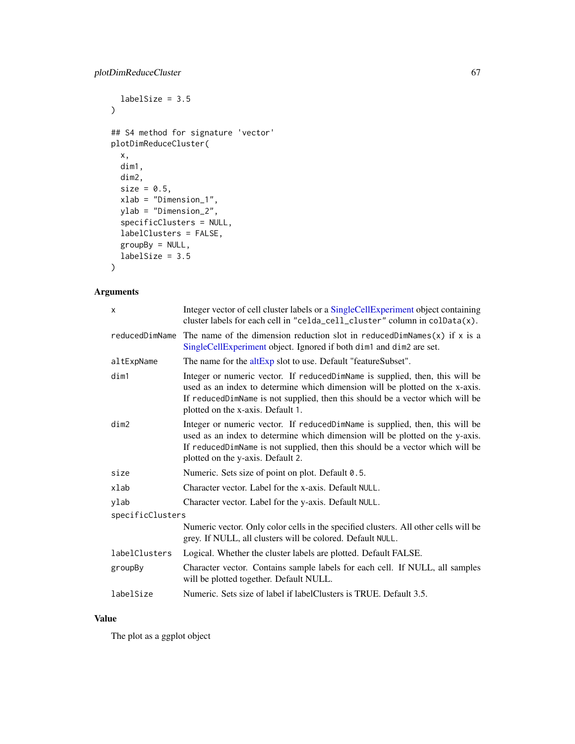```
labelSize = 3.5\mathcal{L}## S4 method for signature 'vector'
plotDimReduceCluster(
 x,
 dim1,
 dim2,
 size = 0.5,
 xlab = "Dimension_1",
 ylab = "Dimension_2",
  specificClusters = NULL,
 labelClusters = FALSE,
 groupBy = NULL,labelSize = 3.5
\mathcal{L}
```

| X                | Integer vector of cell cluster labels or a SingleCellExperiment object containing<br>cluster labels for each cell in "celda_cell_cluster" column in colData(x).                                                                                                                    |  |
|------------------|------------------------------------------------------------------------------------------------------------------------------------------------------------------------------------------------------------------------------------------------------------------------------------|--|
| reducedDimName   | The name of the dimension reduction slot in reduced DimNames $(x)$ if x is a<br>SingleCellExperiment object. Ignored if both dim1 and dim2 are set.                                                                                                                                |  |
| altExpName       | The name for the altExp slot to use. Default "featureSubset".                                                                                                                                                                                                                      |  |
| dim1             | Integer or numeric vector. If reducedDimName is supplied, then, this will be<br>used as an index to determine which dimension will be plotted on the x-axis.<br>If reducedDimName is not supplied, then this should be a vector which will be<br>plotted on the x-axis. Default 1. |  |
| dim2             | Integer or numeric vector. If reducedDimName is supplied, then, this will be<br>used as an index to determine which dimension will be plotted on the y-axis.<br>If reducedDimName is not supplied, then this should be a vector which will be<br>plotted on the y-axis. Default 2. |  |
| size             | Numeric. Sets size of point on plot. Default 0.5.                                                                                                                                                                                                                                  |  |
| xlab             | Character vector. Label for the x-axis. Default NULL.                                                                                                                                                                                                                              |  |
| ylab             | Character vector. Label for the y-axis. Default NULL.                                                                                                                                                                                                                              |  |
| specificClusters |                                                                                                                                                                                                                                                                                    |  |
|                  | Numeric vector. Only color cells in the specified clusters. All other cells will be<br>grey. If NULL, all clusters will be colored. Default NULL.                                                                                                                                  |  |
| labelClusters    | Logical. Whether the cluster labels are plotted. Default FALSE.                                                                                                                                                                                                                    |  |
| groupBy          | Character vector. Contains sample labels for each cell. If NULL, all samples<br>will be plotted together. Default NULL.                                                                                                                                                            |  |
| labelSize        | Numeric. Sets size of label if label Clusters is TRUE. Default 3.5.                                                                                                                                                                                                                |  |

## Value

The plot as a ggplot object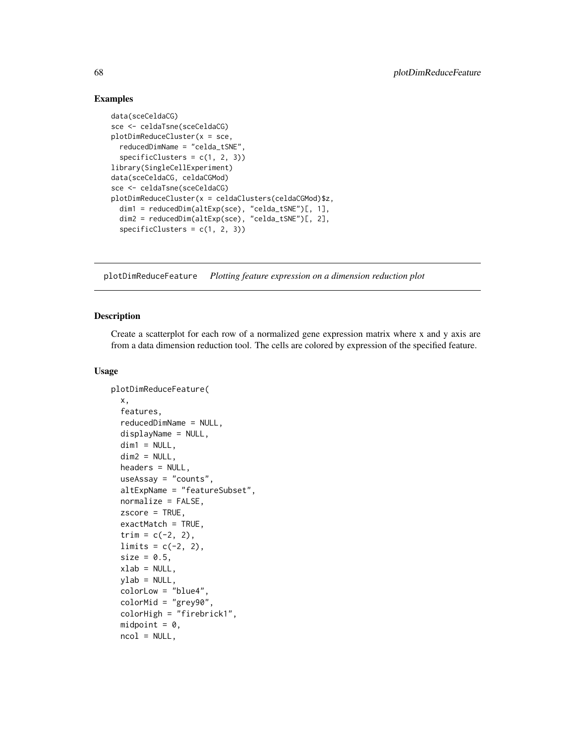### Examples

```
data(sceCeldaCG)
sce <- celdaTsne(sceCeldaCG)
plotDimReduceCluster(x = sce,
  reducedDimName = "celda_tSNE",
  specificClusters = c(1, 2, 3))library(SingleCellExperiment)
data(sceCeldaCG, celdaCGMod)
sce <- celdaTsne(sceCeldaCG)
plotDimReduceCluster(x = celdaClusters(celdaCGMod)$z,
  dim1 = reducedDim(altExp(sce), "celda_tSNE")[, 1],
  dim2 = reducedDim(altExp(sce), "celda_tSNE")[, 2],
  specificClusters = c(1, 2, 3))
```
plotDimReduceFeature *Plotting feature expression on a dimension reduction plot*

#### Description

Create a scatterplot for each row of a normalized gene expression matrix where x and y axis are from a data dimension reduction tool. The cells are colored by expression of the specified feature.

```
plotDimReduceFeature(
  x,
  features,
  reducedDimName = NULL,
  displayName = NULL,
  dim1 = NULL,dim2 = NULL,headers = NULL,
  useAssay = "counts",
  altExpName = "featureSubset",
  normalize = FALSE,
  zscore = TRUE,
  exactMatch = TRUE,
  trim = c(-2, 2),
  limits = c(-2, 2),size = 0.5,
  xlab = NULL,vlab = NULL,
  colorLow = "blue4",
  colorMid = "grey90",
  colorHigh = "firebrick1",
  midpoint = 0,
  ncol = NULL,
```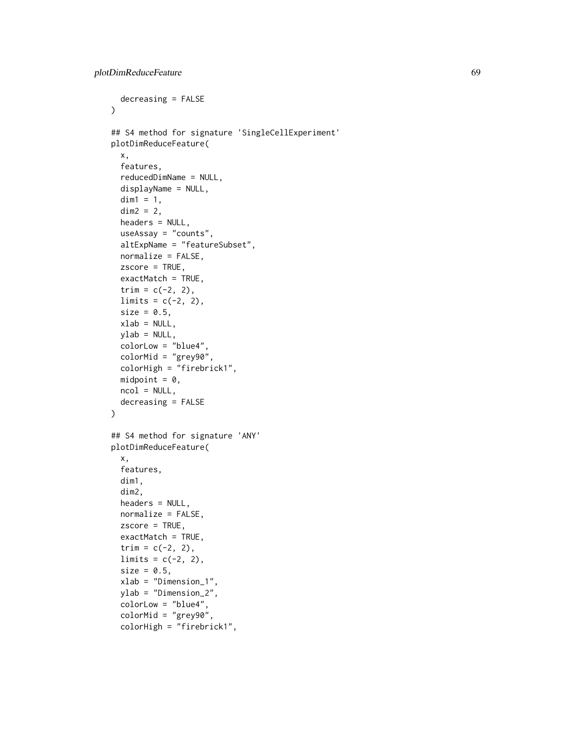```
decreasing = FALSE
\lambda## S4 method for signature 'SingleCellExperiment'
plotDimReduceFeature(
 x,
 features,
  reducedDimName = NULL,
 displayName = NULL,
 dim1 = 1,
 dim2 = 2,
 headers = NULL,
 useAssay = "counts",
  altExpName = "featureSubset",
 normalize = FALSE,
  zscore = TRUE,
 exactMatch = TRUE,
  trim = c(-2, 2),
 limits = c(-2, 2),size = 0.5,
 xlab = NULL,
 ylab = NULL,
 colorLow = "blue4",
  colorMid = "grey90",
 colorHigh = "firebrick1",
 midpoint = 0,
 ncol = NULL,decreasing = FALSE
)
## S4 method for signature 'ANY'
plotDimReduceFeature(
  x,
 features,
 dim1,
 dim2,
 headers = NULL,
 normalize = FALSE,
 zscore = TRUE,
 exactMatch = TRUE,
  trim = c(-2, 2),
 limits = c(-2, 2),size = 0.5,
 xlab = "Dimension_1",
 ylab = "Dimension_2",
  colorLow = "blue4",
 colorMid = "grey90",
 colorHigh = "firebrick1",
```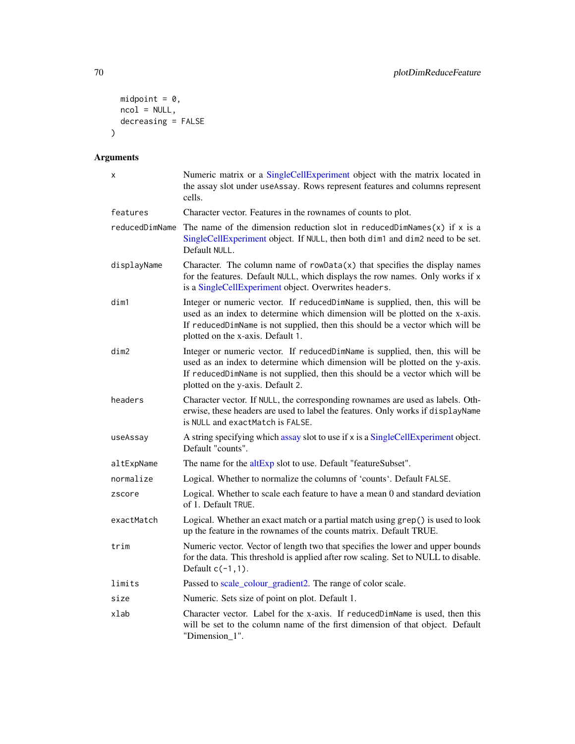```
midpoint = 0,
 ncol = NULL,
 decreasing = FALSE
\lambda
```

| x              | Numeric matrix or a SingleCellExperiment object with the matrix located in<br>the assay slot under useAssay. Rows represent features and columns represent<br>cells.                                                                                                               |
|----------------|------------------------------------------------------------------------------------------------------------------------------------------------------------------------------------------------------------------------------------------------------------------------------------|
| features       | Character vector. Features in the rownames of counts to plot.                                                                                                                                                                                                                      |
| reducedDimName | The name of the dimension reduction slot in reduced DimNames $(x)$ if x is a<br>SingleCellExperiment object. If NULL, then both dim1 and dim2 need to be set.<br>Default NULL.                                                                                                     |
| displayName    | Character. The column name of $rowData(x)$ that specifies the display names<br>for the features. Default NULL, which displays the row names. Only works if x<br>is a SingleCellExperiment object. Overwrites headers.                                                              |
| dim1           | Integer or numeric vector. If reducedDimName is supplied, then, this will be<br>used as an index to determine which dimension will be plotted on the x-axis.<br>If reducedDimName is not supplied, then this should be a vector which will be<br>plotted on the x-axis. Default 1. |
| dim2           | Integer or numeric vector. If reducedDimName is supplied, then, this will be<br>used as an index to determine which dimension will be plotted on the y-axis.<br>If reducedDimName is not supplied, then this should be a vector which will be<br>plotted on the y-axis. Default 2. |
| headers        | Character vector. If NULL, the corresponding rownames are used as labels. Oth-<br>erwise, these headers are used to label the features. Only works if displayName<br>is NULL and exactMatch is FALSE.                                                                              |
| useAssay       | A string specifying which assay slot to use if x is a SingleCellExperiment object.<br>Default "counts".                                                                                                                                                                            |
| altExpName     | The name for the altExp slot to use. Default "featureSubset".                                                                                                                                                                                                                      |
| normalize      | Logical. Whether to normalize the columns of 'counts'. Default FALSE.                                                                                                                                                                                                              |
| zscore         | Logical. Whether to scale each feature to have a mean 0 and standard deviation<br>of 1. Default TRUE.                                                                                                                                                                              |
| exactMatch     | Logical. Whether an exact match or a partial match using grep() is used to look<br>up the feature in the rownames of the counts matrix. Default TRUE.                                                                                                                              |
| trim           | Numeric vector. Vector of length two that specifies the lower and upper bounds<br>for the data. This threshold is applied after row scaling. Set to NULL to disable.<br>Default $c(-1,1)$ .                                                                                        |
| limits         | Passed to scale_colour_gradient2. The range of color scale.                                                                                                                                                                                                                        |
| size           | Numeric. Sets size of point on plot. Default 1.                                                                                                                                                                                                                                    |
| xlab           | Character vector. Label for the x-axis. If reducedDimName is used, then this<br>will be set to the column name of the first dimension of that object. Default<br>"Dimension_1".                                                                                                    |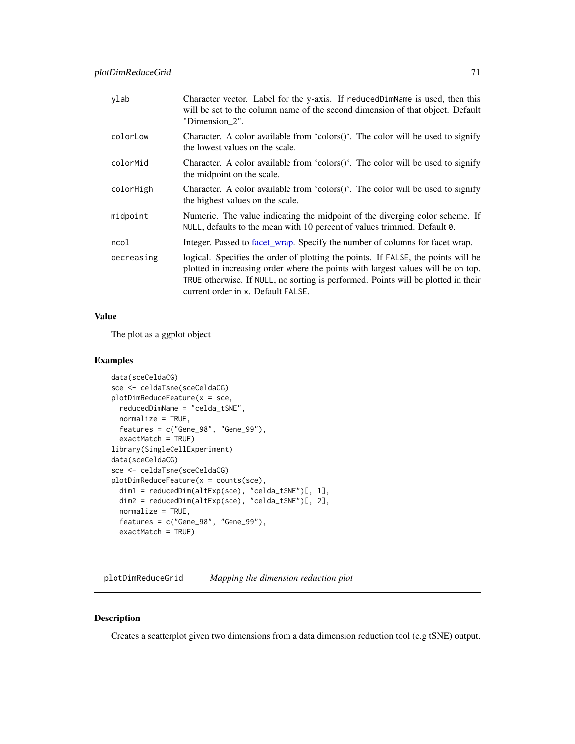| ylab       | Character vector. Label for the y-axis. If reducedDimName is used, then this<br>will be set to the column name of the second dimension of that object. Default<br>"Dimension_2".                                                                                                                 |
|------------|--------------------------------------------------------------------------------------------------------------------------------------------------------------------------------------------------------------------------------------------------------------------------------------------------|
| colorLow   | Character. A color available from 'colors()'. The color will be used to signify<br>the lowest values on the scale.                                                                                                                                                                               |
| colorMid   | Character. A color available from 'colors()'. The color will be used to signify<br>the midpoint on the scale.                                                                                                                                                                                    |
| colorHigh  | Character. A color available from 'colors()'. The color will be used to signify<br>the highest values on the scale.                                                                                                                                                                              |
| midpoint   | Numeric. The value indicating the midpoint of the diverging color scheme. If<br>NULL, defaults to the mean with 10 percent of values trimmed. Default 0.                                                                                                                                         |
| ncol       | Integer. Passed to facet_wrap. Specify the number of columns for facet wrap.                                                                                                                                                                                                                     |
| decreasing | logical. Specifies the order of plotting the points. If FALSE, the points will be<br>plotted in increasing order where the points with largest values will be on top.<br>TRUE otherwise. If NULL, no sorting is performed. Points will be plotted in their<br>current order in x. Default FALSE. |

The plot as a ggplot object

#### Examples

```
data(sceCeldaCG)
sce <- celdaTsne(sceCeldaCG)
plotDimReduceFeature(x = sce,
  reducedDimName = "celda_tSNE",
  normalize = TRUE,
  features = c("Gene_98", "Gene_99"),
  exactMatch = TRUE)
library(SingleCellExperiment)
data(sceCeldaCG)
sce <- celdaTsne(sceCeldaCG)
plotDimReduceFeature(x = counts(sce),
  dim1 = reducedDim(altExp(sce), "celda_tSNE")[, 1],
  dim2 = reducedDim(altExp(sce), "celda_tSNE")[, 2],
  normalize = TRUE,
  features = c("Gene_98", "Gene_99"),
  exactMatch = TRUE)
```
plotDimReduceGrid *Mapping the dimension reduction plot*

## Description

Creates a scatterplot given two dimensions from a data dimension reduction tool (e.g tSNE) output.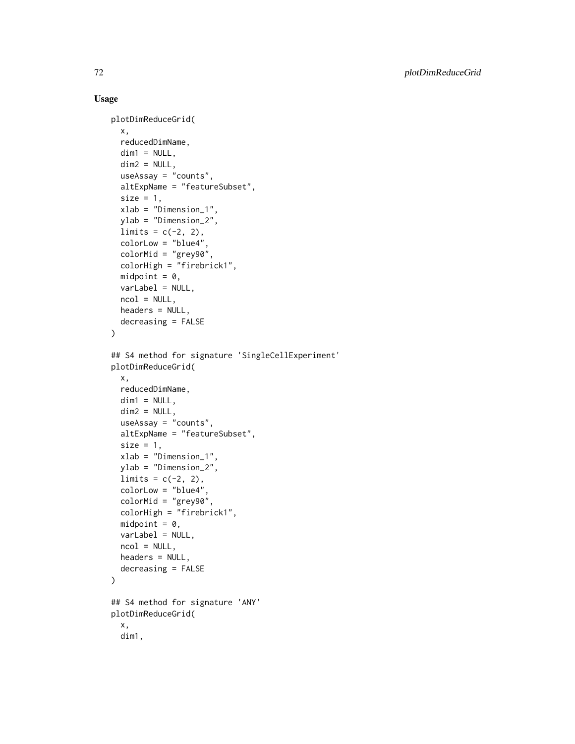```
plotDimReduceGrid(
  x,
  reducedDimName,
  dim1 = NULL,dim2 = NULL,useAssay = "counts",
  altExpName = "featureSubset",
  size = 1.
 xlab = "Dimension_1",
 ylab = "Dimension_2",
  limits = c(-2, 2),colorLow = "blue4"
  colorMid = "grey90",
  colorHigh = "firebrick1",
  midpoint = 0,
  varLabel = NULL,
  ncol = NULL,headers = NULL,
  decreasing = FALSE
)
## S4 method for signature 'SingleCellExperiment'
plotDimReduceGrid(
 x,
  reducedDimName,
  dim1 = NULL,dim2 = NULL,useAssay = "counts",
  altExpName = "featureSubset",
  size = 1,
  xlab = "Dimension_1",
  ylab = "Dimension_2",
  limits = c(-2, 2),colorLow = "blue4",
  colorMid = "grey90",
  colorHigh = "firebrick1",
 midpoint = 0,
  varLabel = NULL,
  ncol = NULL,headers = NULL,
  decreasing = FALSE
\lambda## S4 method for signature 'ANY'
plotDimReduceGrid(
  x,
  dim1,
```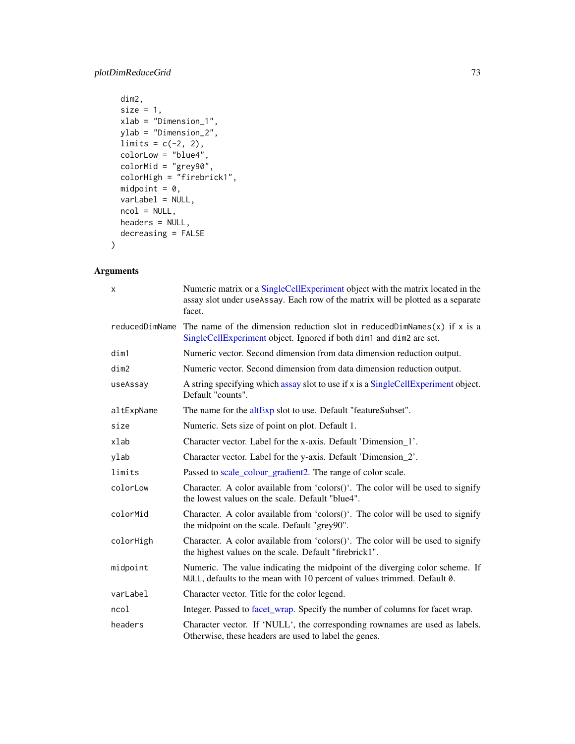# plotDimReduceGrid 73

```
dim2,
size = 1,
xlab = "Dimension_1",
ylab = "Dimension_2",
limits = c(-2, 2),colorLow = "blue4",
colorMid = "grey90",
colorHigh = "firebrick1",
mid = 0,
varLabel = NULL,
ncol = NULL,
headers = NULL,
decreasing = FALSE
```
# Arguments

)

| X              | Numeric matrix or a SingleCellExperiment object with the matrix located in the<br>assay slot under useAssay. Each row of the matrix will be plotted as a separate<br>facet. |
|----------------|-----------------------------------------------------------------------------------------------------------------------------------------------------------------------------|
| reducedDimName | The name of the dimension reduction slot in reduced DimNames $(x)$ if x is a<br>SingleCellExperiment object. Ignored if both dim1 and dim2 are set.                         |
| dim1           | Numeric vector. Second dimension from data dimension reduction output.                                                                                                      |
| dim2           | Numeric vector. Second dimension from data dimension reduction output.                                                                                                      |
| useAssay       | A string specifying which assay slot to use if x is a SingleCellExperiment object.<br>Default "counts".                                                                     |
| altExpName     | The name for the altExp slot to use. Default "featureSubset".                                                                                                               |
| size           | Numeric. Sets size of point on plot. Default 1.                                                                                                                             |
| xlab           | Character vector. Label for the x-axis. Default 'Dimension 1'.                                                                                                              |
| ylab           | Character vector. Label for the y-axis. Default 'Dimension_2'.                                                                                                              |
| limits         | Passed to scale_colour_gradient2. The range of color scale.                                                                                                                 |
| colorLow       | Character. A color available from 'colors()'. The color will be used to signify<br>the lowest values on the scale. Default "blue4".                                         |
| colorMid       | Character. A color available from 'colors()'. The color will be used to signify<br>the midpoint on the scale. Default "grey90".                                             |
| colorHigh      | Character. A color available from 'colors()'. The color will be used to signify<br>the highest values on the scale. Default "firebrick1".                                   |
| midpoint       | Numeric. The value indicating the midpoint of the diverging color scheme. If<br>NULL, defaults to the mean with 10 percent of values trimmed. Default 0.                    |
| varLabel       | Character vector. Title for the color legend.                                                                                                                               |
| ncol           | Integer. Passed to facet_wrap. Specify the number of columns for facet wrap.                                                                                                |
| headers        | Character vector. If 'NULL', the corresponding rownames are used as labels.<br>Otherwise, these headers are used to label the genes.                                        |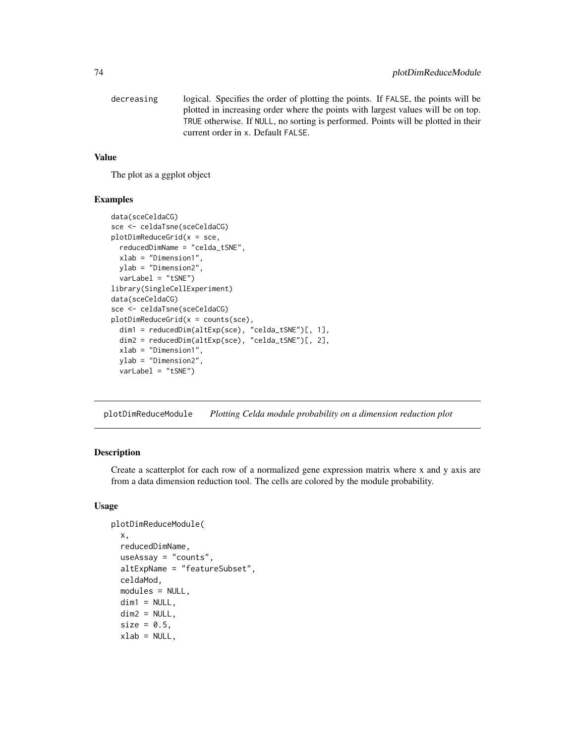```
decreasing logical. Specifies the order of plotting the points. If FALSE, the points will be
                   plotted in increasing order where the points with largest values will be on top.
                   TRUE otherwise. If NULL, no sorting is performed. Points will be plotted in their
                   current order in x. Default FALSE.
```
#### Value

The plot as a ggplot object

#### Examples

```
data(sceCeldaCG)
sce <- celdaTsne(sceCeldaCG)
plotDimReduceGrid(x = \text{sc}e,reducedDimName = "celda_tSNE",
 xlab = "Dimension1",
 ylab = "Dimension2",
 varLabel = "tSNE")
library(SingleCellExperiment)
data(sceCeldaCG)
sce <- celdaTsne(sceCeldaCG)
plotDimReduceGrid(x = counts(sce),
 dim1 = reducedDim(altExp(sce), "celda_tSNE")[, 1],
 dim2 = reducedDim(altExp(sce), "celda_tSNE")[, 2],
 xlab = "Dimension1",
 ylab = "Dimension2",
 varLabel = "tSNE")
```
plotDimReduceModule *Plotting Celda module probability on a dimension reduction plot*

### Description

Create a scatterplot for each row of a normalized gene expression matrix where x and y axis are from a data dimension reduction tool. The cells are colored by the module probability.

```
plotDimReduceModule(
  x,
  reducedDimName,
  useAssay = "counts",
  altExpName = "featureSubset",
  celdaMod,
 modules = NULL,
  dim1 = NULL,
  dim2 = NULL,size = 0.5,
  xlab = NULL,
```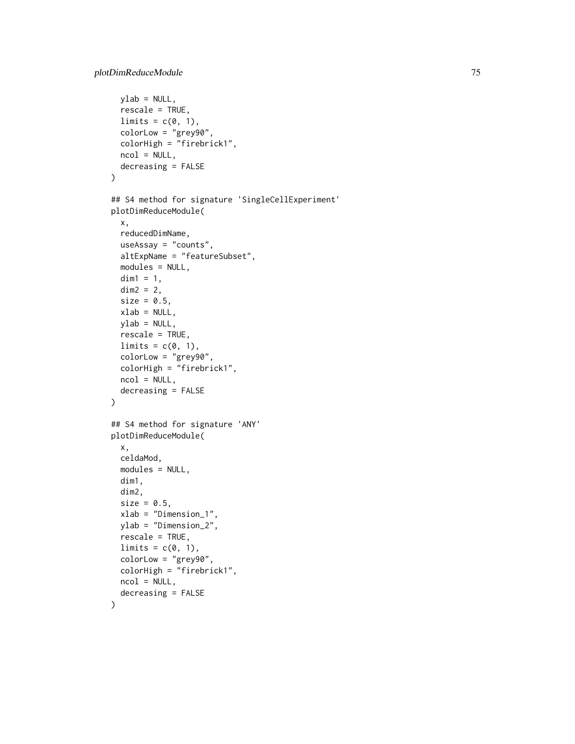```
ylab = NULL,
  rescale = TRUE,
 limits = c(0, 1),colorLow = "grey90",
  colorHigh = "firebrick1",
 ncol = NULL,decreasing = FALSE
\mathcal{L}## S4 method for signature 'SingleCellExperiment'
plotDimReduceModule(
 x,
 reducedDimName,
 useAssay = "counts",
 altExpName = "featureSubset",
 modules = NULL,
 dim1 = 1,
 dim2 = 2,
 size = 0.5,
  xlab = NULL,
 ylab = NULL,
  rescale = TRUE,
 limits = c(0, 1),colorLow = "grey90",
 colorHigh = "firebrick1",
 ncol = NULL,decreasing = FALSE
)
## S4 method for signature 'ANY'
plotDimReduceModule(
 x,
 celdaMod,
 modules = NULL,
 dim1,
 dim2,
  size = 0.5,
 xlab = "Dimension_1",
 ylab = "Dimension_2",
 rescale = TRUE,
 limits = c(0, 1),colorLow = "grey90",
  colorHigh = "firebrick1",
 ncol = NULL,decreasing = FALSE
)
```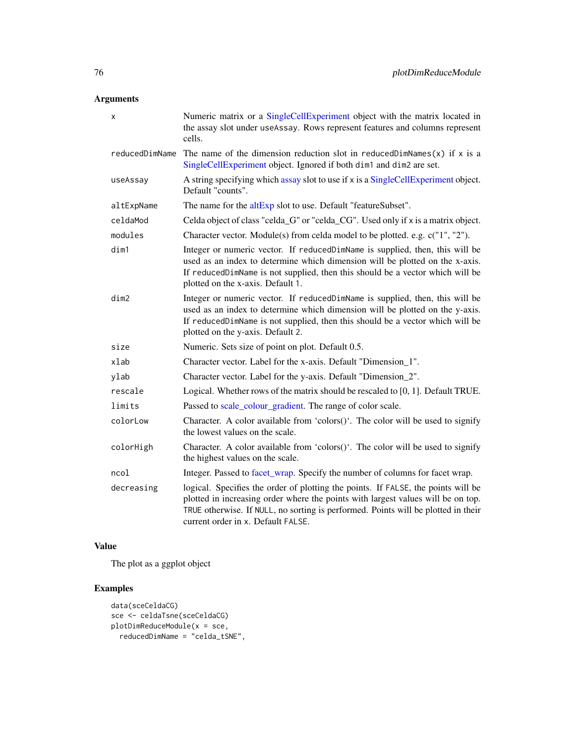# Arguments

| x              | Numeric matrix or a SingleCellExperiment object with the matrix located in<br>the assay slot under useAssay. Rows represent features and columns represent<br>cells.                                                                                                                             |
|----------------|--------------------------------------------------------------------------------------------------------------------------------------------------------------------------------------------------------------------------------------------------------------------------------------------------|
| reducedDimName | The name of the dimension reduction slot in reduced DimNames $(x)$ if x is a<br>SingleCellExperiment object. Ignored if both dim1 and dim2 are set.                                                                                                                                              |
| useAssay       | A string specifying which assay slot to use if x is a SingleCellExperiment object.<br>Default "counts".                                                                                                                                                                                          |
| altExpName     | The name for the altExp slot to use. Default "featureSubset".                                                                                                                                                                                                                                    |
| celdaMod       | Celda object of class "celda_G" or "celda_CG". Used only if x is a matrix object.                                                                                                                                                                                                                |
| modules        | Character vector. Module(s) from celda model to be plotted. e.g. c("1", "2").                                                                                                                                                                                                                    |
| dim1           | Integer or numeric vector. If reducedDimName is supplied, then, this will be<br>used as an index to determine which dimension will be plotted on the x-axis.<br>If reducedDimName is not supplied, then this should be a vector which will be<br>plotted on the x-axis. Default 1.               |
| dim2           | Integer or numeric vector. If reducedDimName is supplied, then, this will be<br>used as an index to determine which dimension will be plotted on the y-axis.<br>If reducedDimName is not supplied, then this should be a vector which will be<br>plotted on the y-axis. Default 2.               |
| size           | Numeric. Sets size of point on plot. Default 0.5.                                                                                                                                                                                                                                                |
| xlab           | Character vector. Label for the x-axis. Default "Dimension 1".                                                                                                                                                                                                                                   |
| ylab           | Character vector. Label for the y-axis. Default "Dimension_2".                                                                                                                                                                                                                                   |
| rescale        | Logical. Whether rows of the matrix should be rescaled to [0, 1]. Default TRUE.                                                                                                                                                                                                                  |
| limits         | Passed to scale_colour_gradient. The range of color scale.                                                                                                                                                                                                                                       |
| colorLow       | Character. A color available from 'colors()'. The color will be used to signify<br>the lowest values on the scale.                                                                                                                                                                               |
| colorHigh      | Character. A color available from 'colors()'. The color will be used to signify<br>the highest values on the scale.                                                                                                                                                                              |
| ncol           | Integer. Passed to facet_wrap. Specify the number of columns for facet wrap.                                                                                                                                                                                                                     |
| decreasing     | logical. Specifies the order of plotting the points. If FALSE, the points will be<br>plotted in increasing order where the points with largest values will be on top.<br>TRUE otherwise. If NULL, no sorting is performed. Points will be plotted in their<br>current order in x. Default FALSE. |

# Value

The plot as a ggplot object

# Examples

```
data(sceCeldaCG)
sce <- celdaTsne(sceCeldaCG)
plotDimReduceModule(x = \text{see},reducedDimName = "celda_tSNE",
```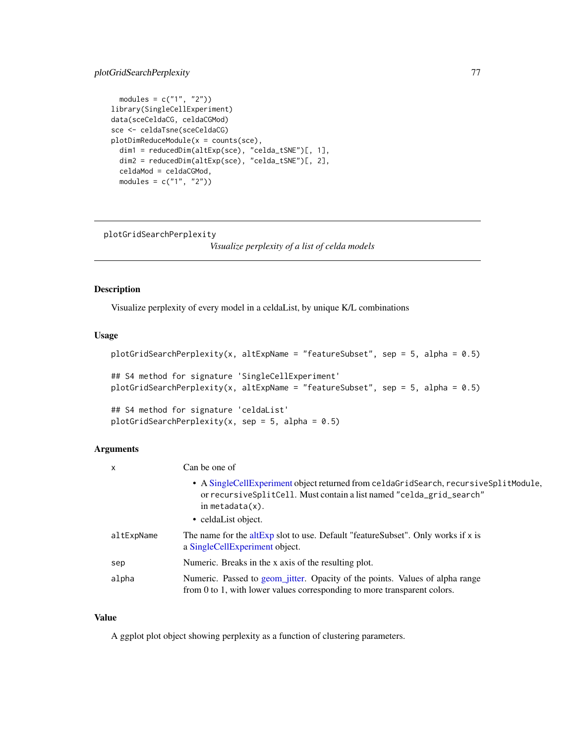## plotGridSearchPerplexity 77

```
modules = c("1", "2")library(SingleCellExperiment)
data(sceCeldaCG, celdaCGMod)
sce <- celdaTsne(sceCeldaCG)
plotDimReduceModule(x = counts(sce),
  dim1 = reducedDim(altExp(sce), "celda_tSNE")[, 1],
  dim2 = reducedDim(altExp(sce), "celda_tSNE")[, 2],
  celdaMod = celdaCGMod,
  modules = c("1", "2"))
```
plotGridSearchPerplexity

*Visualize perplexity of a list of celda models*

## Description

Visualize perplexity of every model in a celdaList, by unique K/L combinations

## Usage

```
plotGridSearchPerplexity(x, altExpName = "featureSubset", sep = 5, alpha = 0.5)
## S4 method for signature 'SingleCellExperiment'
plotGridSearchPerplexity(x, altExpName = "featureSubset", sep = 5, alpha = 0.5)
## S4 method for signature 'celdaList'
plotGridSearchPerplexity(x, sep = 5, alpha = 0.5)
```
### Arguments

| $\mathsf{x}$ | Can be one of                                                                                                                                                                                              |
|--------------|------------------------------------------------------------------------------------------------------------------------------------------------------------------------------------------------------------|
|              | • A SingleCellExperiment object returned from celdaGridSearch, recursiveSplitModule,<br>or recursiveSplitCell. Must contain a list named "celda_grid_search"<br>in metadata $(x)$ .<br>• celdaList object. |
| altExpName   | The name for the altExp slot to use. Default "feature Subset". Only works if $x$ is<br>a SingleCellExperiment object.                                                                                      |
| sep          | Numeric. Breaks in the x axis of the resulting plot.                                                                                                                                                       |
| alpha        | Numeric. Passed to geom_jitter. Opacity of the points. Values of alpha range<br>from 0 to 1, with lower values corresponding to more transparent colors.                                                   |

#### Value

A ggplot plot object showing perplexity as a function of clustering parameters.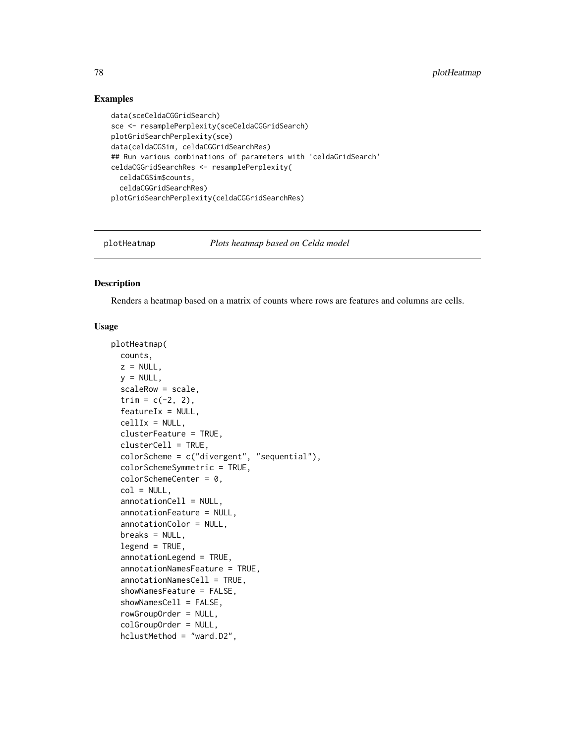### Examples

```
data(sceCeldaCGGridSearch)
sce <- resamplePerplexity(sceCeldaCGGridSearch)
plotGridSearchPerplexity(sce)
data(celdaCGSim, celdaCGGridSearchRes)
## Run various combinations of parameters with 'celdaGridSearch'
celdaCGGridSearchRes <- resamplePerplexity(
  celdaCGSim$counts,
  celdaCGGridSearchRes)
plotGridSearchPerplexity(celdaCGGridSearchRes)
```
plotHeatmap *Plots heatmap based on Celda model*

#### Description

Renders a heatmap based on a matrix of counts where rows are features and columns are cells.

```
plotHeatmap(
  counts,
  z = NULL,y = NULL,
  scaleRow = scale,
  trim = c(-2, 2),
  featureIx = NULL,cellIx = NULL,clusterFeature = TRUE,
  clusterCell = TRUE,
  colorScheme = c("divergent", "sequential"),
  colorSchemeSymmetric = TRUE,
  colorSchemeCenter = 0,col = NULL,annotationCell = NULL,
  annotationFeature = NULL,
  annotationColor = NULL,
  breaks = NULL,
  legend = TRUE,annotationLegend = TRUE,
  annotationNamesFeature = TRUE,
  annotationNamesCell = TRUE,
  showNamesFeature = FALSE,
  showNamesCell = FALSE,
  rowGroupOrder = NULL,
  colGroupOrder = NULL,
  hclustMethod = "ward.D2",
```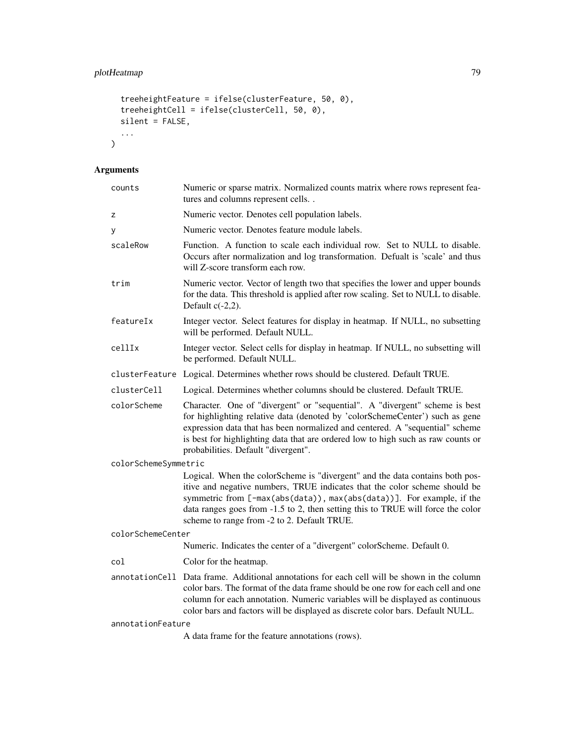```
treeheightFeature = ifelse(clusterFeature, 50, 0),
 treeheightCell = ifelse(clusterCell, 50, 0),
 silent = FALSE,...
)
```
# Arguments

| counts               | Numeric or sparse matrix. Normalized counts matrix where rows represent fea-<br>tures and columns represent cells                                                                                                                                                                                                                                                      |  |
|----------------------|------------------------------------------------------------------------------------------------------------------------------------------------------------------------------------------------------------------------------------------------------------------------------------------------------------------------------------------------------------------------|--|
| z                    | Numeric vector. Denotes cell population labels.                                                                                                                                                                                                                                                                                                                        |  |
| у                    | Numeric vector. Denotes feature module labels.                                                                                                                                                                                                                                                                                                                         |  |
| scaleRow             | Function. A function to scale each individual row. Set to NULL to disable.<br>Occurs after normalization and log transformation. Defualt is 'scale' and thus<br>will Z-score transform each row.                                                                                                                                                                       |  |
| trim                 | Numeric vector. Vector of length two that specifies the lower and upper bounds<br>for the data. This threshold is applied after row scaling. Set to NULL to disable.<br>Default $c(-2,2)$ .                                                                                                                                                                            |  |
| featureIx            | Integer vector. Select features for display in heatmap. If NULL, no subsetting<br>will be performed. Default NULL.                                                                                                                                                                                                                                                     |  |
| cellIx               | Integer vector. Select cells for display in heatmap. If NULL, no subsetting will<br>be performed. Default NULL.                                                                                                                                                                                                                                                        |  |
|                      | clusterFeature Logical. Determines whether rows should be clustered. Default TRUE.                                                                                                                                                                                                                                                                                     |  |
| clusterCell          | Logical. Determines whether columns should be clustered. Default TRUE.                                                                                                                                                                                                                                                                                                 |  |
| colorScheme          | Character. One of "divergent" or "sequential". A "divergent" scheme is best<br>for highlighting relative data (denoted by 'colorSchemeCenter') such as gene<br>expression data that has been normalized and centered. A "sequential" scheme<br>is best for highlighting data that are ordered low to high such as raw counts or<br>probabilities. Default "divergent". |  |
| colorSchemeSymmetric |                                                                                                                                                                                                                                                                                                                                                                        |  |
|                      | Logical. When the colorScheme is "divergent" and the data contains both pos-<br>itive and negative numbers, TRUE indicates that the color scheme should be<br>symmetric from [-max(abs(data)), max(abs(data))]. For example, if the<br>data ranges goes from -1.5 to 2, then setting this to TRUE will force the color<br>scheme to range from -2 to 2. Default TRUE.  |  |
| colorSchemeCenter    |                                                                                                                                                                                                                                                                                                                                                                        |  |
|                      | Numeric. Indicates the center of a "divergent" colorScheme. Default 0.                                                                                                                                                                                                                                                                                                 |  |
| col                  | Color for the heatmap.                                                                                                                                                                                                                                                                                                                                                 |  |
| annotationCell       | Data frame. Additional annotations for each cell will be shown in the column<br>color bars. The format of the data frame should be one row for each cell and one<br>column for each annotation. Numeric variables will be displayed as continuous<br>color bars and factors will be displayed as discrete color bars. Default NULL.                                    |  |
| annotationFeature    |                                                                                                                                                                                                                                                                                                                                                                        |  |
|                      | A data frame for the feature annotations (rows).                                                                                                                                                                                                                                                                                                                       |  |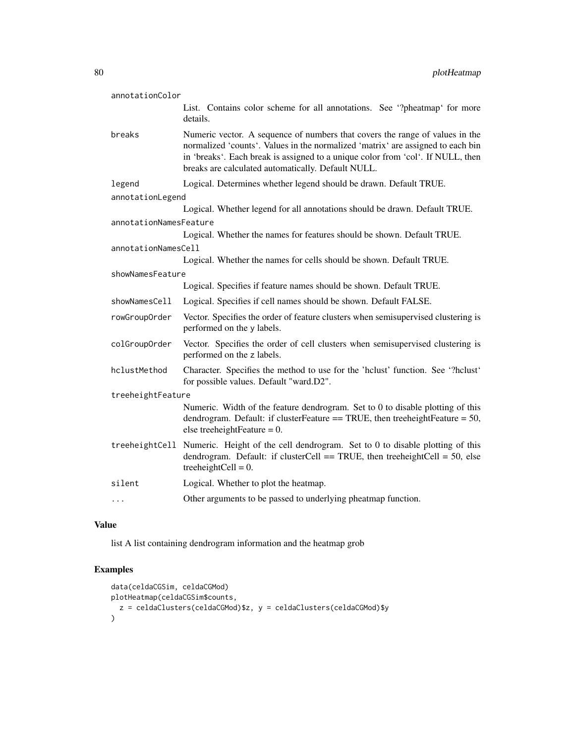| annotationColor        |                                                                                                                                                                                                                                                                                                          |  |
|------------------------|----------------------------------------------------------------------------------------------------------------------------------------------------------------------------------------------------------------------------------------------------------------------------------------------------------|--|
|                        | List. Contains color scheme for all annotations. See "?pheatmap' for more<br>details.                                                                                                                                                                                                                    |  |
| breaks                 | Numeric vector. A sequence of numbers that covers the range of values in the<br>normalized 'counts'. Values in the normalized 'matrix' are assigned to each bin<br>in 'breaks'. Each break is assigned to a unique color from 'col'. If NULL, then<br>breaks are calculated automatically. Default NULL. |  |
| legend                 | Logical. Determines whether legend should be drawn. Default TRUE.                                                                                                                                                                                                                                        |  |
| annotationLegend       |                                                                                                                                                                                                                                                                                                          |  |
|                        | Logical. Whether legend for all annotations should be drawn. Default TRUE.                                                                                                                                                                                                                               |  |
| annotationNamesFeature |                                                                                                                                                                                                                                                                                                          |  |
|                        | Logical. Whether the names for features should be shown. Default TRUE.                                                                                                                                                                                                                                   |  |
| annotationNamesCell    |                                                                                                                                                                                                                                                                                                          |  |
|                        | Logical. Whether the names for cells should be shown. Default TRUE.                                                                                                                                                                                                                                      |  |
| showNamesFeature       |                                                                                                                                                                                                                                                                                                          |  |
|                        | Logical. Specifies if feature names should be shown. Default TRUE.                                                                                                                                                                                                                                       |  |
| showNamesCell          | Logical. Specifies if cell names should be shown. Default FALSE.                                                                                                                                                                                                                                         |  |
| rowGroupOrder          | Vector. Specifies the order of feature clusters when semisupervised clustering is<br>performed on the y labels.                                                                                                                                                                                          |  |
| colGroupOrder          | Vector. Specifies the order of cell clusters when semisupervised clustering is<br>performed on the z labels.                                                                                                                                                                                             |  |
| hclustMethod           | Character. Specifies the method to use for the 'hclust' function. See '?hclust'<br>for possible values. Default "ward.D2".                                                                                                                                                                               |  |
| treeheightFeature      |                                                                                                                                                                                                                                                                                                          |  |
|                        | Numeric. Width of the feature dendrogram. Set to 0 to disable plotting of this<br>dendrogram. Default: if clusterFeature == TRUE, then treeheightFeature = $50$ ,<br>else treeheightFeature = $0$ .                                                                                                      |  |
|                        | treeheightCell Numeric. Height of the cell dendrogram. Set to 0 to disable plotting of this<br>dendrogram. Default: if clusterCell == TRUE, then treeheightCell = $50$ , else<br>treeheightCell = $0$ .                                                                                                  |  |
| silent                 | Logical. Whether to plot the heatmap.                                                                                                                                                                                                                                                                    |  |
| $\cdots$               | Other arguments to be passed to underlying pheatmap function.                                                                                                                                                                                                                                            |  |

# Value

list A list containing dendrogram information and the heatmap grob

# Examples

```
data(celdaCGSim, celdaCGMod)
plotHeatmap(celdaCGSim$counts,
  z = celdaClusters(celdaCGMod)$z, y = celdaClusters(celdaCGMod)$y
\mathcal{L}
```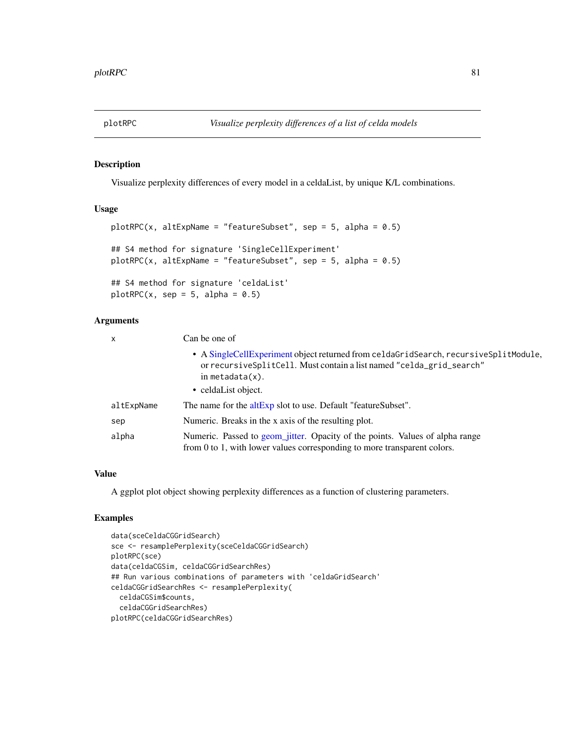## Description

Visualize perplexity differences of every model in a celdaList, by unique K/L combinations.

#### Usage

```
plotRPC(x, alterName = "featuresubset", sep = 5, alpha = 0.5)## S4 method for signature 'SingleCellExperiment'
plotRPC(x, alterName = "featureSubset", sep = 5, alpha = 0.5)## S4 method for signature 'celdaList'
plotRPC(x, sep = 5, alpha = 0.5)
```
## Arguments

| X          | Can be one of                                                                                                                                                                       |
|------------|-------------------------------------------------------------------------------------------------------------------------------------------------------------------------------------|
|            | • A SingleCellExperiment object returned from celdaGridSearch, recursiveSplitModule,<br>or recursiveSplitCell. Must contain a list named "celda_grid_search"<br>in metadata $(x)$ . |
|            | • celdaList object.                                                                                                                                                                 |
| altExpName | The name for the altExp slot to use. Default "featureSubset".                                                                                                                       |
| sep        | Numeric. Breaks in the x axis of the resulting plot.                                                                                                                                |
| alpha      | Numeric. Passed to geom_jitter. Opacity of the points. Values of alpha range<br>from 0 to 1, with lower values corresponding to more transparent colors.                            |

#### Value

A ggplot plot object showing perplexity differences as a function of clustering parameters.

#### Examples

```
data(sceCeldaCGGridSearch)
sce <- resamplePerplexity(sceCeldaCGGridSearch)
plotRPC(sce)
data(celdaCGSim, celdaCGGridSearchRes)
## Run various combinations of parameters with 'celdaGridSearch'
celdaCGGridSearchRes <- resamplePerplexity(
  celdaCGSim$counts,
  celdaCGGridSearchRes)
plotRPC(celdaCGGridSearchRes)
```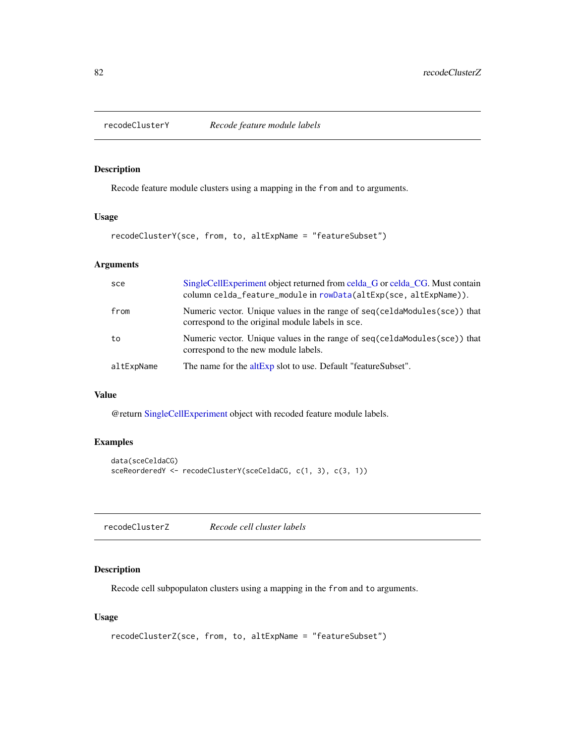## Description

Recode feature module clusters using a mapping in the from and to arguments.

## Usage

recodeClusterY(sce, from, to, altExpName = "featureSubset")

### Arguments

| sce        | SingleCellExperiment object returned from celda_G or celda_CG. Must contain<br>column celda_feature_module in rowData(altExp(sce, altExpName)). |
|------------|-------------------------------------------------------------------------------------------------------------------------------------------------|
| from       | Numeric vector. Unique values in the range of seq(celdamodules(sce)) that<br>correspond to the original module labels in sce.                   |
| to         | Numeric vector. Unique values in the range of seq(celdaModules(sce)) that<br>correspond to the new module labels.                               |
| altExpName | The name for the altExp slot to use. Default "featureSubset".                                                                                   |

# Value

@return [SingleCellExperiment](#page-0-0) object with recoded feature module labels.

## Examples

```
data(sceCeldaCG)
sceReorderedY <- recodeClusterY(sceCeldaCG, c(1, 3), c(3, 1))
```

| Recode cell cluster labels<br>recodeClusterZ |  |
|----------------------------------------------|--|
|----------------------------------------------|--|

### Description

Recode cell subpopulaton clusters using a mapping in the from and to arguments.

```
recodeClusterZ(sce, from, to, altExpName = "featureSubset")
```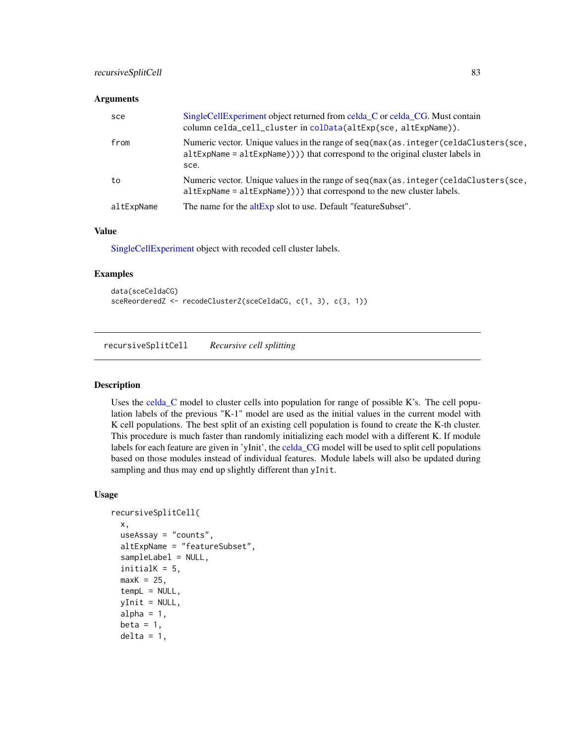## recursiveSplitCell 83

#### **Arguments**

| sce        | SingleCellExperiment object returned from celda C or celda CG. Must contain<br>column celda_cell_cluster in colData(altExp(sce, altExpName)).                                |
|------------|------------------------------------------------------------------------------------------------------------------------------------------------------------------------------|
| from       | Numeric vector. Unique values in the range of seq(max(as.integer(celdaClusters(sce,<br>$altExpName = altExpName))$ that correspond to the original cluster labels in<br>sce. |
| to         | Numeric vector. Unique values in the range of seq(max(as.integer(celdaClusters(sce,<br>$altExpName = altExpName))$ that correspond to the new cluster labels.                |
| altExpName | The name for the altExp slot to use. Default "featureSubset".                                                                                                                |

#### Value

[SingleCellExperiment](#page-0-0) object with recoded cell cluster labels.

# Examples

```
data(sceCeldaCG)
sceReorderedZ <- recodeClusterZ(sceCeldaCG, c(1, 3), c(3, 1))
```
<span id="page-82-0"></span>recursiveSplitCell *Recursive cell splitting*

### Description

Uses the [celda\\_C](#page-23-0) model to cluster cells into population for range of possible K's. The cell population labels of the previous "K-1" model are used as the initial values in the current model with K cell populations. The best split of an existing cell population is found to create the K-th cluster. This procedure is much faster than randomly initializing each model with a different K. If module labels for each feature are given in 'yInit', the [celda\\_CG](#page-26-0) model will be used to split cell populations based on those modules instead of individual features. Module labels will also be updated during sampling and thus may end up slightly different than yInit.

```
recursiveSplitCell(
  x,
  useAssay = "counts",
  altExpName = "featureSubset",
  sampleLabel = NULL,
  initialK = 5,
 maxK = 25,
  tempL = NULL,vInit = NULL,
  alpha = 1,
  beta = 1,
  delta = 1,
```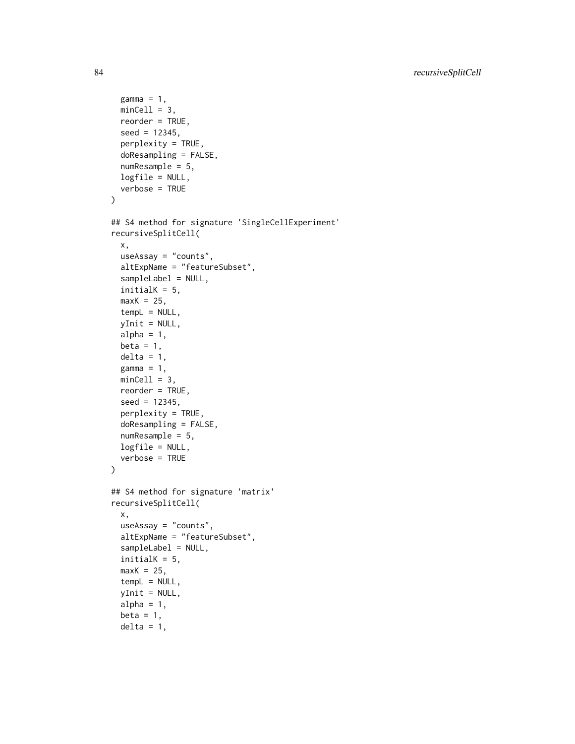```
gamma = 1,
 minCell = 3,
 reorder = TRUE,
  seed = 12345,perplexity = TRUE,
  doResampling = FALSE,
 numResample = 5,
 logfile = NULL,
  verbose = TRUE
\mathcal{L}## S4 method for signature 'SingleCellExperiment'
recursiveSplitCell(
 x,
 useAssay = "counts",
  altExpName = "featureSubset",
  sampleLabel = NULL,
  initialK = 5,
 maxK = 25,
  temb = NULL,yInit = NULL,
  alpha = 1,
 beta = 1,
 delta = 1,
  gamma = 1,
 minCell = 3,
  reorder = TRUE,
  seed = 12345,perplexity = TRUE,
 doResampling = FALSE,
  numResample = 5,
 logfile = NULL,
  verbose = TRUE
)
## S4 method for signature 'matrix'
recursiveSplitCell(
 x,
  useAssay = "counts",
  altExpName = "featureSubset",
  sampleLabel = NULL,
  initialK = 5,
 maxK = 25,
  tempL = NULL,yInit = NULL,
  alpha = 1,
 beta = 1,
 delta = 1,
```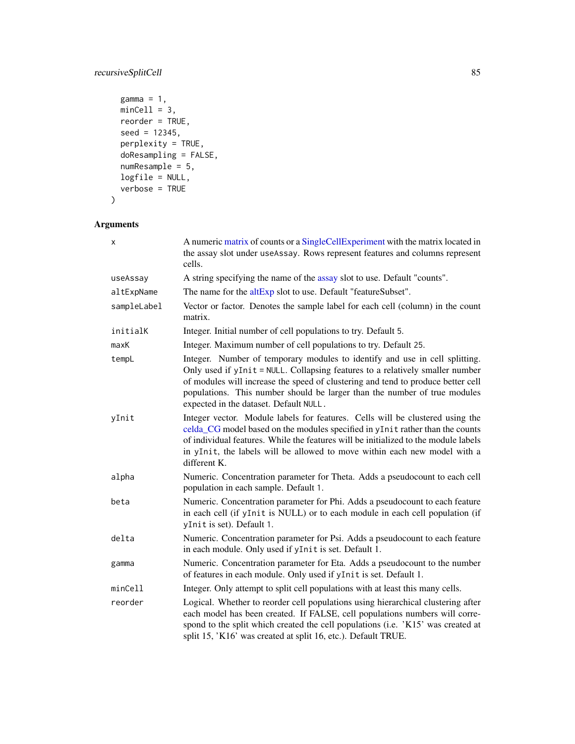# recursiveSplitCell 85

```
gamma = 1,
 minCell = 3,
 reorder = TRUE,
 seed = 12345,perplexity = TRUE,
 doResampling = FALSE,
 numResample = 5,
 logfile = NULL,
 verbose = TRUE
)
```

| <b>Arguments</b> |    |
|------------------|----|
|                  | Αr |

| x           | A numeric matrix of counts or a SingleCellExperiment with the matrix located in<br>the assay slot under useAssay. Rows represent features and columns represent<br>cells.                                                                                                                                                                                               |
|-------------|-------------------------------------------------------------------------------------------------------------------------------------------------------------------------------------------------------------------------------------------------------------------------------------------------------------------------------------------------------------------------|
| useAssay    | A string specifying the name of the assay slot to use. Default "counts".                                                                                                                                                                                                                                                                                                |
| altExpName  | The name for the altExp slot to use. Default "featureSubset".                                                                                                                                                                                                                                                                                                           |
| sampleLabel | Vector or factor. Denotes the sample label for each cell (column) in the count<br>matrix.                                                                                                                                                                                                                                                                               |
| initialK    | Integer. Initial number of cell populations to try. Default 5.                                                                                                                                                                                                                                                                                                          |
| maxK        | Integer. Maximum number of cell populations to try. Default 25.                                                                                                                                                                                                                                                                                                         |
| tempL       | Integer. Number of temporary modules to identify and use in cell splitting.<br>Only used if yInit = NULL. Collapsing features to a relatively smaller number<br>of modules will increase the speed of clustering and tend to produce better cell<br>populations. This number should be larger than the number of true modules<br>expected in the dataset. Default NULL. |
| yInit       | Integer vector. Module labels for features. Cells will be clustered using the<br>celda_CG model based on the modules specified in yInit rather than the counts<br>of individual features. While the features will be initialized to the module labels<br>in yInit, the labels will be allowed to move within each new model with a<br>different K.                      |
| alpha       | Numeric. Concentration parameter for Theta. Adds a pseudocount to each cell<br>population in each sample. Default 1.                                                                                                                                                                                                                                                    |
| beta        | Numeric. Concentration parameter for Phi. Adds a pseudocount to each feature<br>in each cell (if yInit is NULL) or to each module in each cell population (if<br>yInit is set). Default 1.                                                                                                                                                                              |
| delta       | Numeric. Concentration parameter for Psi. Adds a pseudocount to each feature<br>in each module. Only used if yInit is set. Default 1.                                                                                                                                                                                                                                   |
| gamma       | Numeric. Concentration parameter for Eta. Adds a pseudocount to the number<br>of features in each module. Only used if yInit is set. Default 1.                                                                                                                                                                                                                         |
| minCell     | Integer. Only attempt to split cell populations with at least this many cells.                                                                                                                                                                                                                                                                                          |
| reorder     | Logical. Whether to reorder cell populations using hierarchical clustering after<br>each model has been created. If FALSE, cell populations numbers will corre-<br>spond to the split which created the cell populations (i.e. 'K15' was created at<br>split 15, 'K16' was created at split 16, etc.). Default TRUE.                                                    |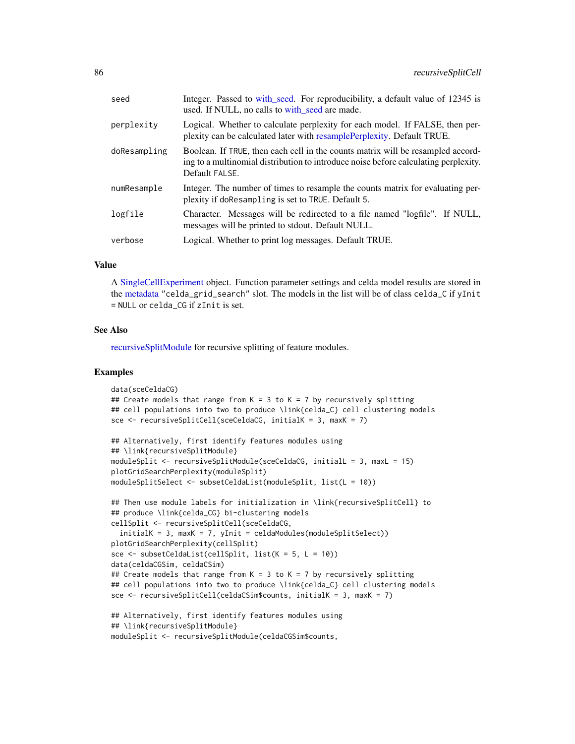| seed         | Integer. Passed to with_seed. For reproducibility, a default value of 12345 is<br>used. If NULL, no calls to with_seed are made.                                                         |
|--------------|------------------------------------------------------------------------------------------------------------------------------------------------------------------------------------------|
| perplexity   | Logical. Whether to calculate perplexity for each model. If FALSE, then per-<br>plexity can be calculated later with resample Perplexity. Default TRUE.                                  |
| doResampling | Boolean. If TRUE, then each cell in the counts matrix will be resampled accord-<br>ing to a multinomial distribution to introduce noise before calculating perplexity.<br>Default FALSE. |
| numResample  | Integer. The number of times to resample the counts matrix for evaluating per-<br>plexity if doResampling is set to TRUE. Default 5.                                                     |
| logfile      | Character. Messages will be redirected to a file named "logfile". If NULL,<br>messages will be printed to stdout. Default NULL.                                                          |
| verbose      | Logical. Whether to print log messages. Default TRUE.                                                                                                                                    |
|              |                                                                                                                                                                                          |

#### Value

A [SingleCellExperiment](#page-0-0) object. Function parameter settings and celda model results are stored in the [metadata](#page-0-0) "celda\_grid\_search" slot. The models in the list will be of class celda\_C if yInit = NULL or celda\_CG if zInit is set.

#### See Also

[recursiveSplitModule](#page-86-0) for recursive splitting of feature modules.

#### Examples

```
data(sceCeldaCG)
## Create models that range from K = 3 to K = 7 by recursively splitting
## cell populations into two to produce \link{celda_C} cell clustering models
sce <- recursiveSplitCell(sceCeldaCG, initialK = 3, maxK = 7)
## Alternatively, first identify features modules using
## \link{recursiveSplitModule}
moduleSplit <- recursiveSplitModule(sceCeldaCG, initialL = 3, maxL = 15)
plotGridSearchPerplexity(moduleSplit)
moduleSplitSelect <- subsetCeldaList(moduleSplit, list(L = 10))
## Then use module labels for initialization in \link{recursiveSplitCell} to
## produce \link{celda_CG} bi-clustering models
cellSplit <- recursiveSplitCell(sceCeldaCG,
 initialK = 3, maxK = 7, yInit = celdaModuleS(modelSplitsed)plotGridSearchPerplexity(cellSplit)
sce <- subsetCeldaList(cellSplit, list(K = 5, L = 10))
data(celdaCGSim, celdaCSim)
## Create models that range from K = 3 to K = 7 by recursively splitting
## cell populations into two to produce \link{celda_C} cell clustering models
sce <- recursiveSplitCell(celdaCSim$counts, initialK = 3, maxK = 7)
## Alternatively, first identify features modules using
## \link{recursiveSplitModule}
moduleSplit <- recursiveSplitModule(celdaCGSim$counts,
```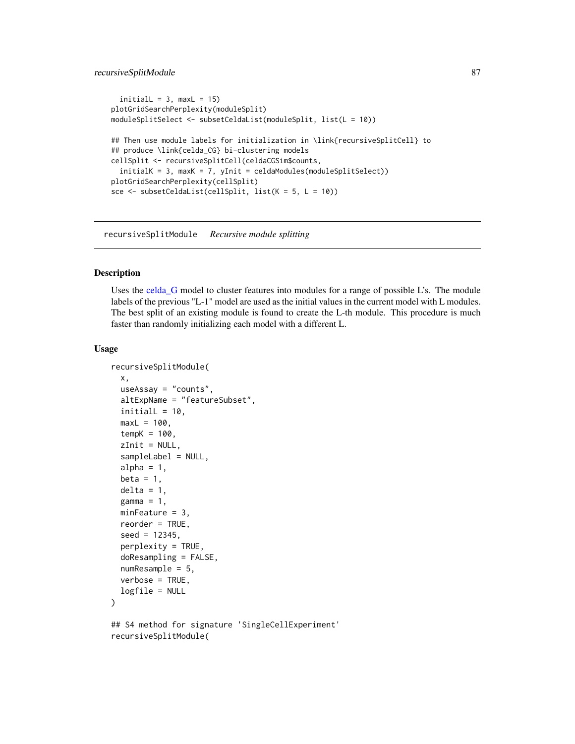```
initialL = 3, maxL = 15)
plotGridSearchPerplexity(moduleSplit)
moduleSplitSelect <- subsetCeldaList(moduleSplit, list(L = 10))
## Then use module labels for initialization in \link{recursiveSplitCell} to
## produce \link{celda_CG} bi-clustering models
cellSplit <- recursiveSplitCell(celdaCGSim$counts,
  initialK = 3, maxK = 7, yInit = celdaModules(moduleSplitSelect))
plotGridSearchPerplexity(cellSplit)
sce <- subsetCeldaList(cellSplit, list(K = 5, L = 10))
```
<span id="page-86-0"></span>recursiveSplitModule *Recursive module splitting*

### Description

Uses the [celda\\_G](#page-30-0) model to cluster features into modules for a range of possible L's. The module labels of the previous "L-1" model are used as the initial values in the current model with L modules. The best split of an existing module is found to create the L-th module. This procedure is much faster than randomly initializing each model with a different L.

```
recursiveSplitModule(
  x,
  useAssay = "counts",
  altExpName = "featureSubset",
  initialL = 10,
 maxL = 100,
  tempK = 100,
  zInit = NULL,sampleLabel = NULL,
  alpha = 1,
  beta = 1,
  delta = 1,
  gamma = 1,
 minFeature = 3,
  reorder = TRUE,
  seed = 12345,perplexity = TRUE,
  doResampling = FALSE,
  numResample = 5,
  verbose = TRUE,
  logfile = NULL
)
## S4 method for signature 'SingleCellExperiment'
recursiveSplitModule(
```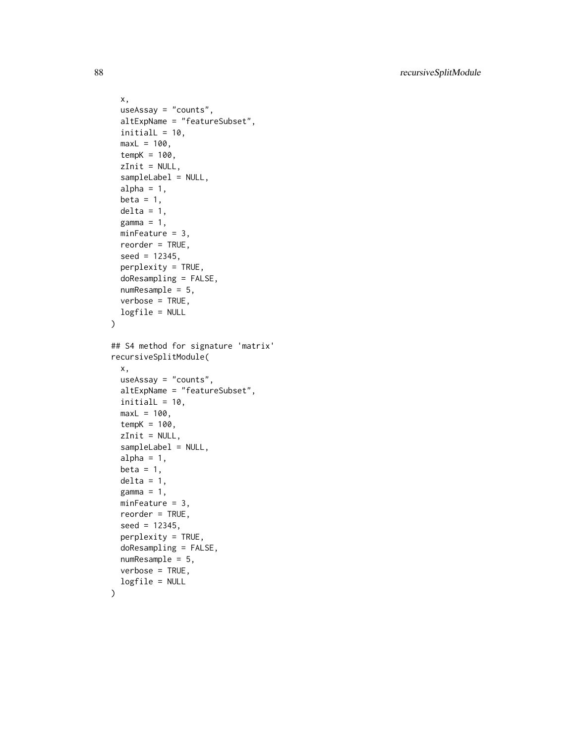```
x,
  useAssay = "counts",
  altExpName = "featureSubset",
  initialL = 10,
 maxL = 100,
  tempK = 100,
  zInit = NULL,sampleLabel = NULL,
  alpha = 1,
 beta = 1,
 delta = 1,
  gamma = 1,
 minFeature = 3,
 reorder = TRUE,
  seed = 12345,perplexity = TRUE,
  doResampling = FALSE,
 numResample = 5,
 verbose = TRUE,
 logfile = NULL
)
## S4 method for signature 'matrix'
recursiveSplitModule(
  x,
 useAssay = "counts",
 altExpName = "featureSubset",
  initial = 10,maxL = 100,
  tempK = 100,
  zInit = NULL,sampleLabel = NULL,
  alpha = 1,
 beta = 1,
  delta = 1,
  gamma = 1,
 minFeature = 3,
 reorder = TRUE,
  seed = 12345,perplexity = TRUE,
  doResampling = FALSE,
 numResample = 5,
 verbose = TRUE,
 logfile = NULL
```

```
\mathcal{L}
```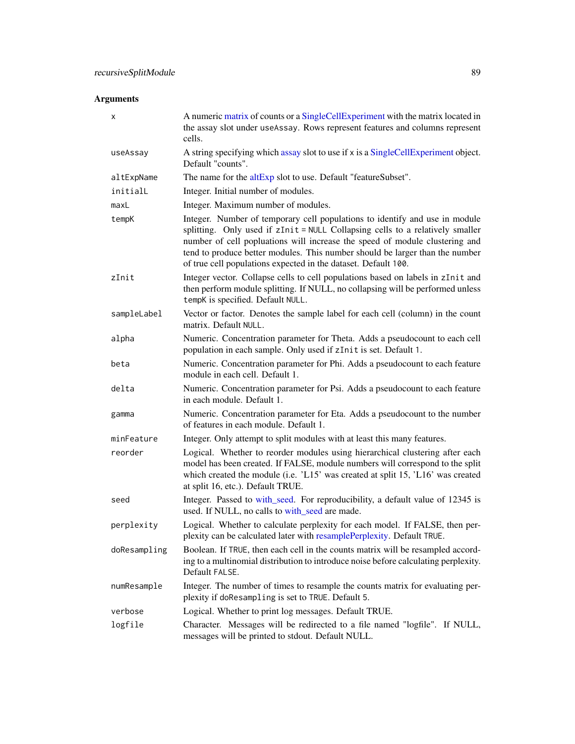# Arguments

| х            | A numeric matrix of counts or a SingleCellExperiment with the matrix located in<br>the assay slot under useAssay. Rows represent features and columns represent<br>cells.                                                                                                                                                                                                                     |
|--------------|-----------------------------------------------------------------------------------------------------------------------------------------------------------------------------------------------------------------------------------------------------------------------------------------------------------------------------------------------------------------------------------------------|
| useAssay     | A string specifying which assay slot to use if x is a SingleCellExperiment object.<br>Default "counts".                                                                                                                                                                                                                                                                                       |
| altExpName   | The name for the altExp slot to use. Default "featureSubset".                                                                                                                                                                                                                                                                                                                                 |
| initialL     | Integer. Initial number of modules.                                                                                                                                                                                                                                                                                                                                                           |
| maxL         | Integer. Maximum number of modules.                                                                                                                                                                                                                                                                                                                                                           |
| tempK        | Integer. Number of temporary cell populations to identify and use in module<br>splitting. Only used if zInit = NULL Collapsing cells to a relatively smaller<br>number of cell popluations will increase the speed of module clustering and<br>tend to produce better modules. This number should be larger than the number<br>of true cell populations expected in the dataset. Default 100. |
| zInit        | Integer vector. Collapse cells to cell populations based on labels in zInit and<br>then perform module splitting. If NULL, no collapsing will be performed unless<br>tempK is specified. Default NULL.                                                                                                                                                                                        |
| sampleLabel  | Vector or factor. Denotes the sample label for each cell (column) in the count<br>matrix. Default NULL.                                                                                                                                                                                                                                                                                       |
| alpha        | Numeric. Concentration parameter for Theta. Adds a pseudocount to each cell<br>population in each sample. Only used if zInit is set. Default 1.                                                                                                                                                                                                                                               |
| beta         | Numeric. Concentration parameter for Phi. Adds a pseudocount to each feature<br>module in each cell. Default 1.                                                                                                                                                                                                                                                                               |
| delta        | Numeric. Concentration parameter for Psi. Adds a pseudocount to each feature<br>in each module. Default 1.                                                                                                                                                                                                                                                                                    |
| gamma        | Numeric. Concentration parameter for Eta. Adds a pseudocount to the number<br>of features in each module. Default 1.                                                                                                                                                                                                                                                                          |
| minFeature   | Integer. Only attempt to split modules with at least this many features.                                                                                                                                                                                                                                                                                                                      |
| reorder      | Logical. Whether to reorder modules using hierarchical clustering after each<br>model has been created. If FALSE, module numbers will correspond to the split<br>which created the module (i.e. 'L15' was created at split 15, 'L16' was created<br>at split 16, etc.). Default TRUE.                                                                                                         |
| seed         | Integer. Passed to with_seed. For reproducibility, a default value of 12345 is<br>used. If NULL, no calls to with_seed are made.                                                                                                                                                                                                                                                              |
| perplexity   | Logical. Whether to calculate perplexity for each model. If FALSE, then per-<br>plexity can be calculated later with resamplePerplexity. Default TRUE.                                                                                                                                                                                                                                        |
| doResampling | Boolean. If TRUE, then each cell in the counts matrix will be resampled accord-<br>ing to a multinomial distribution to introduce noise before calculating perplexity.<br>Default FALSE.                                                                                                                                                                                                      |
| numResample  | Integer. The number of times to resample the counts matrix for evaluating per-<br>plexity if doResampling is set to TRUE. Default 5.                                                                                                                                                                                                                                                          |
| verbose      | Logical. Whether to print log messages. Default TRUE.                                                                                                                                                                                                                                                                                                                                         |
| logfile      | Character. Messages will be redirected to a file named "logfile". If NULL,<br>messages will be printed to stdout. Default NULL.                                                                                                                                                                                                                                                               |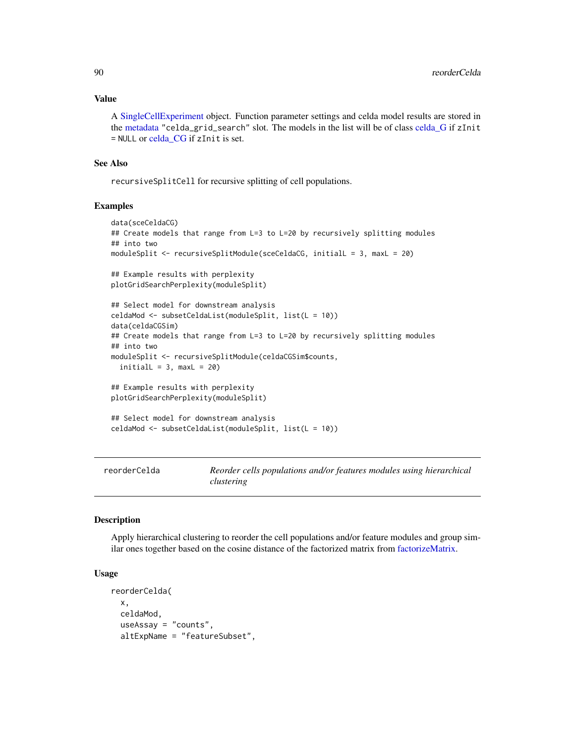#### Value

A [SingleCellExperiment](#page-0-0) object. Function parameter settings and celda model results are stored in the [metadata](#page-0-0) "celda\_grid\_search" slot. The models in the list will be of class [celda\\_G](#page-30-0) if zInit = NULL or [celda\\_CG](#page-26-0) if zInit is set.

#### See Also

recursiveSplitCell for recursive splitting of cell populations.

#### Examples

```
data(sceCeldaCG)
## Create models that range from L=3 to L=20 by recursively splitting modules
## into two
moduleSplit <- recursiveSplitModule(sceCeldaCG, initialL = 3, maxL = 20)
## Example results with perplexity
plotGridSearchPerplexity(moduleSplit)
## Select model for downstream analysis
celdaMod <- subsetCeldaList(moduleSplit, list(L = 10))
data(celdaCGSim)
## Create models that range from L=3 to L=20 by recursively splitting modules
## into two
moduleSplit <- recursiveSplitModule(celdaCGSim$counts,
 initialL = 3, maxL = 20)
## Example results with perplexity
plotGridSearchPerplexity(moduleSplit)
## Select model for downstream analysis
celdaMod <- subsetCeldaList(moduleSplit, list(L = 10))
```
reorderCelda *Reorder cells populations and/or features modules using hierarchical clustering*

### Description

Apply hierarchical clustering to reorder the cell populations and/or feature modules and group similar ones together based on the cosine distance of the factorized matrix from [factorizeMatrix.](#page-42-0)

```
reorderCelda(
  x,
  celdaMod,
  useAssay = "counts",
  altExpName = "featureSubset",
```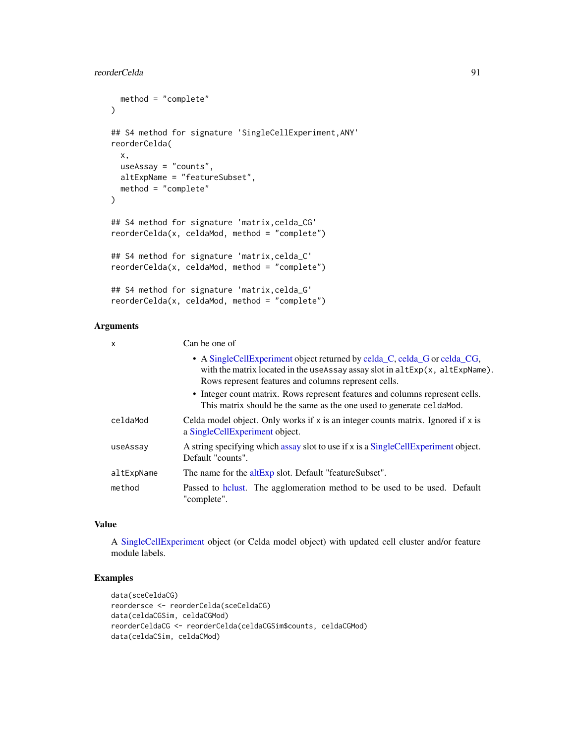# reorderCelda 91

```
method = "complete"
\lambda## S4 method for signature 'SingleCellExperiment,ANY'
reorderCelda(
  x,
 useAssay = "counts",
 altExpName = "featureSubset",
 method = "complete"
)
## S4 method for signature 'matrix,celda_CG'
reorderCelda(x, celdaMod, method = "complete")
## S4 method for signature 'matrix,celda_C'
reorderCelda(x, celdaMod, method = "complete")
## S4 method for signature 'matrix,celda_G'
reorderCelda(x, celdaMod, method = "complete")
```
# Arguments

| $\boldsymbol{\mathsf{x}}$ | Can be one of                                                                                                                                                                                                     |  |
|---------------------------|-------------------------------------------------------------------------------------------------------------------------------------------------------------------------------------------------------------------|--|
|                           | • A SingleCellExperiment object returned by celda_C, celda_G or celda_CG,<br>with the matrix located in the useAssay assay slot in altExp(x, altExpName).<br>Rows represent features and columns represent cells. |  |
|                           | • Integer count matrix. Rows represent features and columns represent cells.<br>This matrix should be the same as the one used to generate celda Mod.                                                             |  |
| celdaMod                  | Celda model object. Only works if $x$ is an integer counts matrix. Ignored if $x$ is<br>a SingleCellExperiment object.                                                                                            |  |
| useAssay                  | A string specifying which assay slot to use if x is a SingleCellExperiment object.<br>Default "counts".                                                                                                           |  |
| altExpName                | The name for the altExp slot. Default "featureSubset".                                                                                                                                                            |  |
| method                    | Passed to holythermore, The agglomeration method to be used to be used. Default<br>"complete".                                                                                                                    |  |

### Value

A [SingleCellExperiment](#page-0-0) object (or Celda model object) with updated cell cluster and/or feature module labels.

# Examples

```
data(sceCeldaCG)
reordersce <- reorderCelda(sceCeldaCG)
data(celdaCGSim, celdaCGMod)
reorderCeldaCG <- reorderCelda(celdaCGSim$counts, celdaCGMod)
data(celdaCSim, celdaCMod)
```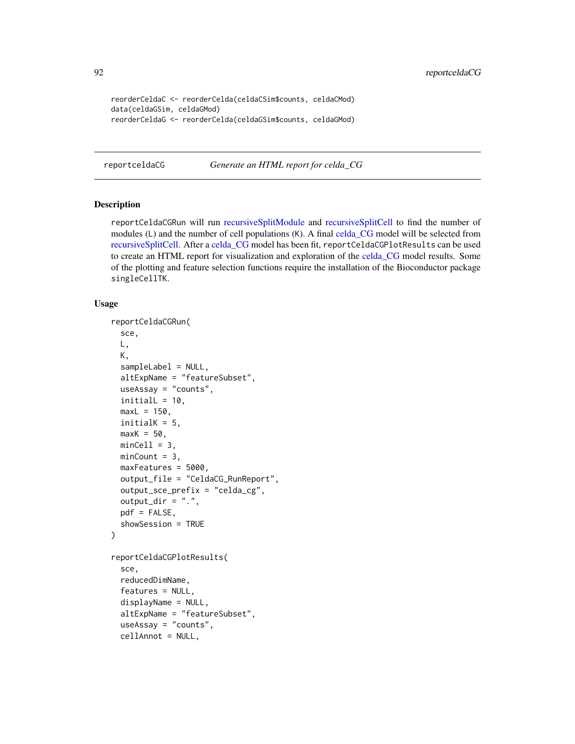```
reorderCeldaC <- reorderCelda(celdaCSim$counts, celdaCMod)
data(celdaGSim, celdaGMod)
reorderCeldaG <- reorderCelda(celdaGSim$counts, celdaGMod)
```
reportceldaCG *Generate an HTML report for celda\_CG*

#### Description

reportCeldaCGRun will run [recursiveSplitModule](#page-86-0) and [recursiveSplitCell](#page-82-0) to find the number of modules (L) and the number of cell populations (K). A final [celda\\_CG](#page-26-0) model will be selected from [recursiveSplitCell.](#page-82-0) After a [celda\\_CG](#page-26-0) model has been fit, reportCeldaCGPlotResults can be used to create an HTML report for visualization and exploration of the [celda\\_CG](#page-26-0) model results. Some of the plotting and feature selection functions require the installation of the Bioconductor package singleCellTK.

```
reportCeldaCGRun(
  sce,
 L,
 K,
  sampleLabel = NULL,
  altExpName = "featureSubset",
 useAssay = "counts",
  initialL = 10,
 maxL = 150,
  initialK = 5,
 maxK = 50,
 minCell = 3,
 minCount = 3,
 maxFeatures = 5000,
  output_file = "CeldaCG_RunReport",
  output_sce_prefix = "celda_cg",
  output_dir = ".",
 pdf = FALSE,showSession = TRUE
)
reportCeldaCGPlotResults(
  sce,
  reducedDimName,
  features = NULL,
  displayName = NULL,
  altExpName = "featureSubset",
  useAssay = "counts",
  cellAnnot = NULL,
```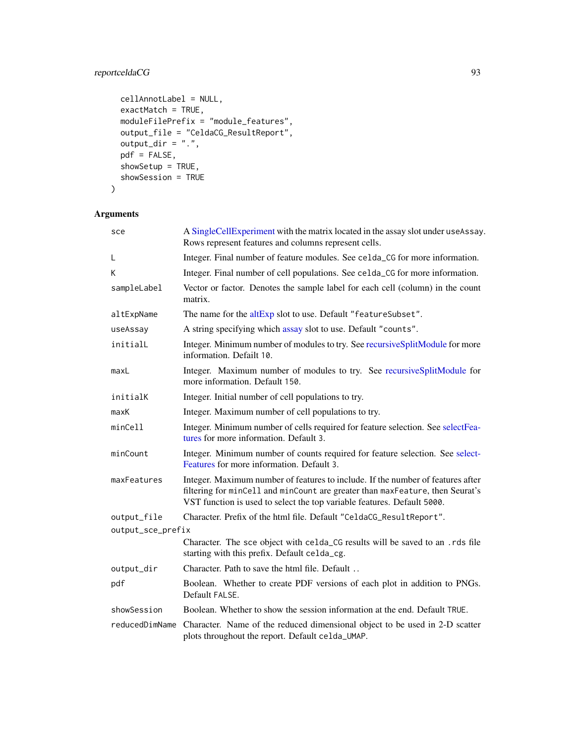# reportceldaCG 93

```
cellAnnotLabel = NULL,
exactMatch = TRUE,
moduleFilePrefix = "module_features",
output_file = "CeldaCG_ResultReport",
output\_dir = "."pdf = FALSE,
showSetup = TRUE,
showSession = TRUE
```

```
)
```
# Arguments

| sce               | A SingleCellExperiment with the matrix located in the assay slot under useAssay.<br>Rows represent features and columns represent cells.                                                                                                    |  |
|-------------------|---------------------------------------------------------------------------------------------------------------------------------------------------------------------------------------------------------------------------------------------|--|
| L                 | Integer. Final number of feature modules. See celda_CG for more information.                                                                                                                                                                |  |
| Κ                 | Integer. Final number of cell populations. See celda_CG for more information.                                                                                                                                                               |  |
| sampleLabel       | Vector or factor. Denotes the sample label for each cell (column) in the count<br>matrix.                                                                                                                                                   |  |
| altExpName        | The name for the altExp slot to use. Default "featureSubset".                                                                                                                                                                               |  |
| useAssay          | A string specifying which assay slot to use. Default "counts".                                                                                                                                                                              |  |
| initialL          | Integer. Minimum number of modules to try. See recursiveSplitModule for more<br>information. Defailt 10.                                                                                                                                    |  |
| maxL              | Integer. Maximum number of modules to try. See recursiveSplitModule for<br>more information. Default 150.                                                                                                                                   |  |
| initialK          | Integer. Initial number of cell populations to try.                                                                                                                                                                                         |  |
| maxK              | Integer. Maximum number of cell populations to try.                                                                                                                                                                                         |  |
| minCell           | Integer. Minimum number of cells required for feature selection. See selectFea-<br>tures for more information. Default 3.                                                                                                                   |  |
| minCount          | Integer. Minimum number of counts required for feature selection. See select-<br>Features for more information. Default 3.                                                                                                                  |  |
| maxFeatures       | Integer. Maximum number of features to include. If the number of features after<br>filtering for minCell and minCount are greater than maxFeature, then Seurat's<br>VST function is used to select the top variable features. Default 5000. |  |
| output_file       | Character. Prefix of the html file. Default "CeldaCG_ResultReport".                                                                                                                                                                         |  |
| output_sce_prefix |                                                                                                                                                                                                                                             |  |
|                   | Character. The sce object with celda_CG results will be saved to an .rds file<br>starting with this prefix. Default celda_cg.                                                                                                               |  |
| output_dir        | Character. Path to save the html file. Default                                                                                                                                                                                              |  |
| pdf               | Boolean. Whether to create PDF versions of each plot in addition to PNGs.<br>Default FALSE.                                                                                                                                                 |  |
| showSession       | Boolean. Whether to show the session information at the end. Default TRUE.                                                                                                                                                                  |  |
| reducedDimName    | Character. Name of the reduced dimensional object to be used in 2-D scatter<br>plots throughout the report. Default celda_UMAP.                                                                                                             |  |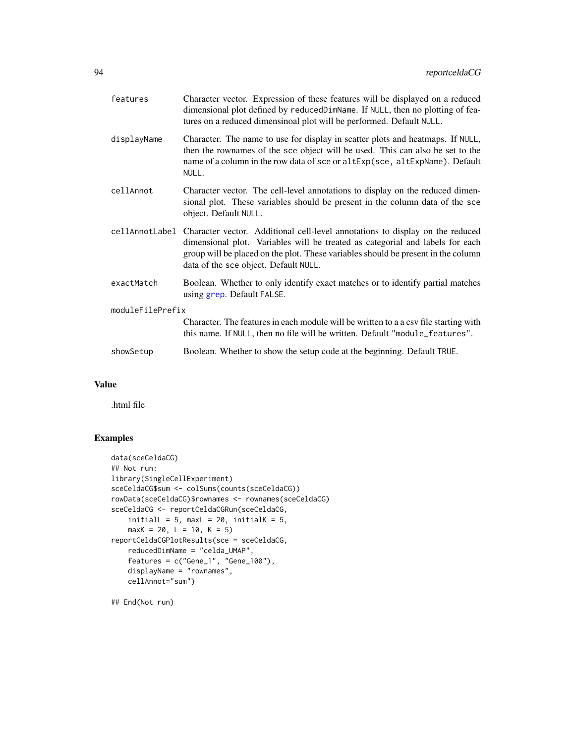| features         | Character vector. Expression of these features will be displayed on a reduced<br>dimensional plot defined by reducedDimName. If NULL, then no plotting of fea-<br>tures on a reduced dimensinoal plot will be performed. Default NULL.                                                       |  |
|------------------|----------------------------------------------------------------------------------------------------------------------------------------------------------------------------------------------------------------------------------------------------------------------------------------------|--|
| displayName      | Character. The name to use for display in scatter plots and heatmaps. If NULL,<br>then the rownames of the sce object will be used. This can also be set to the<br>name of a column in the row data of sce or altExp(sce, altExpName). Default<br>NULL.                                      |  |
| cellAnnot        | Character vector. The cell-level annotations to display on the reduced dimen-<br>sional plot. These variables should be present in the column data of the sce<br>object. Default NULL.                                                                                                       |  |
| cellAnnotLabel   | Character vector. Additional cell-level annotations to display on the reduced<br>dimensional plot. Variables will be treated as categorial and labels for each<br>group will be placed on the plot. These variables should be present in the column<br>data of the sce object. Default NULL. |  |
| exactMatch       | Boolean. Whether to only identify exact matches or to identify partial matches<br>using grep. Default FALSE.                                                                                                                                                                                 |  |
| moduleFilePrefix |                                                                                                                                                                                                                                                                                              |  |
|                  | Character. The features in each module will be written to a a csy file starting with<br>this name. If NULL, then no file will be written. Default "module_features".                                                                                                                         |  |
| showSetup        | Boolean. Whether to show the setup code at the beginning. Default TRUE.                                                                                                                                                                                                                      |  |

# Value

.html file

## Examples

```
data(sceCeldaCG)
## Not run:
library(SingleCellExperiment)
sceCeldaCG$sum <- colSums(counts(sceCeldaCG))
rowData(sceCeldaCG)$rownames <- rownames(sceCeldaCG)
sceCeldaCG <- reportCeldaCGRun(sceCeldaCG,
    initialL = 5, maxL = 20, initialK = 5,
    maxK = 20, L = 10, K = 5)
reportCeldaCGPlotResults(sce = sceCeldaCG,
    reducedDimName = "celda_UMAP",
    features = c("Gene_1", "Gene_100"),
    displayName = "rownames",
    cellAnnot="sum")
```
## End(Not run)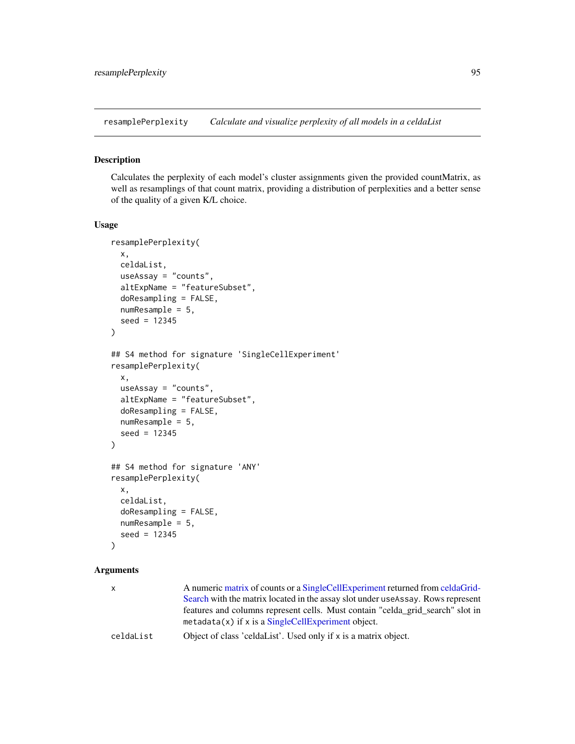<span id="page-94-0"></span>resamplePerplexity *Calculate and visualize perplexity of all models in a celdaList*

## Description

Calculates the perplexity of each model's cluster assignments given the provided countMatrix, as well as resamplings of that count matrix, providing a distribution of perplexities and a better sense of the quality of a given K/L choice.

#### Usage

```
resamplePerplexity(
 x,
 celdaList,
 useAssay = "counts",
  altExpName = "featureSubset",
  doResampling = FALSE,
 numResample = 5,
  seed = 12345
)
## S4 method for signature 'SingleCellExperiment'
resamplePerplexity(
  x,
 useAssay = "counts",
  altExpName = "featureSubset",
 doResampling = FALSE,
 numResample = 5,
  seed = 12345
\mathcal{E}## S4 method for signature 'ANY'
resamplePerplexity(
  x,
  celdaList,
  doResampling = FALSE,
 numResample = 5,
  seed = 12345
)
```
#### Arguments

| X         | A numeric matrix of counts or a SingleCellExperiment returned from celdaGrid-    |
|-----------|----------------------------------------------------------------------------------|
|           | Search with the matrix located in the assay slot under use Assay. Rows represent |
|           | features and columns represent cells. Must contain "celda grid search" slot in   |
|           | $metadata(x)$ if x is a SingleCellExperiment object.                             |
| celdaList | Object of class 'celdaList'. Used only if x is a matrix object.                  |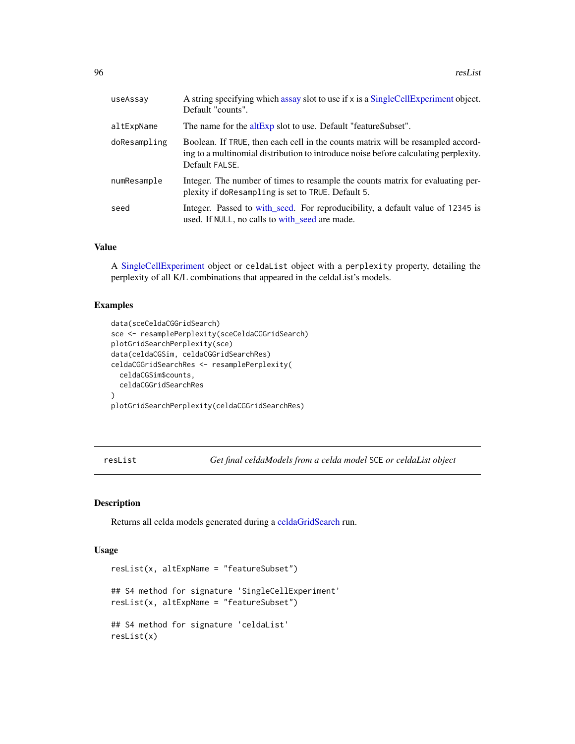| useAssay     | A string specifying which assay slot to use if x is a SingleCellExperiment object.<br>Default "counts".                                                                                  |
|--------------|------------------------------------------------------------------------------------------------------------------------------------------------------------------------------------------|
| altExpName   | The name for the altExp slot to use. Default "featureSubset".                                                                                                                            |
| doResampling | Boolean. If TRUE, then each cell in the counts matrix will be resampled accord-<br>ing to a multinomial distribution to introduce noise before calculating perplexity.<br>Default FALSE. |
| numResample  | Integer. The number of times to resample the counts matrix for evaluating per-<br>plexity if doResampling is set to TRUE. Default 5.                                                     |
| seed         | Integer. Passed to with seed. For reproducibility, a default value of 12345 is<br>used. If NULL, no calls to with seed are made.                                                         |

### Value

A [SingleCellExperiment](#page-0-0) object or celdaList object with a perplexity property, detailing the perplexity of all K/L combinations that appeared in the celdaList's models.

# Examples

```
data(sceCeldaCGGridSearch)
sce <- resamplePerplexity(sceCeldaCGGridSearch)
plotGridSearchPerplexity(sce)
data(celdaCGSim, celdaCGGridSearchRes)
celdaCGGridSearchRes <- resamplePerplexity(
  celdaCGSim$counts,
  celdaCGGridSearchRes
\lambdaplotGridSearchPerplexity(celdaCGGridSearchRes)
```
resList *Get final celdaModels from a celda model* SCE *or celdaList object*

#### Description

Returns all celda models generated during a [celdaGridSearch](#page-8-0) run.

```
resList(x, altExpName = "featureSubset")
## S4 method for signature 'SingleCellExperiment'
resList(x, altExpName = "featureSubset")
## S4 method for signature 'celdaList'
resList(x)
```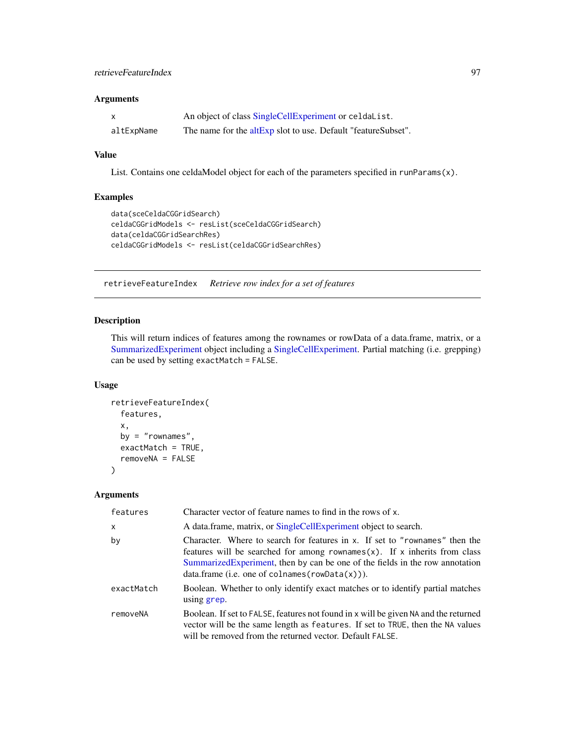### retrieveFeatureIndex 97

### Arguments

| X          | An object of class SingleCellExperiment or celdalist.         |
|------------|---------------------------------------------------------------|
| altExpName | The name for the altExp slot to use. Default "featureSubset". |

# Value

List. Contains one celdaModel object for each of the parameters specified in runParams(x).

# Examples

```
data(sceCeldaCGGridSearch)
celdaCGGridModels <- resList(sceCeldaCGGridSearch)
data(celdaCGGridSearchRes)
celdaCGGridModels <- resList(celdaCGGridSearchRes)
```
retrieveFeatureIndex *Retrieve row index for a set of features*

## Description

This will return indices of features among the rownames or rowData of a data.frame, matrix, or a [SummarizedExperiment](#page-0-0) object including a [SingleCellExperiment.](#page-0-0) Partial matching (i.e. grepping) can be used by setting exactMatch = FALSE.

### Usage

```
retrieveFeatureIndex(
  features,
  x,
  by = "rownames",
  exactMatch = TRUE,
  removeNA = FALSE
\mathcal{L}
```
### Arguments

| features     | Character vector of feature names to find in the rows of x.                                                                                                                                                                                                                                        |
|--------------|----------------------------------------------------------------------------------------------------------------------------------------------------------------------------------------------------------------------------------------------------------------------------------------------------|
| $\mathsf{x}$ | A data frame, matrix, or SingleCellExperiment object to search.                                                                                                                                                                                                                                    |
| by           | Character. Where to search for features in x. If set to "rownames" then the<br>features will be searched for among rownames $(x)$ . If x inherits from class<br>Summarized Experiment, then by can be one of the fields in the row annotation<br>$data-frame$ (i.e. one of colnames (rowData(x))). |
| exactMatch   | Boolean. Whether to only identify exact matches or to identify partial matches<br>using grep.                                                                                                                                                                                                      |
| removeNA     | Boolean. If set to FALSE, features not found in x will be given NA and the returned<br>vector will be the same length as features. If set to TRUE, then the NA values<br>will be removed from the returned vector. Default FALSE.                                                                  |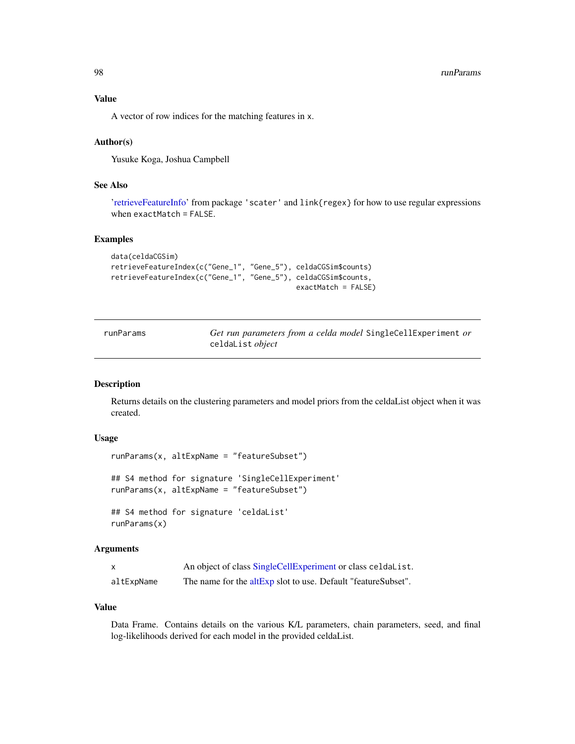A vector of row indices for the matching features in x.

### Author(s)

Yusuke Koga, Joshua Campbell

## See Also

['retrieveFeatureInfo'](#page-0-0) from package 'scater' and link{regex} for how to use regular expressions when exactMatch = FALSE.

### Examples

```
data(celdaCGSim)
retrieveFeatureIndex(c("Gene_1", "Gene_5"), celdaCGSim$counts)
retrieveFeatureIndex(c("Gene_1", "Gene_5"), celdaCGSim$counts,
                                            exactMatch = FALSE)
```

| runParams | Get run parameters from a celda model SingleCellExperiment or |
|-----------|---------------------------------------------------------------|
|           | celdaList <i>object</i>                                       |

### Description

Returns details on the clustering parameters and model priors from the celdaList object when it was created.

## Usage

```
runParams(x, altExpName = "featureSubset")
## S4 method for signature 'SingleCellExperiment'
runParams(x, altExpName = "featureSubset")
## S4 method for signature 'celdaList'
runParams(x)
```
### Arguments

| X          | An object of class SingleCellExperiment or class celdalist.   |
|------------|---------------------------------------------------------------|
| altExpName | The name for the altExp slot to use. Default "featureSubset". |

#### Value

Data Frame. Contains details on the various K/L parameters, chain parameters, seed, and final log-likelihoods derived for each model in the provided celdaList.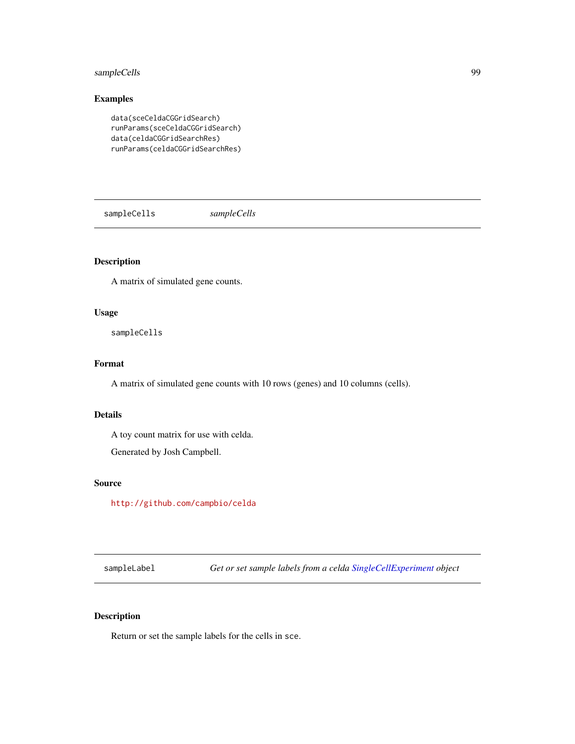## sampleCells 99

# Examples

```
data(sceCeldaCGGridSearch)
runParams(sceCeldaCGGridSearch)
data(celdaCGGridSearchRes)
runParams(celdaCGGridSearchRes)
```
sampleCells *sampleCells*

# Description

A matrix of simulated gene counts.

#### Usage

sampleCells

# Format

A matrix of simulated gene counts with 10 rows (genes) and 10 columns (cells).

# Details

A toy count matrix for use with celda.

Generated by Josh Campbell.

### Source

<http://github.com/campbio/celda>

sampleLabel *Get or set sample labels from a celda [SingleCellExperiment](#page-0-0) object*

## Description

Return or set the sample labels for the cells in sce.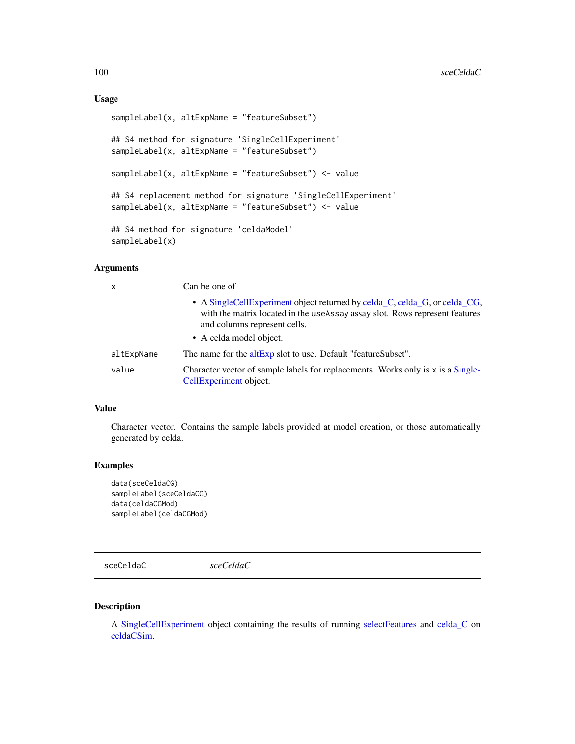# Usage

```
sampleLabel(x, altExpName = "featureSubset")
## S4 method for signature 'SingleCellExperiment'
sampleLabel(x, altExpName = "featureSubset")
sampleLabel(x, altExpName = "featureSubset") <- value
## S4 replacement method for signature 'SingleCellExperiment'
sampleLabel(x, altExpName = "featureSubset") <- value
## S4 method for signature 'celdaModel'
sampleLabel(x)
```
### Arguments

| $\boldsymbol{\mathsf{x}}$ | Can be one of                                                                                                                                                                               |  |
|---------------------------|---------------------------------------------------------------------------------------------------------------------------------------------------------------------------------------------|--|
|                           | • A Single Cell Experiment object returned by celda_C, celda_G, or celda_CG,<br>with the matrix located in the useAssay assay slot. Rows represent features<br>and columns represent cells. |  |
|                           | • A celda model object.                                                                                                                                                                     |  |
| altExpName                | The name for the altExp slot to use. Default "featureSubset".                                                                                                                               |  |
| value                     | Character vector of sample labels for replacements. Works only is x is a Single-<br>CellExperiment object.                                                                                  |  |

### Value

Character vector. Contains the sample labels provided at model creation, or those automatically generated by celda.

### Examples

```
data(sceCeldaCG)
sampleLabel(sceCeldaCG)
data(celdaCGMod)
sampleLabel(celdaCGMod)
```
sceCeldaC *sceCeldaC*

### Description

A [SingleCellExperiment](#page-0-0) object containing the results of running [selectFeatures](#page-103-0) and [celda\\_C](#page-23-0) on [celdaCSim.](#page-8-1)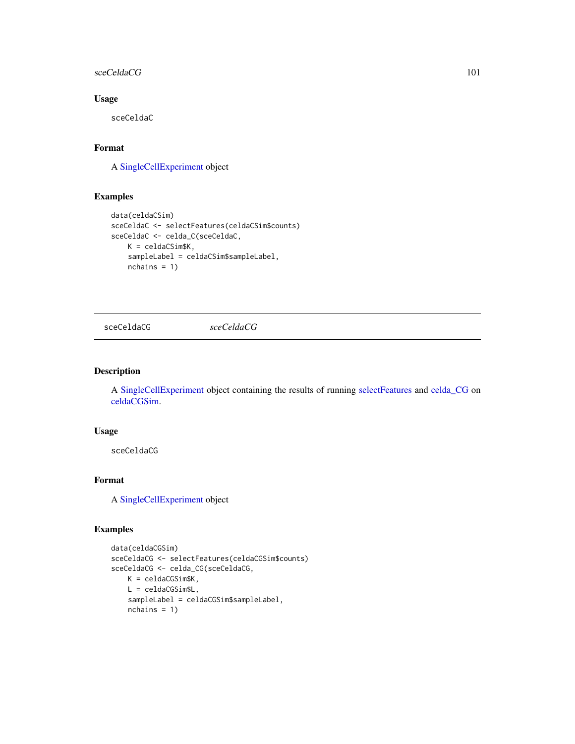### sceCeldaCG 101

# Usage

sceCeldaC

# Format

A [SingleCellExperiment](#page-0-0) object

# Examples

```
data(celdaCSim)
sceCeldaC <- selectFeatures(celdaCSim$counts)
sceCeldaC <- celda_C(sceCeldaC,
   K = celdaCSim$K,
   sampleLabel = celdaCSim$sampleLabel,
   nchains = 1)
```
sceCeldaCG *sceCeldaCG*

## Description

A [SingleCellExperiment](#page-0-0) object containing the results of running [selectFeatures](#page-103-0) and [celda\\_CG](#page-26-0) on [celdaCGSim.](#page-6-0)

### Usage

sceCeldaCG

# Format

A [SingleCellExperiment](#page-0-0) object

## Examples

```
data(celdaCGSim)
sceCeldaCG <- selectFeatures(celdaCGSim$counts)
sceCeldaCG <- celda_CG(sceCeldaCG,
   K = celdaCGSim$K,
   L = celdaCGSim$L,
    sampleLabel = celdaCGSim$sampleLabel,
   nchains = 1)
```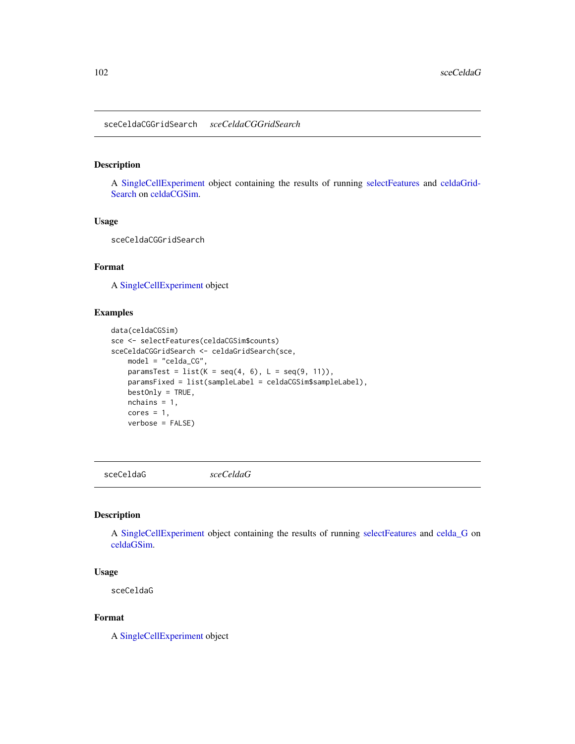## Description

A [SingleCellExperiment](#page-0-0) object containing the results of running [selectFeatures](#page-103-0) and [celdaGrid-](#page-8-0)[Search](#page-8-0) on [celdaCGSim.](#page-6-0)

# Usage

sceCeldaCGGridSearch

## Format

A [SingleCellExperiment](#page-0-0) object

#### Examples

```
data(celdaCGSim)
sce <- selectFeatures(celdaCGSim$counts)
sceCeldaCGGridSearch <- celdaGridSearch(sce,
   model = "celda_CG",
   paramsTest = list(K = seq(4, 6), L = seq(9, 11)),paramsFixed = list(sampleLabel = celdaCGSim$sampleLabel),
   bestOnly = TRUE,
   nchains = 1,
   cores = 1,verbose = FALSE)
```
sceCeldaG *sceCeldaG*

#### Description

A [SingleCellExperiment](#page-0-0) object containing the results of running [selectFeatures](#page-103-0) and [celda\\_G](#page-30-0) on [celdaGSim.](#page-11-0)

#### Usage

sceCeldaG

#### Format

A [SingleCellExperiment](#page-0-0) object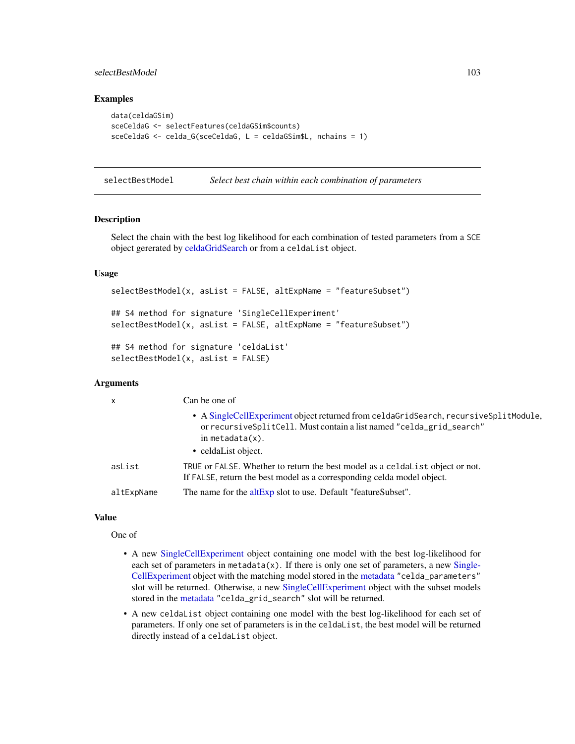## selectBestModel 103

### Examples

```
data(celdaGSim)
sceCeldaG <- selectFeatures(celdaGSim$counts)
sceCeldaG <- celda_G(sceCeldaG, L = celdaGSim$L, nchains = 1)
```
selectBestModel *Select best chain within each combination of parameters*

#### Description

Select the chain with the best log likelihood for each combination of tested parameters from a SCE object gererated by [celdaGridSearch](#page-8-0) or from a celdaList object.

### Usage

```
selectBestModel(x, asList = FALSE, altExpName = "featureSubset")
## S4 method for signature 'SingleCellExperiment'
selectBestModel(x, asList = FALSE, altExpName = "featureSubset")
## S4 method for signature 'celdaList'
```

```
selectBestModel(x, asList = FALSE)
```
### Arguments

| $\mathsf{x}$ | Can be one of                                                                                                                                                                        |
|--------------|--------------------------------------------------------------------------------------------------------------------------------------------------------------------------------------|
|              | • A SingleCellExperiment object returned from celdaGridSearch, recursiveSplitModule,<br>or recursive SplitCell. Must contain a list named "celda_grid_search"<br>in metadata $(x)$ . |
|              | • celdaList object.                                                                                                                                                                  |
| asList       | TRUE or FALSE. Whether to return the best model as a celdalist object or not.<br>If FALSE, return the best model as a corresponding celda model object.                              |
| altExpName   | The name for the altExp slot to use. Default "featureSubset".                                                                                                                        |

#### Value

One of

- A new [SingleCellExperiment](#page-0-0) object containing one model with the best log-likelihood for each set of parameters in metadata $(x)$ . If there is only one set of parameters, a new [Single-](#page-0-0)[CellExperiment](#page-0-0) object with the matching model stored in the [metadata](#page-0-0) "celda\_parameters" slot will be returned. Otherwise, a new [SingleCellExperiment](#page-0-0) object with the subset models stored in the [metadata](#page-0-0) "celda\_grid\_search" slot will be returned.
- A new celdaList object containing one model with the best log-likelihood for each set of parameters. If only one set of parameters is in the celdaList, the best model will be returned directly instead of a celdaList object.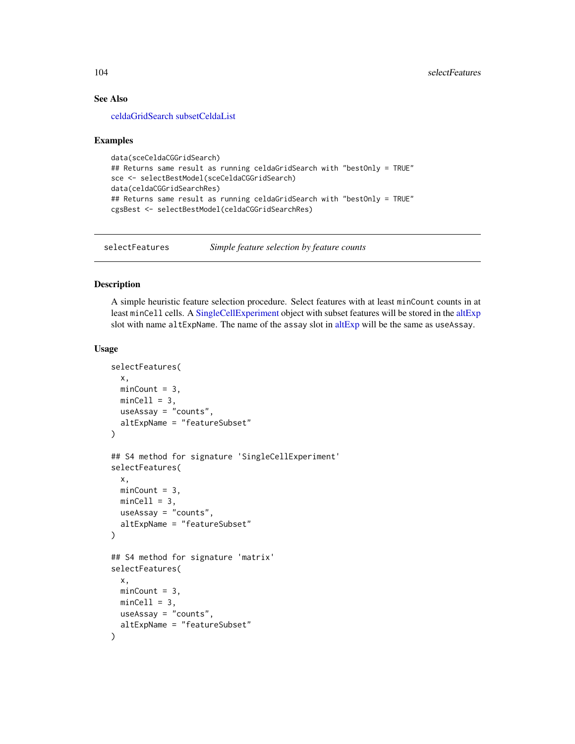## See Also

[celdaGridSearch](#page-8-0) [subsetCeldaList](#page-113-0)

#### Examples

```
data(sceCeldaCGGridSearch)
## Returns same result as running celdaGridSearch with "bestOnly = TRUE"
sce <- selectBestModel(sceCeldaCGGridSearch)
data(celdaCGGridSearchRes)
## Returns same result as running celdaGridSearch with "bestOnly = TRUE"
cgsBest <- selectBestModel(celdaCGGridSearchRes)
```
<span id="page-103-0"></span>selectFeatures *Simple feature selection by feature counts*

# Description

A simple heuristic feature selection procedure. Select features with at least minCount counts in at least minCell cells. A [SingleCellExperiment](#page-0-0) object with subset features will be stored in the [altExp](#page-0-0) slot with name [altExp](#page-0-0)Name. The name of the assay slot in altExp will be the same as useAssay.

```
selectFeatures(
 x,
 minCount = 3,
 minCell = 3,
 useAssay = "counts",
  altExpName = "featureSubset"
\lambda## S4 method for signature 'SingleCellExperiment'
selectFeatures(
 x,
 minCount = 3,
 minCell = 3,
 useAssay = "counts",
 altExpName = "featureSubset"
)
## S4 method for signature 'matrix'
selectFeatures(
  x,
 minCount = 3,
 minCell = 3,
 useAssay = "counts",
  altExpName = "featureSubset"
)
```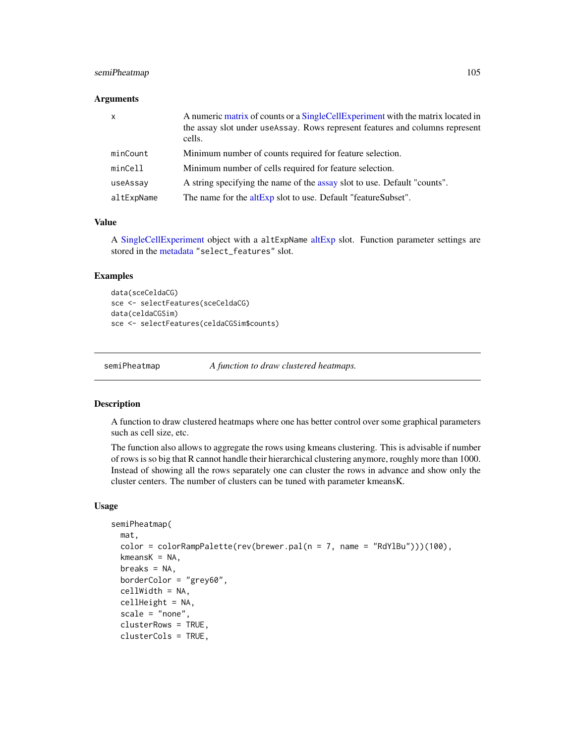### semiPheatmap 105

#### **Arguments**

| $\mathsf{x}$ | A numeric matrix of counts or a SingleCellExperiment with the matrix located in<br>the assay slot under useAssay. Rows represent features and columns represent<br>cells. |
|--------------|---------------------------------------------------------------------------------------------------------------------------------------------------------------------------|
| minCount     | Minimum number of counts required for feature selection.                                                                                                                  |
| minCell      | Minimum number of cells required for feature selection.                                                                                                                   |
| useAssay     | A string specifying the name of the assay slot to use. Default "counts".                                                                                                  |
| altExpName   | The name for the altExp slot to use. Default "featureSubset".                                                                                                             |

### Value

A [SingleCellExperiment](#page-0-0) object with a altExpName [altExp](#page-0-0) slot. Function parameter settings are stored in the [metadata](#page-0-0) "select\_features" slot.

# Examples

```
data(sceCeldaCG)
sce <- selectFeatures(sceCeldaCG)
data(celdaCGSim)
sce <- selectFeatures(celdaCGSim$counts)
```
semiPheatmap *A function to draw clustered heatmaps.*

#### Description

A function to draw clustered heatmaps where one has better control over some graphical parameters such as cell size, etc.

The function also allows to aggregate the rows using kmeans clustering. This is advisable if number of rows is so big that R cannot handle their hierarchical clustering anymore, roughly more than 1000. Instead of showing all the rows separately one can cluster the rows in advance and show only the cluster centers. The number of clusters can be tuned with parameter kmeansK.

```
semiPheatmap(
 mat,
  color = colorRampPalette(rev(brewer.pal(n = 7, name = "RdYlBu")))(100),
  kmeansK = NA,
  breaks = NA,
  borderColor = "grey60",
  cellWidth = NA,
  cellHeight = NA,
  scale = "none",
  clusterRows = TRUE,
  clusterCols = TRUE,
```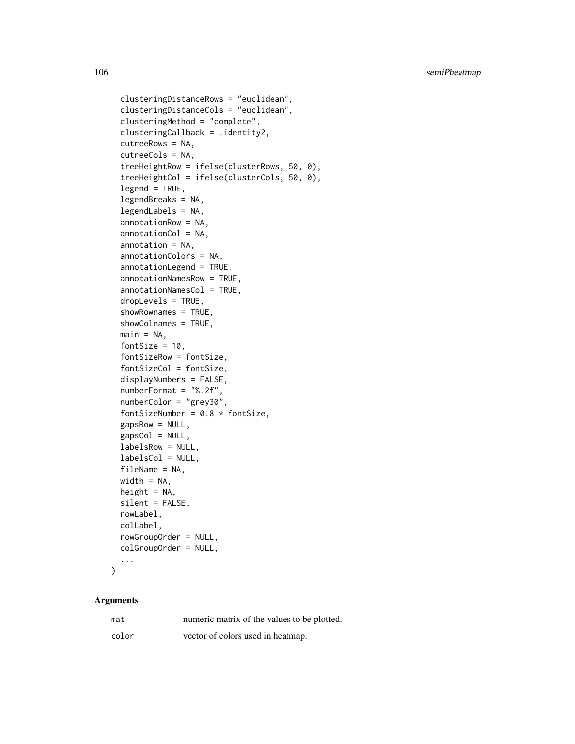```
clusteringDistanceRows = "euclidean",
clusteringDistanceCols = "euclidean",
clusteringMethod = "complete",
clusteringCallback = .identity2,
cutreeRows = NA,
cutreeCols = NA,
treeHeightRow = ifelse(clusterRows, 50, 0),
treeHeightCol = ifelse(clusterCols, 50, 0),
legend = TRUE,legendBreaks = NA,
legendLabels = NA,
annotationRow = NA,
annotationCol = NA,
annotation = NA,
annotationColors = NA,
annotationLegend = TRUE,
annotationNamesRow = TRUE,
annotationNamesCol = TRUE,
dropLevels = TRUE,
showRownames = TRUE,
showColnames = TRUE,
main = NA,
fontSize = 10,
fontSizeRow = fontSize,
fontSizeCol = fontSize,
displayNumbers = FALSE,
numberFormat = "%.2f",
numberColor = "grey30",
fontSizeNumber = 0.8 * fontSize,
gapsRow = NULL,gapsCol = NULL,
labelsRow = NULL,
labelsCol = NULL,
fileName = NA,
width = NA,
height = NA,
silent = FALSE,
rowLabel,
colLabel,
rowGroupOrder = NULL,
colGroupOrder = NULL,
...
```
#### Arguments

 $\mathcal{L}$ 

| mat   | numeric matrix of the values to be plotted. |
|-------|---------------------------------------------|
| color | vector of colors used in heatmap.           |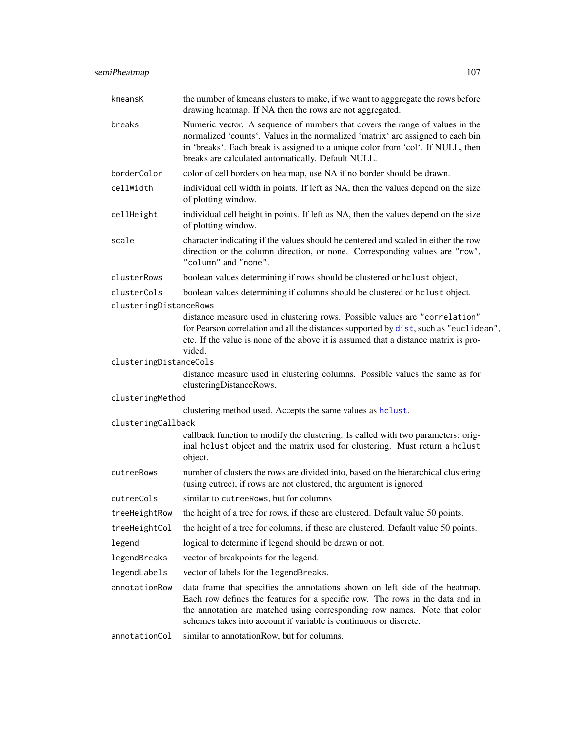| kmeansK                | the number of kmeans clusters to make, if we want to agggregate the rows before<br>drawing heatmap. If NA then the rows are not aggregated.                                                                                                                                                                     |
|------------------------|-----------------------------------------------------------------------------------------------------------------------------------------------------------------------------------------------------------------------------------------------------------------------------------------------------------------|
| breaks                 | Numeric vector. A sequence of numbers that covers the range of values in the<br>normalized 'counts'. Values in the normalized 'matrix' are assigned to each bin<br>in 'breaks'. Each break is assigned to a unique color from 'col'. If NULL, then<br>breaks are calculated automatically. Default NULL.        |
| borderColor            | color of cell borders on heatmap, use NA if no border should be drawn.                                                                                                                                                                                                                                          |
| cellWidth              | individual cell width in points. If left as NA, then the values depend on the size<br>of plotting window.                                                                                                                                                                                                       |
| cellHeight             | individual cell height in points. If left as NA, then the values depend on the size<br>of plotting window.                                                                                                                                                                                                      |
| scale                  | character indicating if the values should be centered and scaled in either the row<br>direction or the column direction, or none. Corresponding values are "row",<br>"column" and "none".                                                                                                                       |
| clusterRows            | boolean values determining if rows should be clustered or hclust object,                                                                                                                                                                                                                                        |
| clusterCols            | boolean values determining if columns should be clustered or hclust object.                                                                                                                                                                                                                                     |
| clusteringDistanceRows |                                                                                                                                                                                                                                                                                                                 |
|                        | distance measure used in clustering rows. Possible values are "correlation"<br>for Pearson correlation and all the distances supported by dist, such as "euclidean",<br>etc. If the value is none of the above it is assumed that a distance matrix is pro-<br>vided.                                           |
| clusteringDistanceCols |                                                                                                                                                                                                                                                                                                                 |
|                        | distance measure used in clustering columns. Possible values the same as for<br>clusteringDistanceRows.                                                                                                                                                                                                         |
| clusteringMethod       |                                                                                                                                                                                                                                                                                                                 |
|                        | clustering method used. Accepts the same values as hclust.                                                                                                                                                                                                                                                      |
| clusteringCallback     |                                                                                                                                                                                                                                                                                                                 |
|                        | callback function to modify the clustering. Is called with two parameters: orig-<br>inal helust object and the matrix used for clustering. Must return a helust<br>object.                                                                                                                                      |
| cutreeRows             | number of clusters the rows are divided into, based on the hierarchical clustering<br>(using cutree), if rows are not clustered, the argument is ignored                                                                                                                                                        |
| cutreeCols             | similar to cutreeRows, but for columns                                                                                                                                                                                                                                                                          |
|                        | treeHeightRow the height of a tree for rows, if these are clustered. Default value 50 points.                                                                                                                                                                                                                   |
| treeHeightCol          | the height of a tree for columns, if these are clustered. Default value 50 points.                                                                                                                                                                                                                              |
| legend                 | logical to determine if legend should be drawn or not.                                                                                                                                                                                                                                                          |
| legendBreaks           | vector of breakpoints for the legend.                                                                                                                                                                                                                                                                           |
| legendLabels           | vector of labels for the legendBreaks.                                                                                                                                                                                                                                                                          |
| annotationRow          | data frame that specifies the annotations shown on left side of the heatmap.<br>Each row defines the features for a specific row. The rows in the data and in<br>the annotation are matched using corresponding row names. Note that color<br>schemes takes into account if variable is continuous or discrete. |
| annotationCol          | similar to annotationRow, but for columns.                                                                                                                                                                                                                                                                      |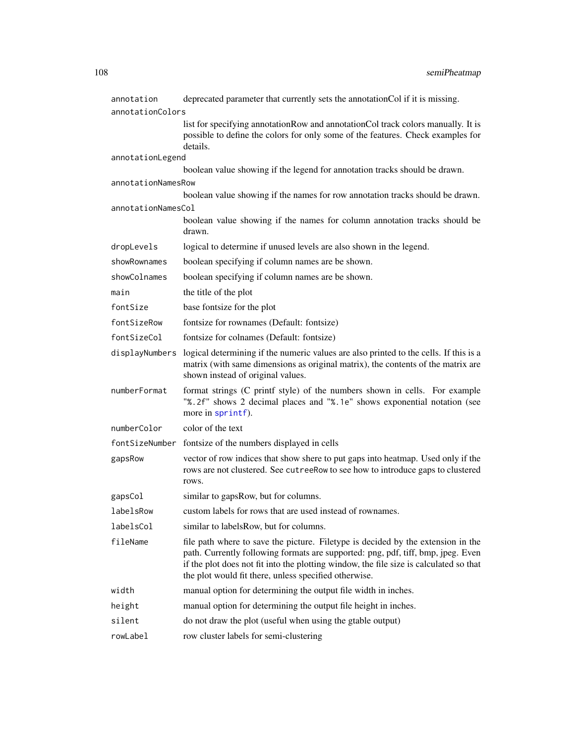| annotation         | deprecated parameter that currently sets the annotationCol if it is missing.                                                                                                                                                                                                                                            |  |  |
|--------------------|-------------------------------------------------------------------------------------------------------------------------------------------------------------------------------------------------------------------------------------------------------------------------------------------------------------------------|--|--|
| annotationColors   |                                                                                                                                                                                                                                                                                                                         |  |  |
|                    | list for specifying annotationRow and annotationCol track colors manually. It is<br>possible to define the colors for only some of the features. Check examples for<br>details.                                                                                                                                         |  |  |
| annotationLegend   |                                                                                                                                                                                                                                                                                                                         |  |  |
|                    | boolean value showing if the legend for annotation tracks should be drawn.                                                                                                                                                                                                                                              |  |  |
| annotationNamesRow |                                                                                                                                                                                                                                                                                                                         |  |  |
|                    | boolean value showing if the names for row annotation tracks should be drawn.                                                                                                                                                                                                                                           |  |  |
| annotationNamesCol |                                                                                                                                                                                                                                                                                                                         |  |  |
|                    | boolean value showing if the names for column annotation tracks should be<br>drawn.                                                                                                                                                                                                                                     |  |  |
| dropLevels         | logical to determine if unused levels are also shown in the legend.                                                                                                                                                                                                                                                     |  |  |
| showRownames       | boolean specifying if column names are be shown.                                                                                                                                                                                                                                                                        |  |  |
| showColnames       | boolean specifying if column names are be shown.                                                                                                                                                                                                                                                                        |  |  |
| main               | the title of the plot                                                                                                                                                                                                                                                                                                   |  |  |
| fontSize           | base fontsize for the plot                                                                                                                                                                                                                                                                                              |  |  |
| fontSizeRow        | fontsize for rownames (Default: fontsize)                                                                                                                                                                                                                                                                               |  |  |
| fontSizeCol        | fontsize for colnames (Default: fontsize)                                                                                                                                                                                                                                                                               |  |  |
| displayNumbers     | logical determining if the numeric values are also printed to the cells. If this is a<br>matrix (with same dimensions as original matrix), the contents of the matrix are<br>shown instead of original values.                                                                                                          |  |  |
| numberFormat       | format strings (C printf style) of the numbers shown in cells. For example<br>"%.2f" shows 2 decimal places and "%.1e" shows exponential notation (see<br>more in sprintf).                                                                                                                                             |  |  |
| numberColor        | color of the text                                                                                                                                                                                                                                                                                                       |  |  |
|                    | fontSizeNumber fontsize of the numbers displayed in cells                                                                                                                                                                                                                                                               |  |  |
| gapsRow            | vector of row indices that show shere to put gaps into heatmap. Used only if the<br>rows are not clustered. See cutreeRow to see how to introduce gaps to clustered<br>rows.                                                                                                                                            |  |  |
| gapsCol            | similar to gapsRow, but for columns.                                                                                                                                                                                                                                                                                    |  |  |
| labelsRow          | custom labels for rows that are used instead of rownames.                                                                                                                                                                                                                                                               |  |  |
| labelsCol          | similar to labelsRow, but for columns.                                                                                                                                                                                                                                                                                  |  |  |
| fileName           | file path where to save the picture. Filetype is decided by the extension in the<br>path. Currently following formats are supported: png, pdf, tiff, bmp, jpeg. Even<br>if the plot does not fit into the plotting window, the file size is calculated so that<br>the plot would fit there, unless specified otherwise. |  |  |
| width              | manual option for determining the output file width in inches.                                                                                                                                                                                                                                                          |  |  |
| height             | manual option for determining the output file height in inches.                                                                                                                                                                                                                                                         |  |  |
| silent             | do not draw the plot (useful when using the gtable output)                                                                                                                                                                                                                                                              |  |  |
| rowLabel           | row cluster labels for semi-clustering                                                                                                                                                                                                                                                                                  |  |  |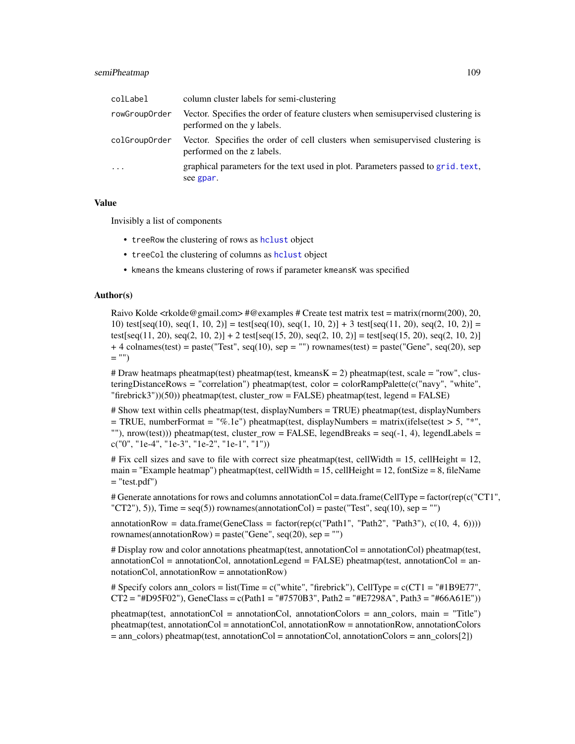#### <span id="page-108-0"></span>semiPheatmap 109

| colLabel      | column cluster labels for semi-clustering                                                                       |
|---------------|-----------------------------------------------------------------------------------------------------------------|
| rowGroupOrder | Vector. Specifies the order of feature clusters when semisupervised clustering is<br>performed on the y labels. |
| colGroupOrder | Vector. Specifies the order of cell clusters when semisupervised clustering is<br>performed on the z labels.    |
| $\ddots$      | graphical parameters for the text used in plot. Parameters passed to grid. text,<br>see gpar.                   |

#### Value

Invisibly a list of components

- treeRow the clustering of rows as [hclust](#page-0-0) object
- treeCol the clustering of columns as [hclust](#page-0-0) object
- kmeans the kmeans clustering of rows if parameter kmeansK was specified

#### Author(s)

Raivo Kolde  $\langle$ rkolde@gmail.com> #@examples # Create test matrix test = matrix(rnorm(200), 20, 10) test[seq(10), seq(1, 10, 2)] = test[seq(10), seq(1, 10, 2)] + 3 test[seq(11, 20), seq(2, 10, 2)] = test[seq(11, 20), seq(2, 10, 2)] + 2 test[seq(15, 20), seq(2, 10, 2)] = test[seq(15, 20), seq(2, 10, 2)]  $+$  4 colnames(test) = paste("Test", seq(10), sep = "") rownames(test) = paste("Gene", seq(20), sep  $=$  "")

# Draw heatmaps pheatmap(test) pheatmap(test, kmeans $K = 2$ ) pheatmap(test, scale = "row", clusteringDistanceRows = "correlation") pheatmap(test, color = colorRampPalette(c("navy", "white",  $"firebrick3")$ (50)) pheatmap(test, cluster\_row = FALSE) pheatmap(test, legend = FALSE)

# Show text within cells pheatmap(test, displayNumbers = TRUE) pheatmap(test, displayNumbers  $=$  TRUE, numberFormat = "%.1e") pheatmap(test, displayNumbers = matrix(ifelse(test > 5, "\*", ""), nrow(test))) pheatmap(test, cluster\_row = FALSE, legendBreaks =  $seq(-1, 4)$ , legendLabels = c("0", "1e-4", "1e-3", "1e-2", "1e-1", "1"))

# Fix cell sizes and save to file with correct size pheatmap(test, cellWidth = 15, cellHeight = 12, main = "Example heatmap") pheatmap(test, cellWidth = 15, cellHeight = 12, fontSize = 8, fileName  $=$  "test.pdf")

# Generate annotations for rows and columns annotationCol = data.frame(CellType = factor(rep(c("CT1", "CT2"), 5)), Time =  $seq(5)$  rownames(annotationCol) = paste("Test", seq(10), sep = "")

annotationRow = data.frame(GeneClass = factor(rep(c("Path1", "Path2", "Path3"),  $c(10, 4, 6)$ ))) rownames(annotationRow) = paste("Gene", seq(20), sep = "")

 $\#$  Display row and color annotations pheatmap(test, annotation Col = annotation Col) pheatmap(test,  $annotationCol = annotationCol$ ,  $annotationLegend = FALSE$ ) pheatmap(test, annotationCol = annotationCol, annotationRow = annotationRow)

# Specify colors ann colors = list(Time = c("white", "firebrick"), CellType = c(CT1 = "#1B9E77", CT2 = "#D95F02"), GeneClass = c(Path1 = "#7570B3", Path2 = "#E7298A", Path3 = "#66A61E"))

pheatmap(test, annotationCol = annotationCol, annotationColors = ann\_colors, main = "Title") pheatmap(test, annotationCol = annotationCol, annotationRow = annotationRow, annotationColors = ann\_colors) pheatmap(test, annotationCol = annotationCol, annotationColors = ann\_colors[2])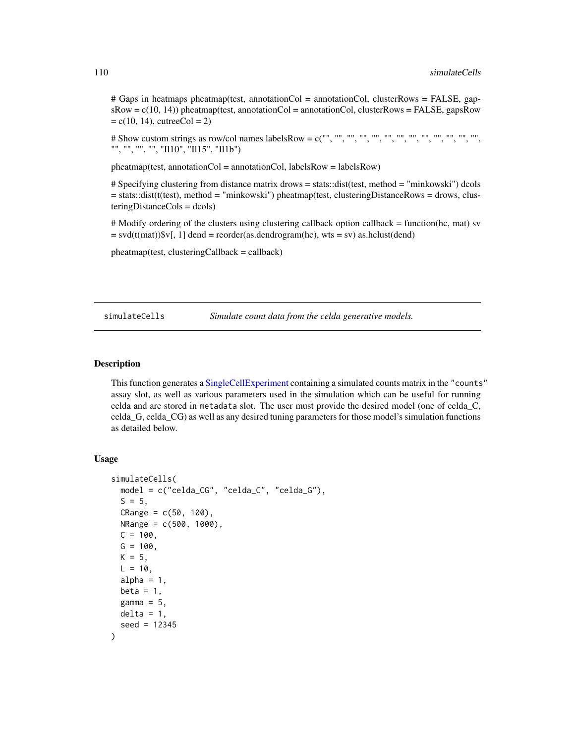<span id="page-109-0"></span># Gaps in heatmaps pheatmap(test, annotationCol = annotationCol, clusterRows = FALSE, gap $sRow = c(10, 14)$ ) pheatmap(test, annotationCol = annotationCol, clusterRows = FALSE, gapsRow  $= c(10, 14)$ , cutreeCol  $= 2$ )

# Show custom strings as row/col names labelsRow = c("", "", "", "", "", "", "", "", "", "", "", "", "", "", "", "", "", "Il10", "Il15", "Il1b")

pheatmap(test, annotationCol = annotationCol, labelsRow = labelsRow)

# Specifying clustering from distance matrix drows = stats::dist(test, method = "minkowski") dcols = stats::dist(t(test), method = "minkowski") pheatmap(test, clusteringDistanceRows = drows, clusteringDistanceCols = dcols)

# Modify ordering of the clusters using clustering callback option callback = function(hc, mat) sv  $=$  svd(t(mat))\$v[, 1] dend = reorder(as.dendrogram(hc), wts = sv) as.hclust(dend)

 $ph$ eatmap(test, clusteringCallback = callback)

simulateCells *Simulate count data from the celda generative models.*

# Description

This function generates a [SingleCellExperiment](#page-0-0) containing a simulated counts matrix in the "counts" assay slot, as well as various parameters used in the simulation which can be useful for running celda and are stored in metadata slot. The user must provide the desired model (one of celda\_C, celda\_G, celda\_CG) as well as any desired tuning parameters for those model's simulation functions as detailed below.

## Usage

```
simulateCells(
 model = c("celda_CG", "celda_C", "celda_G"),
  S = 5,
  CRange = c(50, 100),
 NRange = c(500, 1000),
 C = 100,
 G = 100,
 K = 5,
 L = 10,
  alpha = 1,
 beta = 1,
  gamma = 5,
 delta = 1,
  seed = 12345
)
```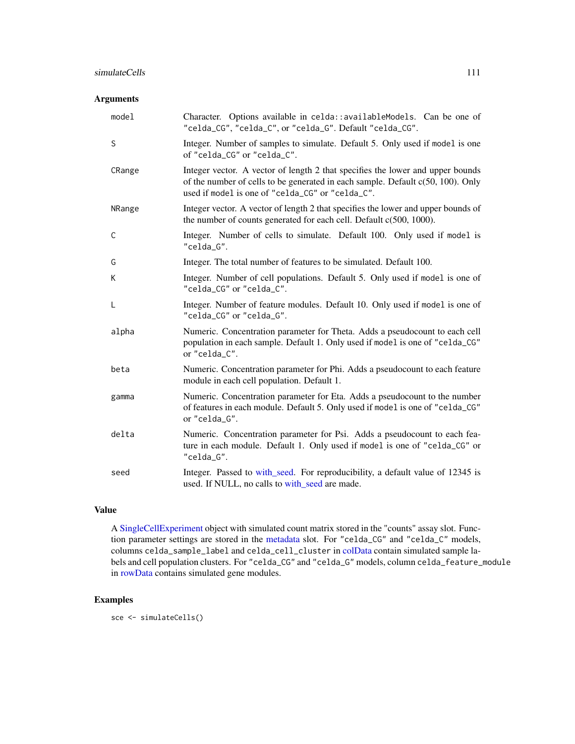## <span id="page-110-0"></span>Arguments

| model  | Character. Options available in celda:: availableModels. Can be one of<br>"celda_CG", "celda_C", or "celda_G". Default "celda_CG".                                                                                       |
|--------|--------------------------------------------------------------------------------------------------------------------------------------------------------------------------------------------------------------------------|
| S      | Integer. Number of samples to simulate. Default 5. Only used if model is one<br>of "celda_CG" or "celda_C".                                                                                                              |
| CRange | Integer vector. A vector of length 2 that specifies the lower and upper bounds<br>of the number of cells to be generated in each sample. Default $c(50, 100)$ . Only<br>used if model is one of "celda_CG" or "celda_C". |
| NRange | Integer vector. A vector of length 2 that specifies the lower and upper bounds of<br>the number of counts generated for each cell. Default c(500, 1000).                                                                 |
| C      | Integer. Number of cells to simulate. Default 100. Only used if model is<br>"celda_G".                                                                                                                                   |
| G      | Integer. The total number of features to be simulated. Default 100.                                                                                                                                                      |
| K      | Integer. Number of cell populations. Default 5. Only used if model is one of<br>"celda_CG" or "celda_C".                                                                                                                 |
| L      | Integer. Number of feature modules. Default 10. Only used if model is one of<br>"celda_CG" or "celda_G".                                                                                                                 |
| alpha  | Numeric. Concentration parameter for Theta. Adds a pseudocount to each cell<br>population in each sample. Default 1. Only used if model is one of "celda_CG"<br>or "celda_C".                                            |
| beta   | Numeric. Concentration parameter for Phi. Adds a pseudocount to each feature<br>module in each cell population. Default 1.                                                                                               |
| gamma  | Numeric. Concentration parameter for Eta. Adds a pseudocount to the number<br>of features in each module. Default 5. Only used if model is one of "celda_CG"<br>or "celda_G".                                            |
| delta  | Numeric. Concentration parameter for Psi. Adds a pseudocount to each fea-<br>ture in each module. Default 1. Only used if model is one of "celda_CG" or<br>"celda_G".                                                    |
| seed   | Integer. Passed to with_seed. For reproducibility, a default value of 12345 is<br>used. If NULL, no calls to with_seed are made.                                                                                         |

# Value

A [SingleCellExperiment](#page-0-0) object with simulated count matrix stored in the "counts" assay slot. Function parameter settings are stored in the [metadata](#page-0-0) slot. For "celda\_CG" and "celda\_C" models, columns celda\_sample\_label and celda\_cell\_cluster in [colData](#page-0-0) contain simulated sample labels and cell population clusters. For "celda\_CG" and "celda\_G" models, column celda\_feature\_module in [rowData](#page-0-0) contains simulated gene modules.

# Examples

sce <- simulateCells()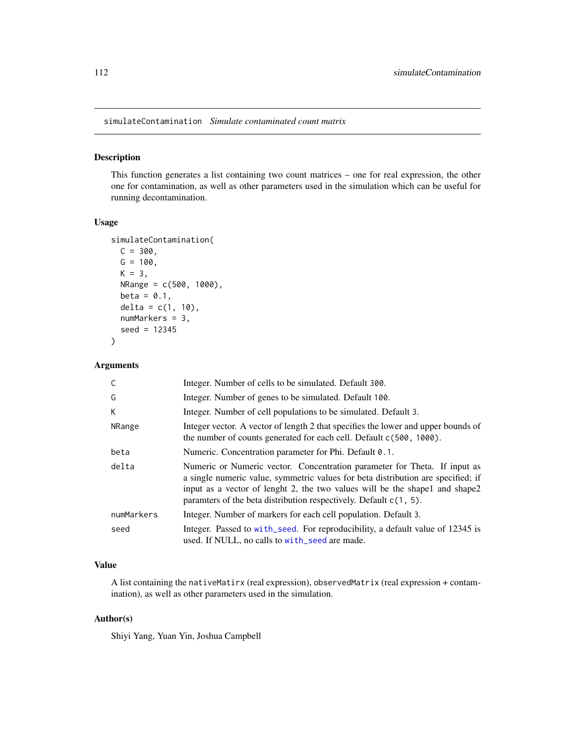<span id="page-111-0"></span>simulateContamination *Simulate contaminated count matrix*

#### Description

This function generates a list containing two count matrices – one for real expression, the other one for contamination, as well as other parameters used in the simulation which can be useful for running decontamination.

# Usage

```
simulateContamination(
 C = 300,G = 100,
 K = 3,
 NRange = c(500, 1000),
 beta = 0.1,
 delta = c(1, 10),
 numMarkers = 3,
  seed = 12345
\mathcal{L}
```
# Arguments

| C          | Integer. Number of cells to be simulated. Default 300.                                                                                                                                                                                                                                                               |
|------------|----------------------------------------------------------------------------------------------------------------------------------------------------------------------------------------------------------------------------------------------------------------------------------------------------------------------|
| G          | Integer. Number of genes to be simulated. Default 100.                                                                                                                                                                                                                                                               |
| K          | Integer. Number of cell populations to be simulated. Default 3.                                                                                                                                                                                                                                                      |
| NRange     | Integer vector. A vector of length 2 that specifies the lower and upper bounds of<br>the number of counts generated for each cell. Default c(500, 1000).                                                                                                                                                             |
| beta       | Numeric. Concentration parameter for Phi. Default 0.1.                                                                                                                                                                                                                                                               |
| delta      | Numeric or Numeric vector. Concentration parameter for Theta. If input as<br>a single numeric value, symmetric values for beta distribution are specified; if<br>input as a vector of lenght 2, the two values will be the shapel and shape2<br>paramters of the beta distribution respectively. Default $c(1, 5)$ . |
| numMarkers | Integer. Number of markers for each cell population. Default 3.                                                                                                                                                                                                                                                      |
| seed       | Integer. Passed to with_seed. For reproducibility, a default value of 12345 is<br>used. If NULL, no calls to with_seed are made.                                                                                                                                                                                     |

## Value

A list containing the nativeMatirx (real expression), observedMatrix (real expression + contamination), as well as other parameters used in the simulation.

# Author(s)

Shiyi Yang, Yuan Yin, Joshua Campbell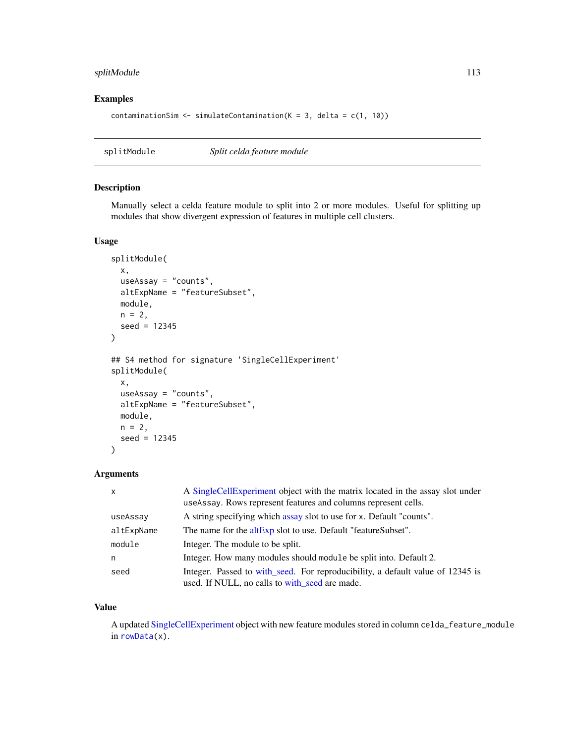# <span id="page-112-0"></span>splitModule 113

## Examples

```
contaminationSim \leq simulateContamination(K = 3, delta = c(1, 10))
```
splitModule *Split celda feature module*

# Description

Manually select a celda feature module to split into 2 or more modules. Useful for splitting up modules that show divergent expression of features in multiple cell clusters.

### Usage

```
splitModule(
  x,
 useAssay = "counts",
 altExpName = "featureSubset",
 module,
 n = 2,seed = 12345
\lambda## S4 method for signature 'SingleCellExperiment'
splitModule(
 x,
 useAssay = "counts",
 altExpName = "featureSubset",
 module,
 n = 2,
  seed = 12345
\mathcal{L}
```
## Arguments

| $\mathsf{x}$ | A SingleCellExperiment object with the matrix located in the assay slot under<br>use Assay. Rows represent features and columns represent cells. |
|--------------|--------------------------------------------------------------------------------------------------------------------------------------------------|
| useAssay     | A string specifying which assay slot to use for x. Default "counts".                                                                             |
| altExpName   | The name for the altExp slot to use. Default "featureSubset".                                                                                    |
| module       | Integer. The module to be split.                                                                                                                 |
| n            | Integer. How many modules should module be split into. Default 2.                                                                                |
| seed         | Integer. Passed to with seed. For reproducibility, a default value of 12345 is<br>used. If NULL, no calls to with seed are made.                 |

#### Value

A updated [SingleCellExperiment](#page-0-0) object with new feature modules stored in column celda\_feature\_module in [rowData\(](#page-0-0)x).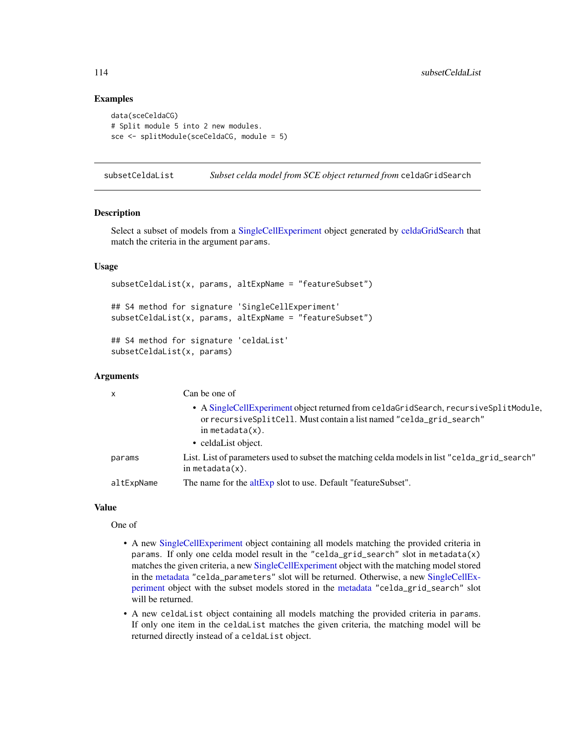## Examples

```
data(sceCeldaCG)
# Split module 5 into 2 new modules.
sce <- splitModule(sceCeldaCG, module = 5)
```
subsetCeldaList *Subset celda model from SCE object returned from* celdaGridSearch

#### **Description**

Select a subset of models from a [SingleCellExperiment](#page-0-0) object generated by [celdaGridSearch](#page-8-0) that match the criteria in the argument params.

## Usage

```
subsetCeldaList(x, params, altExpName = "featureSubset")
## S4 method for signature 'SingleCellExperiment'
subsetCeldaList(x, params, altExpName = "featureSubset")
## S4 method for signature 'celdaList'
subsetCeldaList(x, params)
```
#### Arguments

| X          | Can be one of                                                                                                                                                                        |
|------------|--------------------------------------------------------------------------------------------------------------------------------------------------------------------------------------|
|            | • A SingleCellExperiment object returned from celdaGridSearch, recursiveSplitModule,<br>or recursive SplitCell. Must contain a list named "celda_grid_search"<br>in metadata $(x)$ . |
|            | • celdaList object.                                                                                                                                                                  |
| params     | List. List of parameters used to subset the matching celda models in list "celda_grid_search"<br>in metadata $(x)$ .                                                                 |
| altExpName | The name for the altExp slot to use. Default "featureSubset".                                                                                                                        |

#### Value

One of

- A new [SingleCellExperiment](#page-0-0) object containing all models matching the provided criteria in params. If only one celda model result in the "celda\_grid\_search" slot in metadata(x) matches the given criteria, a new [SingleCellExperiment](#page-0-0) object with the matching model stored in the [metadata](#page-0-0) "celda\_parameters" slot will be returned. Otherwise, a new [SingleCellEx](#page-0-0)[periment](#page-0-0) object with the subset models stored in the [metadata](#page-0-0) "celda\_grid\_search" slot will be returned.
- A new celdaList object containing all models matching the provided criteria in params. If only one item in the celdaList matches the given criteria, the matching model will be returned directly instead of a celdaList object.

<span id="page-113-0"></span>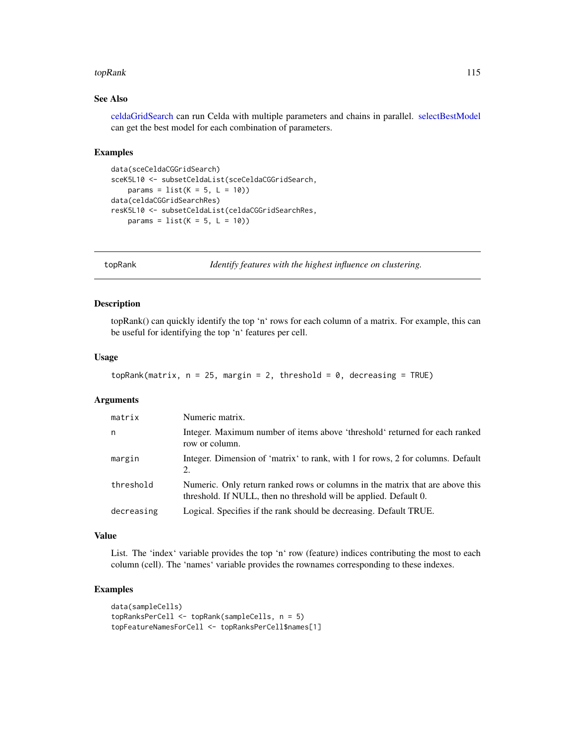#### <span id="page-114-0"></span>topRank 115

# See Also

[celdaGridSearch](#page-8-0) can run Celda with multiple parameters and chains in parallel. [selectBestModel](#page-102-0) can get the best model for each combination of parameters.

## Examples

```
data(sceCeldaCGGridSearch)
sceK5L10 <- subsetCeldaList(sceCeldaCGGridSearch,
   params = list(K = 5, L = 10))data(celdaCGGridSearchRes)
resK5L10 <- subsetCeldaList(celdaCGGridSearchRes,
   params = list(K = 5, L = 10)
```
topRank *Identify features with the highest influence on clustering.*

### Description

topRank() can quickly identify the top 'n' rows for each column of a matrix. For example, this can be useful for identifying the top 'n' features per cell.

#### Usage

```
topRank(matrix, n = 25, margin = 2, threshold = 0, decreasing = TRUE)
```
#### Arguments

| matrix     | Numeric matrix.                                                                                                                                    |
|------------|----------------------------------------------------------------------------------------------------------------------------------------------------|
| n          | Integer. Maximum number of items above 'threshold' returned for each ranked<br>row or column.                                                      |
| margin     | Integer. Dimension of 'matrix' to rank, with 1 for rows, 2 for columns. Default<br>2.                                                              |
| threshold  | Numeric. Only return ranked rows or columns in the matrix that are above this<br>threshold. If NULL, then no threshold will be applied. Default 0. |
| decreasing | Logical. Specifies if the rank should be decreasing. Default TRUE.                                                                                 |

#### Value

List. The 'index' variable provides the top 'n' row (feature) indices contributing the most to each column (cell). The 'names' variable provides the rownames corresponding to these indexes.

## Examples

```
data(sampleCells)
topRanksPerCell <- topRank(sampleCells, n = 5)
topFeatureNamesForCell <- topRanksPerCell$names[1]
```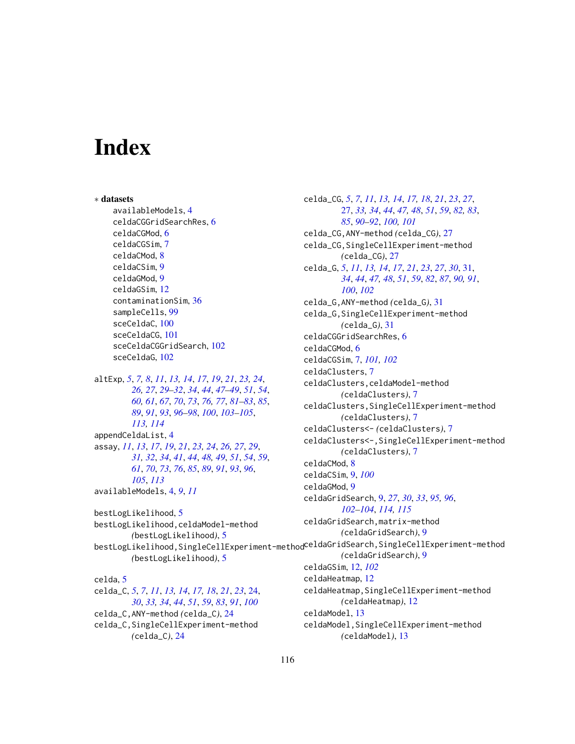# **Index**

∗ datasets availableModels, [4](#page-3-0) celdaCGGridSearchRes, [6](#page-5-0) celdaCGMod, [6](#page-5-0) celdaCGSim, [7](#page-6-0) celdaCMod, [8](#page-7-0) celdaCSim, [9](#page-8-1) celdaGMod, [9](#page-8-1) celdaGSim, [12](#page-11-0) contaminationSim, [36](#page-35-0) sampleCells, [99](#page-98-0) sceCeldaC, [100](#page-99-0) sceCeldaCG, [101](#page-100-0) sceCeldaCGGridSearch, [102](#page-101-0) sceCeldaG, [102](#page-101-0) altExp, *[5](#page-4-0)*, *[7,](#page-6-0) [8](#page-7-0)*, *[11](#page-10-0)*, *[13,](#page-12-0) [14](#page-13-0)*, *[17](#page-16-0)*, *[19](#page-18-0)*, *[21](#page-20-0)*, *[23,](#page-22-0) [24](#page-23-0)*, *[26,](#page-25-0) [27](#page-26-0)*, *[29](#page-28-0)[–32](#page-31-0)*, *[34](#page-33-0)*, *[44](#page-43-0)*, *[47–](#page-46-0)[49](#page-48-0)*, *[51](#page-50-0)*, *[54](#page-53-0)*, *[60,](#page-59-0) [61](#page-60-0)*, *[67](#page-66-0)*, *[70](#page-69-0)*, *[73](#page-72-0)*, *[76,](#page-75-0) [77](#page-76-0)*, *[81–](#page-80-0)[83](#page-82-0)*, *[85](#page-84-0)*, *[89](#page-88-0)*, *[91](#page-90-0)*, *[93](#page-92-0)*, *[96–](#page-95-0)[98](#page-97-0)*, *[100](#page-99-0)*, *[103–](#page-102-1)[105](#page-104-0)*, *[113,](#page-112-0) [114](#page-113-0)* appendCeldaList, [4](#page-3-0) assay, *[11](#page-10-0)*, *[13](#page-12-0)*, *[17](#page-16-0)*, *[19](#page-18-0)*, *[21](#page-20-0)*, *[23,](#page-22-0) [24](#page-23-0)*, *[26,](#page-25-0) [27](#page-26-0)*, *[29](#page-28-0)*, *[31,](#page-30-0) [32](#page-31-0)*, *[34](#page-33-0)*, *[41](#page-40-0)*, *[44](#page-43-0)*, *[48,](#page-47-0) [49](#page-48-0)*, *[51](#page-50-0)*, *[54](#page-53-0)*, *[59](#page-58-0)*, *[61](#page-60-0)*, *[70](#page-69-0)*, *[73](#page-72-0)*, *[76](#page-75-0)*, *[85](#page-84-0)*, *[89](#page-88-0)*, *[91](#page-90-0)*, *[93](#page-92-0)*, *[96](#page-95-0)*, *[105](#page-104-0)*, *[113](#page-112-0)* availableModels, [4,](#page-3-0) *[9](#page-8-1)*, *[11](#page-10-0)* bestLogLikelihood, [5](#page-4-0) bestLogLikelihood,celdaModel-method *(*bestLogLikelihood*)*, [5](#page-4-0) *(*bestLogLikelihood*)*, [5](#page-4-0) celda, [5](#page-4-0) celda\_C, *[5](#page-4-0)*, *[7](#page-6-0)*, *[11](#page-10-0)*, *[13,](#page-12-0) [14](#page-13-0)*, *[17,](#page-16-0) [18](#page-17-0)*, *[21](#page-20-0)*, *[23](#page-22-0)*, [24,](#page-23-0)

*[30](#page-29-0)*, *[33,](#page-32-0) [34](#page-33-0)*, *[44](#page-43-0)*, *[51](#page-50-0)*, *[59](#page-58-0)*, *[83](#page-82-0)*, *[91](#page-90-0)*, *[100](#page-99-0)* celda\_C,ANY-method *(*celda\_C*)*, [24](#page-23-0) celda\_C,SingleCellExperiment-method *(*celda\_C*)*, [24](#page-23-0)

bestLogLikelihood,SingleCellExperiment-method celdaGridSearch,SingleCellExperiment-method celda\_CG, *[5](#page-4-0)*, *[7](#page-6-0)*, *[11](#page-10-0)*, *[13,](#page-12-0) [14](#page-13-0)*, *[17,](#page-16-0) [18](#page-17-0)*, *[21](#page-20-0)*, *[23](#page-22-0)*, *[27](#page-26-0)*, [27,](#page-26-0) *[33,](#page-32-0) [34](#page-33-0)*, *[44](#page-43-0)*, *[47,](#page-46-0) [48](#page-47-0)*, *[51](#page-50-0)*, *[59](#page-58-0)*, *[82,](#page-81-0) [83](#page-82-0)*, *[85](#page-84-0)*, *[90](#page-89-0)[–92](#page-91-0)*, *[100,](#page-99-0) [101](#page-100-0)* celda\_CG,ANY-method *(*celda\_CG*)*, [27](#page-26-0) celda\_CG,SingleCellExperiment-method *(*celda\_CG*)*, [27](#page-26-0) celda\_G, *[5](#page-4-0)*, *[11](#page-10-0)*, *[13,](#page-12-0) [14](#page-13-0)*, *[17](#page-16-0)*, *[21](#page-20-0)*, *[23](#page-22-0)*, *[27](#page-26-0)*, *[30](#page-29-0)*, [31,](#page-30-0) *[34](#page-33-0)*, *[44](#page-43-0)*, *[47,](#page-46-0) [48](#page-47-0)*, *[51](#page-50-0)*, *[59](#page-58-0)*, *[82](#page-81-0)*, *[87](#page-86-0)*, *[90,](#page-89-0) [91](#page-90-0)*, *[100](#page-99-0)*, *[102](#page-101-0)* celda\_G,ANY-method *(*celda\_G*)*, [31](#page-30-0) celda\_G,SingleCellExperiment-method *(*celda\_G*)*, [31](#page-30-0) celdaCGGridSearchRes, [6](#page-5-0) celdaCGMod, [6](#page-5-0) celdaCGSim, [7,](#page-6-0) *[101,](#page-100-0) [102](#page-101-0)* celdaClusters, [7](#page-6-0) celdaClusters,celdaModel-method *(*celdaClusters*)*, [7](#page-6-0) celdaClusters,SingleCellExperiment-method *(*celdaClusters*)*, [7](#page-6-0) celdaClusters<- *(*celdaClusters*)*, [7](#page-6-0) celdaClusters<-,SingleCellExperiment-method *(*celdaClusters*)*, [7](#page-6-0) celdaCMod, [8](#page-7-0) celdaCSim, [9,](#page-8-1) *[100](#page-99-0)* celdaGMod, [9](#page-8-1) celdaGridSearch, [9,](#page-8-1) *[27](#page-26-0)*, *[30](#page-29-0)*, *[33](#page-32-0)*, *[95,](#page-94-0) [96](#page-95-0)*, *[102](#page-101-0)[–104](#page-103-0)*, *[114,](#page-113-0) [115](#page-114-0)* celdaGridSearch,matrix-method *(*celdaGridSearch*)*, [9](#page-8-1) *(*celdaGridSearch*)*, [9](#page-8-1) celdaGSim, [12,](#page-11-0) *[102](#page-101-0)* celdaHeatmap, [12](#page-11-0) celdaHeatmap,SingleCellExperiment-method *(*celdaHeatmap*)*, [12](#page-11-0) celdaModel, [13](#page-12-0)

celdaModel,SingleCellExperiment-method *(*celdaModel*)*, [13](#page-12-0)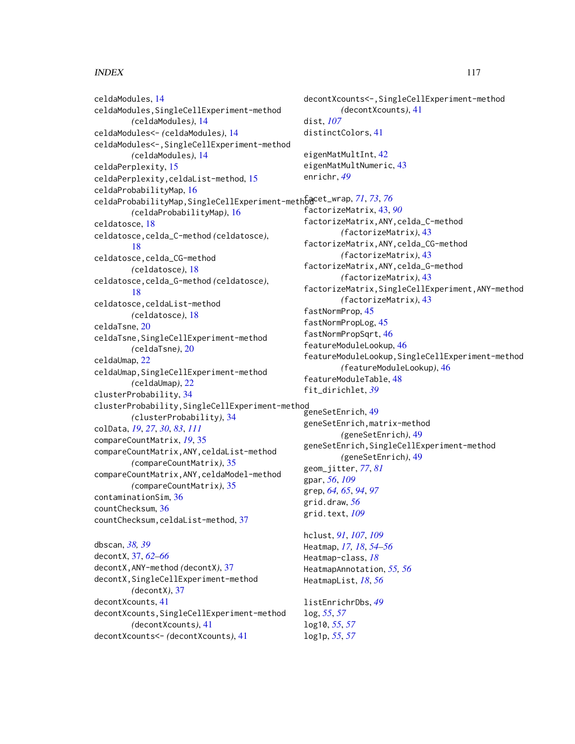# INDEX 117

celdaModules, [14](#page-13-0) celdaModules,SingleCellExperiment-method *(*celdaModules*)*, [14](#page-13-0) celdaModules<- *(*celdaModules*)*, [14](#page-13-0) celdaModules<-,SingleCellExperiment-method *(*celdaModules*)*, [14](#page-13-0) celdaPerplexity, [15](#page-14-0) celdaPerplexity,celdaList-method, [15](#page-14-0) celdaProbabilityMap, [16](#page-15-0) celdaProbabilityMap,SingleCellExperiment-method facet\_wrap, *[71](#page-70-0)*, *[73](#page-72-0)*, *[76](#page-75-0) (*celdaProbabilityMap*)*, [16](#page-15-0) celdatosce, [18](#page-17-0) celdatosce,celda\_C-method *(*celdatosce*)*, [18](#page-17-0) celdatosce, celda\_CG-method *(*celdatosce*)*, [18](#page-17-0) celdatosce,celda\_G-method *(*celdatosce*)*, [18](#page-17-0) celdatosce,celdaList-method *(*celdatosce*)*, [18](#page-17-0) celdaTsne, [20](#page-19-0) celdaTsne,SingleCellExperiment-method *(*celdaTsne*)*, [20](#page-19-0) celdaUmap, [22](#page-21-0) celdaUmap, SingleCellExperiment-method *(*celdaUmap*)*, [22](#page-21-0) clusterProbability, [34](#page-33-0) clusterProbability,SingleCellExperiment-method *(*clusterProbability*)*, [34](#page-33-0) colData, *[19](#page-18-0)*, *[27](#page-26-0)*, *[30](#page-29-0)*, *[83](#page-82-0)*, *[111](#page-110-0)* compareCountMatrix, *[19](#page-18-0)*, [35](#page-34-0) compareCountMatrix,ANY,celdaList-method *(*compareCountMatrix*)*, [35](#page-34-0) compareCountMatrix,ANY,celdaModel-method *(*compareCountMatrix*)*, [35](#page-34-0) contaminationSim, [36](#page-35-0) countChecksum, [36](#page-35-0) countChecksum,celdaList-method, [37](#page-36-0) dbscan, *[38,](#page-37-0) [39](#page-38-0)* decontX, [37,](#page-36-0) *[62](#page-61-0)[–66](#page-65-0)* decontX,ANY-method *(*decontX*)*, [37](#page-36-0)

decontX,SingleCellExperiment-method *(*decontX*)*, [37](#page-36-0) decontXcounts, [41](#page-40-0) decontXcounts,SingleCellExperiment-method *(*decontXcounts*)*, [41](#page-40-0) decontXcounts<- *(*decontXcounts*)*, [41](#page-40-0)

decontXcounts<-,SingleCellExperiment-method *(*decontXcounts*)*, [41](#page-40-0) dist, *[107](#page-106-0)* distinctColors, [41](#page-40-0) eigenMatMultInt, [42](#page-41-0) eigenMatMultNumeric, [43](#page-42-0) enrichr, *[49](#page-48-0)* factorizeMatrix, [43,](#page-42-0) *[90](#page-89-0)* factorizeMatrix,ANY,celda\_C-method *(*factorizeMatrix*)*, [43](#page-42-0) factorizeMatrix,ANY,celda\_CG-method *(*factorizeMatrix*)*, [43](#page-42-0) factorizeMatrix,ANY,celda\_G-method *(*factorizeMatrix*)*, [43](#page-42-0) factorizeMatrix,SingleCellExperiment,ANY-method *(*factorizeMatrix*)*, [43](#page-42-0) fastNormProp, [45](#page-44-0) fastNormPropLog, [45](#page-44-0) fastNormPropSqrt, [46](#page-45-0) featureModuleLookup, [46](#page-45-0) featureModuleLookup,SingleCellExperiment-method *(*featureModuleLookup*)*, [46](#page-45-0) featureModuleTable, [48](#page-47-0) fit\_dirichlet, *[39](#page-38-0)*

geneSetEnrich, [49](#page-48-0) geneSetEnrich,matrix-method *(*geneSetEnrich*)*, [49](#page-48-0) geneSetEnrich,SingleCellExperiment-method *(*geneSetEnrich*)*, [49](#page-48-0) geom\_jitter, *[77](#page-76-0)*, *[81](#page-80-0)* gpar, *[56](#page-55-0)*, *[109](#page-108-0)* grep, *[64,](#page-63-0) [65](#page-64-0)*, *[94](#page-93-0)*, *[97](#page-96-0)* grid.draw, *[56](#page-55-0)* grid.text, *[109](#page-108-0)*

hclust, *[91](#page-90-0)*, *[107](#page-106-0)*, *[109](#page-108-0)* Heatmap, *[17,](#page-16-0) [18](#page-17-0)*, *[54](#page-53-0)[–56](#page-55-0)* Heatmap-class, *[18](#page-17-0)* HeatmapAnnotation, *[55,](#page-54-0) [56](#page-55-0)* HeatmapList, *[18](#page-17-0)*, *[56](#page-55-0)*

listEnrichrDbs, *[49](#page-48-0)* log, *[55](#page-54-0)*, *[57](#page-56-0)* log10, *[55](#page-54-0)*, *[57](#page-56-0)* log1p, *[55](#page-54-0)*, *[57](#page-56-0)*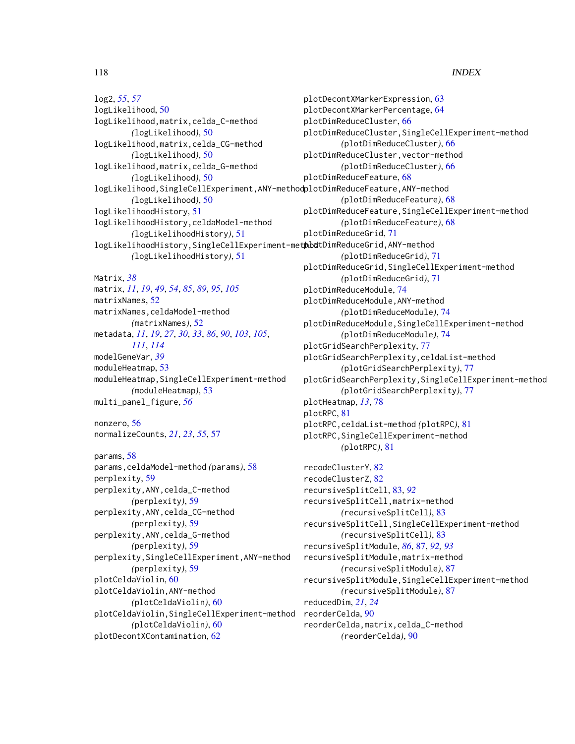118 INDEX

log2, *[55](#page-54-0)*, *[57](#page-56-0)* logLikelihood, [50](#page-49-0) logLikelihood,matrix,celda\_C-method *(*logLikelihood*)*, [50](#page-49-0) logLikelihood,matrix,celda\_CG-method *(*logLikelihood*)*, [50](#page-49-0) logLikelihood,matrix,celda\_G-method *(*logLikelihood*)*, [50](#page-49-0) logLikelihood,SingleCellExperiment,ANY-method plotDimReduceFeature,ANY-method *(*logLikelihood*)*, [50](#page-49-0) logLikelihoodHistory, [51](#page-50-0) logLikelihoodHistory,celdaModel-method *(*logLikelihoodHistory*)*, [51](#page-50-0) logLikelihoodHistory, SingleCellExperiment-methodtDimReduceGrid, ANY-method *(*logLikelihoodHistory*)*, [51](#page-50-0)

Matrix, *[38](#page-37-0)* matrix, *[11](#page-10-0)*, *[19](#page-18-0)*, *[49](#page-48-0)*, *[54](#page-53-0)*, *[85](#page-84-0)*, *[89](#page-88-0)*, *[95](#page-94-0)*, *[105](#page-104-0)* matrixNames, [52](#page-51-0) matrixNames,celdaModel-method *(*matrixNames*)*, [52](#page-51-0) metadata, *[11](#page-10-0)*, *[19](#page-18-0)*, *[27](#page-26-0)*, *[30](#page-29-0)*, *[33](#page-32-0)*, *[86](#page-85-0)*, *[90](#page-89-0)*, *[103](#page-102-1)*, *[105](#page-104-0)*, *[111](#page-110-0)*, *[114](#page-113-0)* modelGeneVar, *[39](#page-38-0)* moduleHeatmap, [53](#page-52-0) moduleHeatmap,SingleCellExperiment-method *(*moduleHeatmap*)*, [53](#page-52-0) multi\_panel\_figure, *[56](#page-55-0)*

```
nonzero, 56
normalizeCounts, 21, 23, 55, 57
```
params, [58](#page-57-0) params,celdaModel-method *(*params*)*, [58](#page-57-0) perplexity, [59](#page-58-0) perplexity,ANY,celda\_C-method *(*perplexity*)*, [59](#page-58-0) perplexity,ANY,celda\_CG-method *(*perplexity*)*, [59](#page-58-0) perplexity,ANY,celda\_G-method *(*perplexity*)*, [59](#page-58-0) perplexity,SingleCellExperiment,ANY-method *(*perplexity*)*, [59](#page-58-0) plotCeldaViolin, [60](#page-59-0) plotCeldaViolin,ANY-method *(*plotCeldaViolin*)*, [60](#page-59-0) plotCeldaViolin,SingleCellExperiment-method reorderCelda, [90](#page-89-0) *(*plotCeldaViolin*)*, [60](#page-59-0) plotDecontXContamination, [62](#page-61-0)

plotDecontXMarkerExpression, [63](#page-62-0) plotDecontXMarkerPercentage, [64](#page-63-0) plotDimReduceCluster, [66](#page-65-0) plotDimReduceCluster,SingleCellExperiment-method *(*plotDimReduceCluster*)*, [66](#page-65-0) plotDimReduceCluster,vector-method *(*plotDimReduceCluster*)*, [66](#page-65-0) plotDimReduceFeature, [68](#page-67-0) *(*plotDimReduceFeature*)*, [68](#page-67-0) plotDimReduceFeature,SingleCellExperiment-method *(*plotDimReduceFeature*)*, [68](#page-67-0) plotDimReduceGrid, [71](#page-70-0) *(*plotDimReduceGrid*)*, [71](#page-70-0) plotDimReduceGrid,SingleCellExperiment-method *(*plotDimReduceGrid*)*, [71](#page-70-0) plotDimReduceModule, [74](#page-73-0) plotDimReduceModule,ANY-method *(*plotDimReduceModule*)*, [74](#page-73-0) plotDimReduceModule,SingleCellExperiment-method *(*plotDimReduceModule*)*, [74](#page-73-0) plotGridSearchPerplexity, [77](#page-76-0) plotGridSearchPerplexity,celdaList-method *(*plotGridSearchPerplexity*)*, [77](#page-76-0) plotGridSearchPerplexity,SingleCellExperiment-method *(*plotGridSearchPerplexity*)*, [77](#page-76-0) plotHeatmap, *[13](#page-12-0)*, [78](#page-77-0) plotRPC, [81](#page-80-0) plotRPC,celdaList-method *(*plotRPC*)*, [81](#page-80-0) plotRPC,SingleCellExperiment-method *(*plotRPC*)*, [81](#page-80-0) recodeClusterY, [82](#page-81-0) recodeClusterZ, [82](#page-81-0)

recursiveSplitCell, [83,](#page-82-0) *[92](#page-91-0)* recursiveSplitCell,matrix-method *(*recursiveSplitCell*)*, [83](#page-82-0) recursiveSplitCell,SingleCellExperiment-method *(*recursiveSplitCell*)*, [83](#page-82-0) recursiveSplitModule, *[86](#page-85-0)*, [87,](#page-86-0) *[92,](#page-91-0) [93](#page-92-0)* recursiveSplitModule,matrix-method *(*recursiveSplitModule*)*, [87](#page-86-0) recursiveSplitModule,SingleCellExperiment-method *(*recursiveSplitModule*)*, [87](#page-86-0) reducedDim, *[21](#page-20-0)*, *[24](#page-23-0)* reorderCelda,matrix,celda\_C-method *(*reorderCelda*)*, [90](#page-89-0)